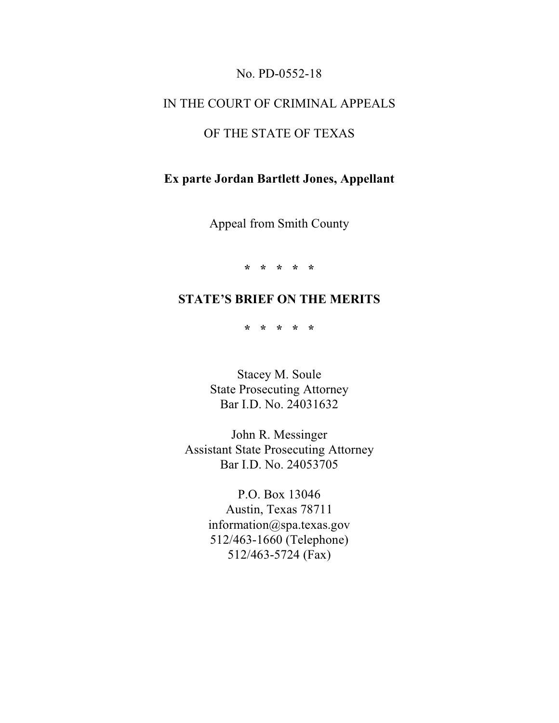## No. PD-0552-18

## IN THE COURT OF CRIMINAL APPEALS

# OF THE STATE OF TEXAS

# **Ex parte Jordan Bartlett Jones, Appellant**

Appeal from Smith County

**\* \* \* \* \***

# **STATE'S BRIEF ON THE MERITS**

**\* \* \* \* \***

Stacey M. Soule State Prosecuting Attorney Bar I.D. No. 24031632

John R. Messinger Assistant State Prosecuting Attorney Bar I.D. No. 24053705

> P.O. Box 13046 Austin, Texas 78711 information@spa.texas.gov 512/463-1660 (Telephone) 512/463-5724 (Fax)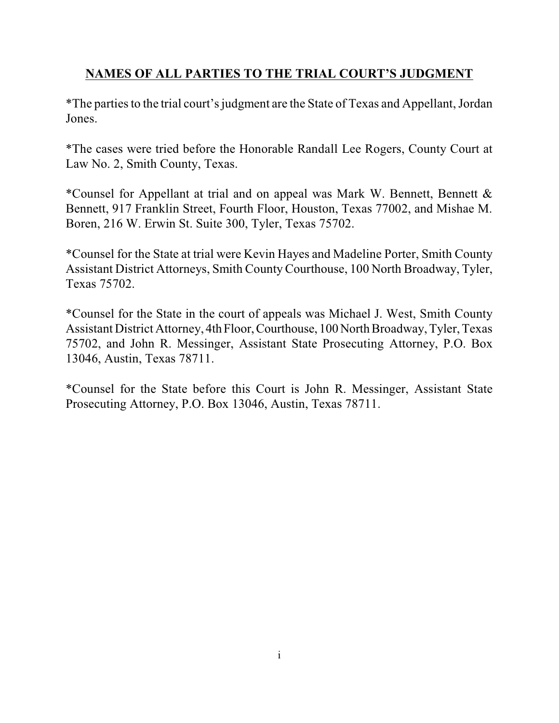# **NAMES OF ALL PARTIES TO THE TRIAL COURT'S JUDGMENT**

\*The partiesto the trial court's judgment are the State of Texas and Appellant, Jordan Jones.

\*The cases were tried before the Honorable Randall Lee Rogers, County Court at Law No. 2, Smith County, Texas.

\*Counsel for Appellant at trial and on appeal was Mark W. Bennett, Bennett & Bennett, 917 Franklin Street, Fourth Floor, Houston, Texas 77002, and Mishae M. Boren, 216 W. Erwin St. Suite 300, Tyler, Texas 75702.

\*Counsel for the State at trial were Kevin Hayes and Madeline Porter, Smith County Assistant District Attorneys, Smith County Courthouse, 100 North Broadway, Tyler, Texas 75702.

\*Counsel for the State in the court of appeals was Michael J. West, Smith County Assistant District Attorney, 4th Floor, Courthouse, 100 North Broadway, Tyler, Texas 75702, and John R. Messinger, Assistant State Prosecuting Attorney, P.O. Box 13046, Austin, Texas 78711.

\*Counsel for the State before this Court is John R. Messinger, Assistant State Prosecuting Attorney, P.O. Box 13046, Austin, Texas 78711.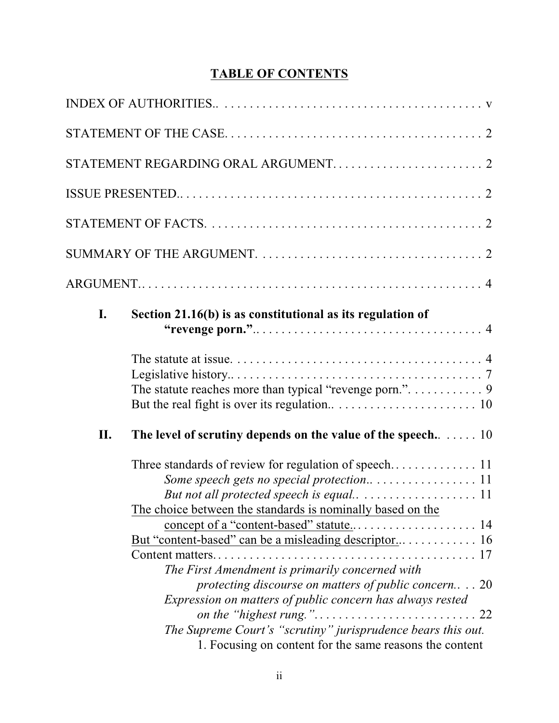# **TABLE OF CONTENTS**

|     | STATEMENT REGARDING ORAL ARGUMENT 2                                                                                                                                                                                                                                                                                                                         |
|-----|-------------------------------------------------------------------------------------------------------------------------------------------------------------------------------------------------------------------------------------------------------------------------------------------------------------------------------------------------------------|
|     |                                                                                                                                                                                                                                                                                                                                                             |
|     |                                                                                                                                                                                                                                                                                                                                                             |
|     |                                                                                                                                                                                                                                                                                                                                                             |
|     |                                                                                                                                                                                                                                                                                                                                                             |
| I.  | Section 21.16(b) is as constitutional as its regulation of                                                                                                                                                                                                                                                                                                  |
|     | The statute reaches more than typical "revenge porn.". 9                                                                                                                                                                                                                                                                                                    |
| II. | The level of scrutiny depends on the value of the speech. 10<br>Three standards of review for regulation of speech 11<br>The choice between the standards is nominally based on the<br>The First Amendment is primarily concerned with<br>protecting discourse on matters of public concern 20<br>Expression on matters of public concern has always rested |
|     | The Supreme Court's "scrutiny" jurisprudence bears this out.<br>1. Focusing on content for the same reasons the content                                                                                                                                                                                                                                     |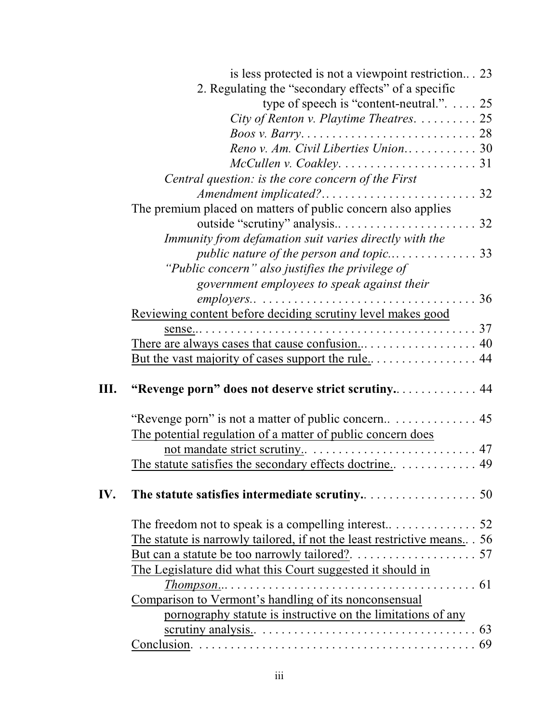|     | is less protected is not a viewpoint restriction 23                     |  |
|-----|-------------------------------------------------------------------------|--|
|     | 2. Regulating the "secondary effects" of a specific                     |  |
|     | type of speech is "content-neutral.". $\dots$ 25                        |  |
|     | City of Renton v. Playtime Theatres. $\dots \dots \dots 25$             |  |
|     |                                                                         |  |
|     | Reno v. Am. Civil Liberties Union 30                                    |  |
|     |                                                                         |  |
|     | Central question: is the core concern of the First                      |  |
|     |                                                                         |  |
|     | The premium placed on matters of public concern also applies            |  |
|     |                                                                         |  |
|     | Immunity from defamation suit varies directly with the                  |  |
|     |                                                                         |  |
|     | "Public concern" also justifies the privilege of                        |  |
|     | government employees to speak against their                             |  |
|     |                                                                         |  |
|     | Reviewing content before deciding scrutiny level makes good             |  |
|     |                                                                         |  |
|     |                                                                         |  |
|     |                                                                         |  |
|     |                                                                         |  |
| Ш.  | "Revenge porn" does not deserve strict scrutiny 44                      |  |
|     |                                                                         |  |
|     |                                                                         |  |
|     | The potential regulation of a matter of public concern does             |  |
|     |                                                                         |  |
|     |                                                                         |  |
|     |                                                                         |  |
| IV. |                                                                         |  |
|     |                                                                         |  |
|     |                                                                         |  |
|     | The statute is narrowly tailored, if not the least restrictive means 56 |  |
|     |                                                                         |  |
|     | The Legislature did what this Court suggested it should in              |  |
|     |                                                                         |  |
|     | Comparison to Vermont's handling of its nonconsensual                   |  |
|     | pornography statute is instructive on the limitations of any            |  |
|     |                                                                         |  |
|     |                                                                         |  |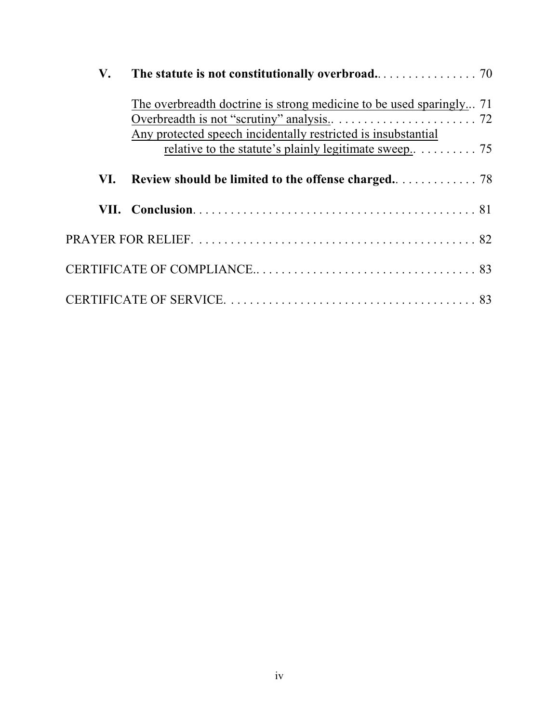| V.  |                                                                                                                                      |
|-----|--------------------------------------------------------------------------------------------------------------------------------------|
|     | The overbreadth doctrine is strong medicine to be used sparingly 71<br>Any protected speech incidentally restricted is insubstantial |
|     | relative to the statute's plainly legitimate sweep $\dots \dots \dots$ 75                                                            |
| VI. |                                                                                                                                      |
|     |                                                                                                                                      |
|     |                                                                                                                                      |
|     |                                                                                                                                      |
|     |                                                                                                                                      |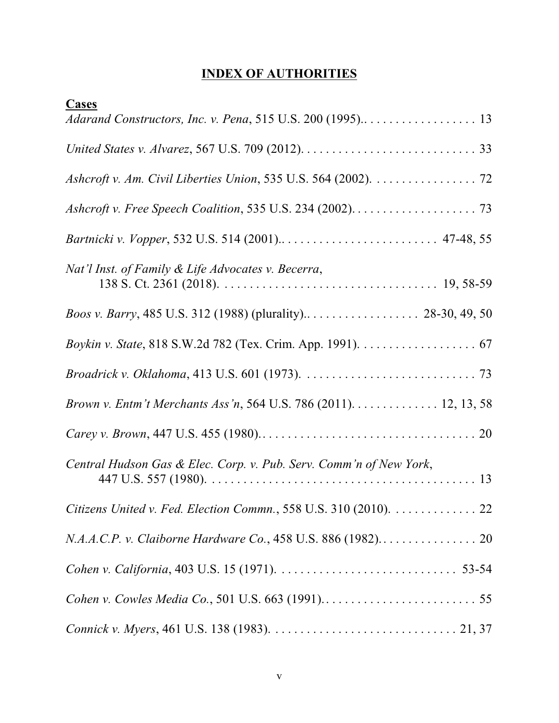# **INDEX OF AUTHORITIES**

| <b>Cases</b>                                                       |
|--------------------------------------------------------------------|
|                                                                    |
|                                                                    |
| Ashcroft v. Am. Civil Liberties Union, 535 U.S. 564 (2002). 72     |
|                                                                    |
|                                                                    |
| Nat'l Inst. of Family & Life Advocates v. Becerra,                 |
|                                                                    |
|                                                                    |
|                                                                    |
| Brown v. Entm't Merchants Ass'n, 564 U.S. 786 (2011). 12, 13, 58   |
|                                                                    |
| Central Hudson Gas & Elec. Corp. v. Pub. Serv. Comm'n of New York, |
| Citizens United v. Fed. Election Commn., 558 U.S. 310 (2010). 22   |
|                                                                    |
|                                                                    |
|                                                                    |
|                                                                    |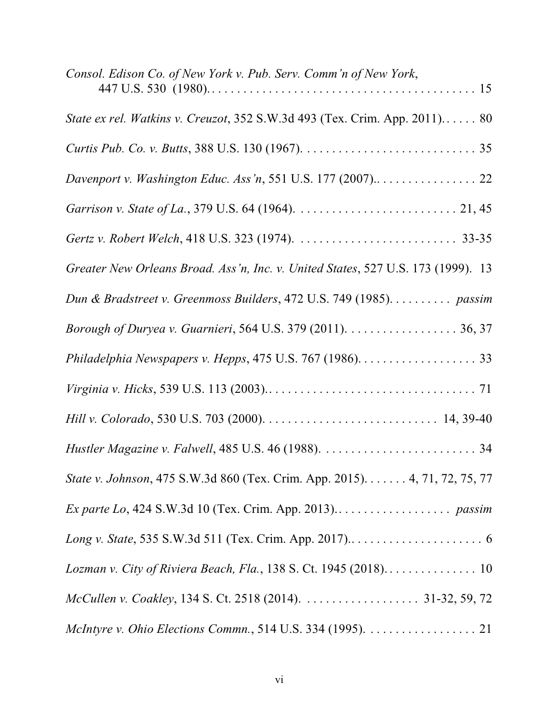| Consol. Edison Co. of New York v. Pub. Serv. Comm'n of New York,                 |
|----------------------------------------------------------------------------------|
| State ex rel. Watkins v. Creuzot, 352 S.W.3d 493 (Tex. Crim. App. 2011) 80       |
|                                                                                  |
| Davenport v. Washington Educ. Ass'n, 551 U.S. 177 (2007) 22                      |
|                                                                                  |
|                                                                                  |
| Greater New Orleans Broad. Ass'n, Inc. v. United States, 527 U.S. 173 (1999). 13 |
| Dun & Bradstreet v. Greenmoss Builders, 472 U.S. 749 (1985). passim              |
| Borough of Duryea v. Guarnieri, 564 U.S. 379 (2011). 36, 37                      |
| Philadelphia Newspapers v. Hepps, 475 U.S. 767 (1986). 33                        |
|                                                                                  |
|                                                                                  |
|                                                                                  |
| State v. Johnson, 475 S.W.3d 860 (Tex. Crim. App. 2015). 4, 71, 72, 75, 77       |
|                                                                                  |
|                                                                                  |
|                                                                                  |
| McCullen v. Coakley, 134 S. Ct. 2518 (2014). 31-32, 59, 72                       |
| McIntyre v. Ohio Elections Commn., 514 U.S. 334 (1995). 21                       |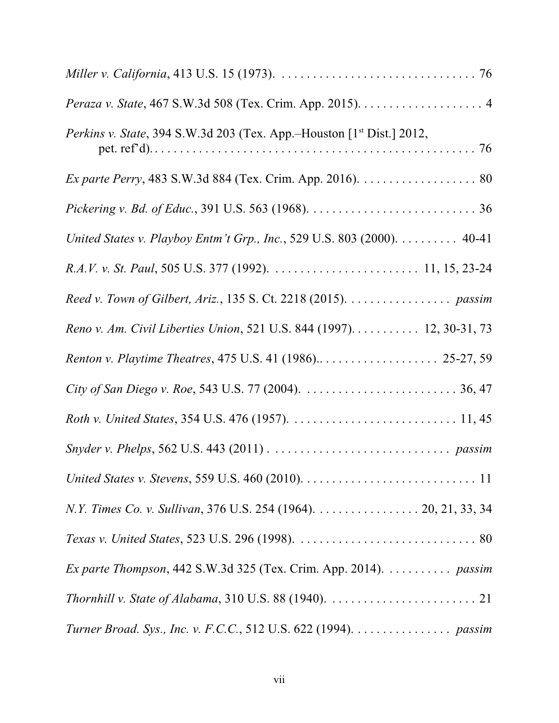| <i>Perkins v. State, 394 S.W.3d 203 (Tex. App.–Houston [1<sup>st</sup> Dist.] 2012,</i>                  |
|----------------------------------------------------------------------------------------------------------|
| Ex parte Perry, 483 S.W.3d 884 (Tex. Crim. App. 2016). 80                                                |
|                                                                                                          |
| United States v. Playboy Entm't Grp., Inc., 529 U.S. 803 (2000). 40-41                                   |
|                                                                                                          |
| Reed v. Town of Gilbert, Ariz., 135 S. Ct. 2218 (2015). passim                                           |
| Reno v. Am. Civil Liberties Union, 521 U.S. 844 (1997). 12, 30-31, 73                                    |
| Renton v. Playtime Theatres, 475 U.S. 41 (1986) 25-27, 59                                                |
|                                                                                                          |
|                                                                                                          |
|                                                                                                          |
|                                                                                                          |
| N.Y. Times Co. v. Sullivan, 376 U.S. 254 (1964). 20, 21, 33, 34                                          |
|                                                                                                          |
| Ex parte Thompson, 442 S.W.3d 325 (Tex. Crim. App. 2014). passim                                         |
| Thornhill v. State of Alabama, 310 U.S. 88 (1940). $\ldots \ldots \ldots \ldots \ldots \ldots \ldots$ 21 |
| Turner Broad. Sys., Inc. v. F.C.C., 512 U.S. 622 (1994). passim                                          |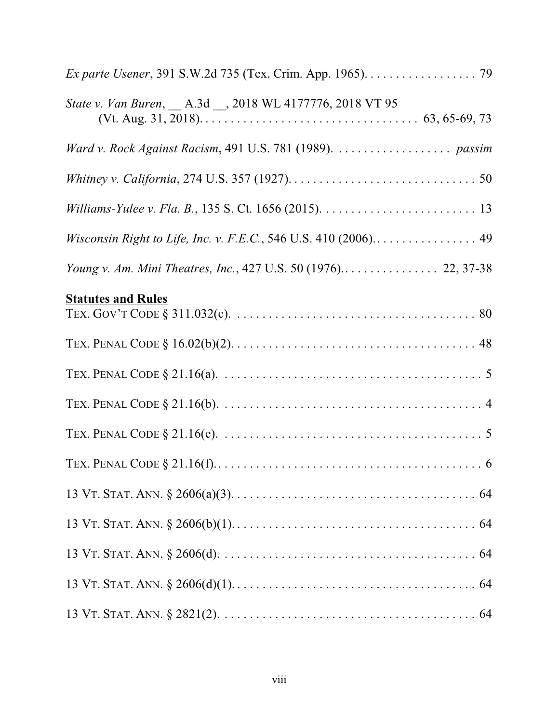| Ex parte Usener, 391 S.W.2d 735 (Tex. Crim. App. 1965). 79      |
|-----------------------------------------------------------------|
| State v. Van Buren, __ A.3d __, 2018 WL 4177776, 2018 VT 95     |
| Ward v. Rock Against Racism, 491 U.S. 781 (1989).  passim       |
|                                                                 |
|                                                                 |
| Wisconsin Right to Life, Inc. v. F.E.C., 546 U.S. 410 (2006) 49 |
| Young v. Am. Mini Theatres, Inc., 427 U.S. 50 (1976) 22, 37-38  |
| <b>Statutes and Rules</b>                                       |
|                                                                 |
|                                                                 |
|                                                                 |
|                                                                 |
|                                                                 |
|                                                                 |
|                                                                 |
|                                                                 |
|                                                                 |
|                                                                 |
|                                                                 |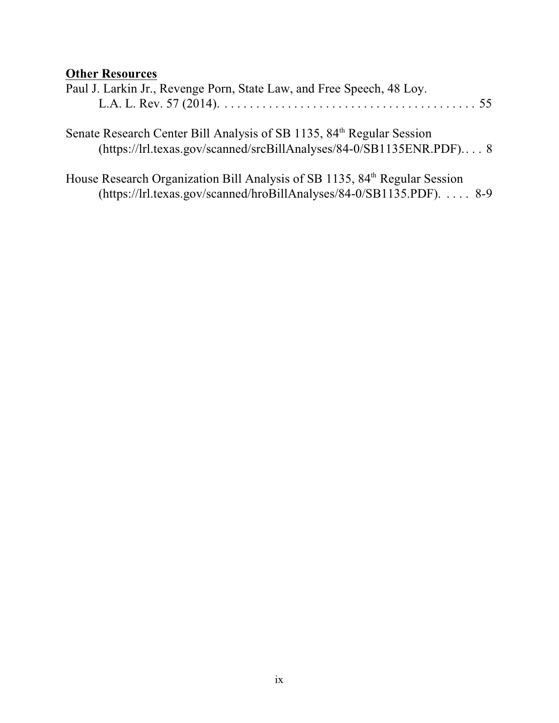# **Other Resources**

| Paul J. Larkin Jr., Revenge Porn, State Law, and Free Speech, 48 Loy. |  |
|-----------------------------------------------------------------------|--|
|                                                                       |  |
|                                                                       |  |

Senate Research Center Bill Analysis of SB 1135, 84<sup>th</sup> Regular Session (https://lrl.texas.gov/scanned/srcBillAnalyses/84-0/SB1135ENR.PDF).. . . 8

House Research Organization Bill Analysis of SB 1135, 84<sup>th</sup> Regular Session (https://lrl.texas.gov/scanned/hroBillAnalyses/84-0/SB1135.PDF). . . . . 8-9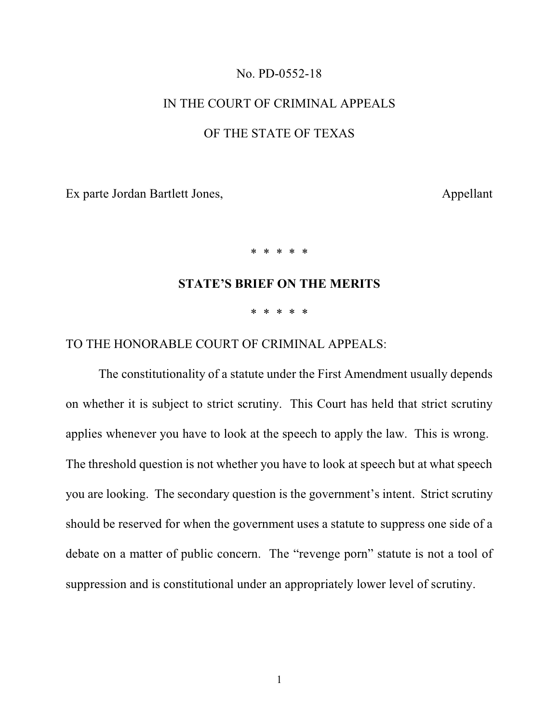#### No. PD-0552-18

#### IN THE COURT OF CRIMINAL APPEALS

#### OF THE STATE OF TEXAS

Ex parte Jordan Bartlett Jones, Appellant

\* \* \* \* \*

### **STATE'S BRIEF ON THE MERITS**

\* \* \* \* \*

### TO THE HONORABLE COURT OF CRIMINAL APPEALS:

The constitutionality of a statute under the First Amendment usually depends on whether it is subject to strict scrutiny. This Court has held that strict scrutiny applies whenever you have to look at the speech to apply the law. This is wrong. The threshold question is not whether you have to look at speech but at what speech you are looking. The secondary question is the government's intent. Strict scrutiny should be reserved for when the government uses a statute to suppress one side of a debate on a matter of public concern. The "revenge porn" statute is not a tool of suppression and is constitutional under an appropriately lower level of scrutiny.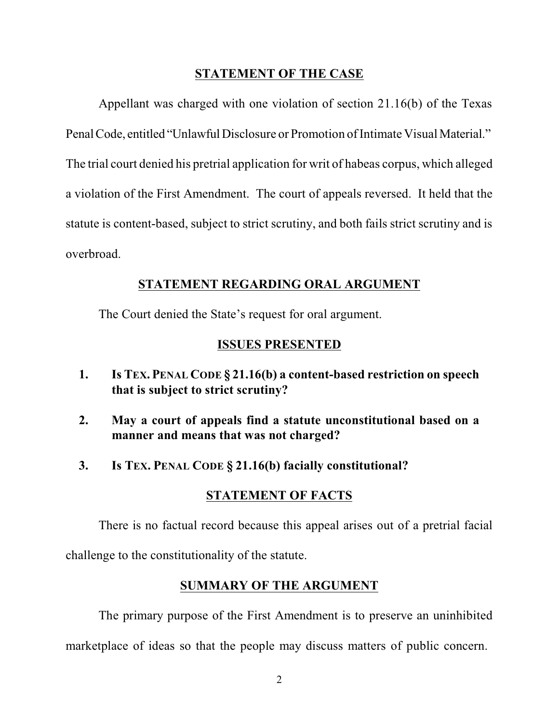### **STATEMENT OF THE CASE**

Appellant was charged with one violation of section 21.16(b) of the Texas Penal Code, entitled "Unlawful Disclosure or Promotion of Intimate Visual Material." The trial court denied his pretrial application for writ of habeas corpus, which alleged a violation of the First Amendment. The court of appeals reversed. It held that the statute is content-based, subject to strict scrutiny, and both fails strict scrutiny and is overbroad.

### **STATEMENT REGARDING ORAL ARGUMENT**

The Court denied the State's request for oral argument.

### **ISSUES PRESENTED**

- **1. Is TEX. PENAL CODE § 21.16(b) a content-based restriction on speech that is subject to strict scrutiny?**
- **2. May a court of appeals find a statute unconstitutional based on a manner and means that was not charged?**
- **3. Is TEX. PENAL CODE § 21.16(b) facially constitutional?**

#### **STATEMENT OF FACTS**

There is no factual record because this appeal arises out of a pretrial facial challenge to the constitutionality of the statute.

## **SUMMARY OF THE ARGUMENT**

The primary purpose of the First Amendment is to preserve an uninhibited marketplace of ideas so that the people may discuss matters of public concern.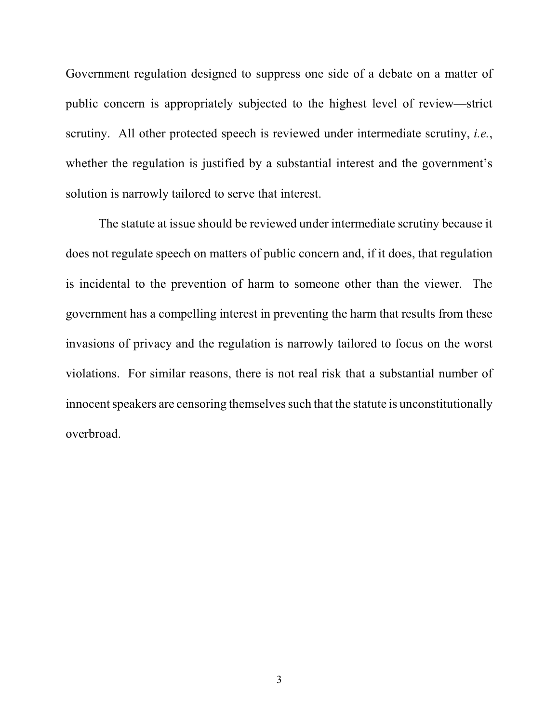Government regulation designed to suppress one side of a debate on a matter of public concern is appropriately subjected to the highest level of review—strict scrutiny. All other protected speech is reviewed under intermediate scrutiny, *i.e.*, whether the regulation is justified by a substantial interest and the government's solution is narrowly tailored to serve that interest.

The statute at issue should be reviewed under intermediate scrutiny because it does not regulate speech on matters of public concern and, if it does, that regulation is incidental to the prevention of harm to someone other than the viewer. The government has a compelling interest in preventing the harm that results from these invasions of privacy and the regulation is narrowly tailored to focus on the worst violations. For similar reasons, there is not real risk that a substantial number of innocent speakers are censoring themselves such that the statute is unconstitutionally overbroad.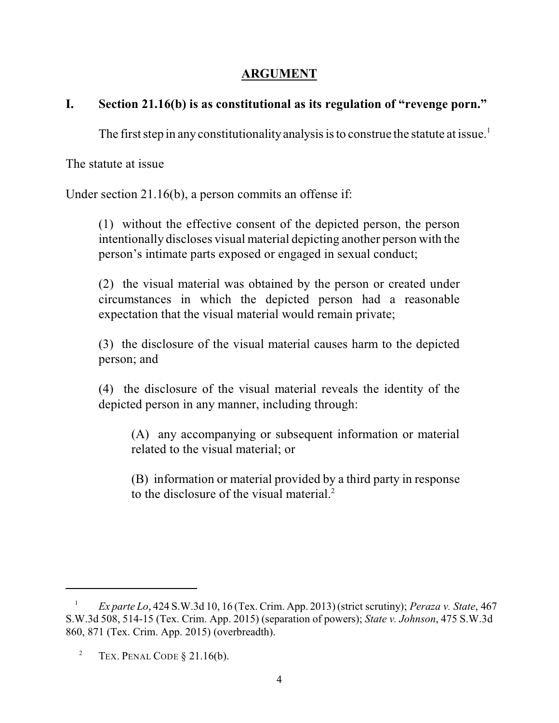# **ARGUMENT**

# **I. Section 21.16(b) is as constitutional as its regulation of "revenge porn."**

The first step in any constitutionality analysis is to construe the statute at issue.<sup>1</sup>

The statute at issue

Under section 21.16(b), a person commits an offense if:

(1) without the effective consent of the depicted person, the person intentionally discloses visual material depicting another person with the person's intimate parts exposed or engaged in sexual conduct;

(2) the visual material was obtained by the person or created under circumstances in which the depicted person had a reasonable expectation that the visual material would remain private;

(3) the disclosure of the visual material causes harm to the depicted person; and

(4) the disclosure of the visual material reveals the identity of the depicted person in any manner, including through:

(A) any accompanying or subsequent information or material related to the visual material; or

(B) information or material provided by a third party in response to the disclosure of the visual material.<sup>2</sup>

*Ex parte Lo*, 424 S.W.3d 10, 16 (Tex. Crim. App. 2013) (strict scrutiny); *Peraza v. State*, 467 <sup>1</sup> S.W.3d 508, 514-15 (Tex. Crim. App. 2015) (separation of powers); *State v. Johnson*, 475 S.W.3d 860, 871 (Tex. Crim. App. 2015) (overbreadth).

<sup>&</sup>lt;sup>2</sup> TEX. PENAL CODE  $§$  21.16(b).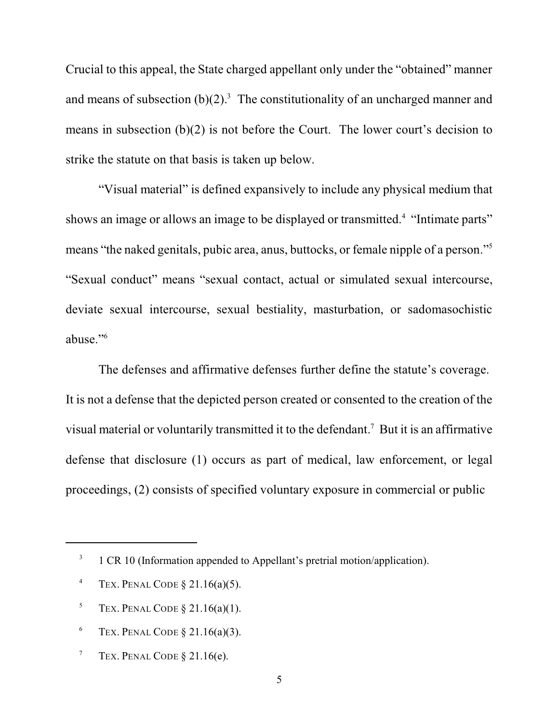Crucial to this appeal, the State charged appellant only under the "obtained" manner and means of subsection  $(b)(2)^3$ . The constitutionality of an uncharged manner and means in subsection (b)(2) is not before the Court. The lower court's decision to strike the statute on that basis is taken up below.

"Visual material" is defined expansively to include any physical medium that shows an image or allows an image to be displayed or transmitted.<sup>4</sup> "Intimate parts" means "the naked genitals, pubic area, anus, buttocks, or female nipple of a person."<sup>5</sup> "Sexual conduct" means "sexual contact, actual or simulated sexual intercourse, deviate sexual intercourse, sexual bestiality, masturbation, or sadomasochistic abuse."<sup>6</sup>

The defenses and affirmative defenses further define the statute's coverage. It is not a defense that the depicted person created or consented to the creation of the visual material or voluntarily transmitted it to the defendant.<sup>7</sup> But it is an affirmative defense that disclosure (1) occurs as part of medical, law enforcement, or legal proceedings, (2) consists of specified voluntary exposure in commercial or public

- <sup>4</sup> TEX. PENAL CODE  $\S$  21.16(a)(5).
- <sup>5</sup> TEX. PENAL CODE  $\S$  21.16(a)(1).
- <sup>6</sup> TEX. PENAL CODE  $\S 21.16(a)(3)$ .
- TEX. PENAL CODE § 21.16(e). 7

<sup>&</sup>lt;sup>3</sup> 1 CR 10 (Information appended to Appellant's pretrial motion/application).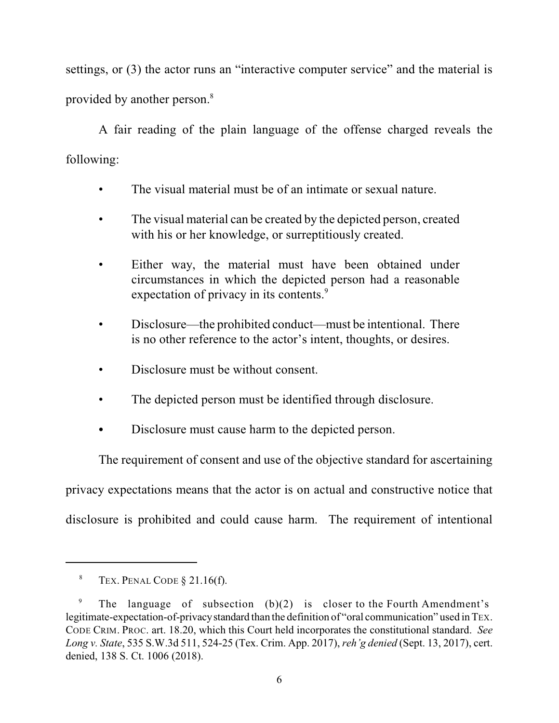settings, or (3) the actor runs an "interactive computer service" and the material is provided by another person. 8

A fair reading of the plain language of the offense charged reveals the following:

- The visual material must be of an intimate or sexual nature.
- The visual material can be created by the depicted person, created with his or her knowledge, or surreptitiously created.
- Either way, the material must have been obtained under circumstances in which the depicted person had a reasonable expectation of privacy in its contents.<sup>9</sup>
- Disclosure—the prohibited conduct—must be intentional. There is no other reference to the actor's intent, thoughts, or desires.
- Disclosure must be without consent.
- The depicted person must be identified through disclosure.
- Disclosure must cause harm to the depicted person.

The requirement of consent and use of the objective standard for ascertaining privacy expectations means that the actor is on actual and constructive notice that disclosure is prohibited and could cause harm. The requirement of intentional

TEX. PENAL CODE § 21.16(f). 8

The language of subsection (b)(2) is closer to the Fourth Amendment's 9 legitimate-expectation-of-privacystandard than the definition of "oral communication" used in TEX. CODE CRIM. PROC. art. 18.20, which this Court held incorporates the constitutional standard. *See Long v. State*, 535 S.W.3d 511, 524-25 (Tex. Crim. App. 2017), *reh'g denied* (Sept. 13, 2017), cert. denied, 138 S. Ct. 1006 (2018).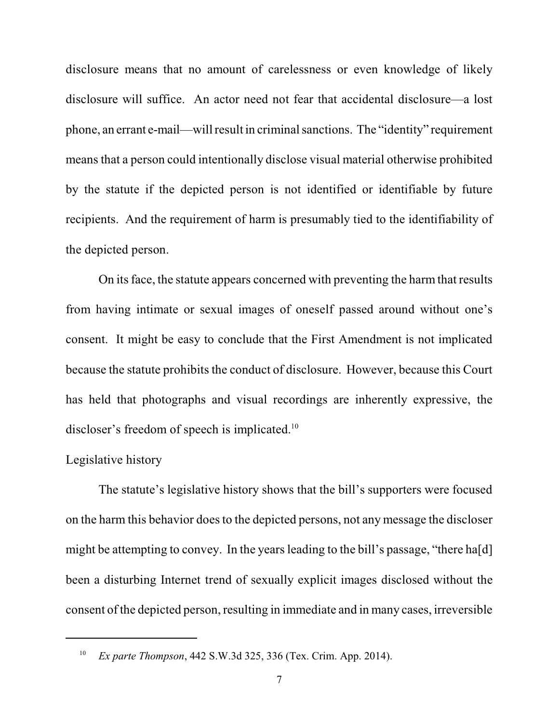disclosure means that no amount of carelessness or even knowledge of likely disclosure will suffice. An actor need not fear that accidental disclosure—a lost phone, an errant e-mail—will result in criminalsanctions. The "identity" requirement means that a person could intentionally disclose visual material otherwise prohibited by the statute if the depicted person is not identified or identifiable by future recipients. And the requirement of harm is presumably tied to the identifiability of the depicted person.

On its face, the statute appears concerned with preventing the harm that results from having intimate or sexual images of oneself passed around without one's consent. It might be easy to conclude that the First Amendment is not implicated because the statute prohibits the conduct of disclosure. However, because this Court has held that photographs and visual recordings are inherently expressive, the discloser's freedom of speech is implicated.<sup>10</sup>

## Legislative history

The statute's legislative history shows that the bill's supporters were focused on the harm this behavior doesto the depicted persons, not any message the discloser might be attempting to convey. In the years leading to the bill's passage, "there ha[d] been a disturbing Internet trend of sexually explicit images disclosed without the consent of the depicted person, resulting in immediate and in many cases, irreversible

<sup>&</sup>lt;sup>10</sup> *Ex parte Thompson*, 442 S.W.3d 325, 336 (Tex. Crim. App. 2014).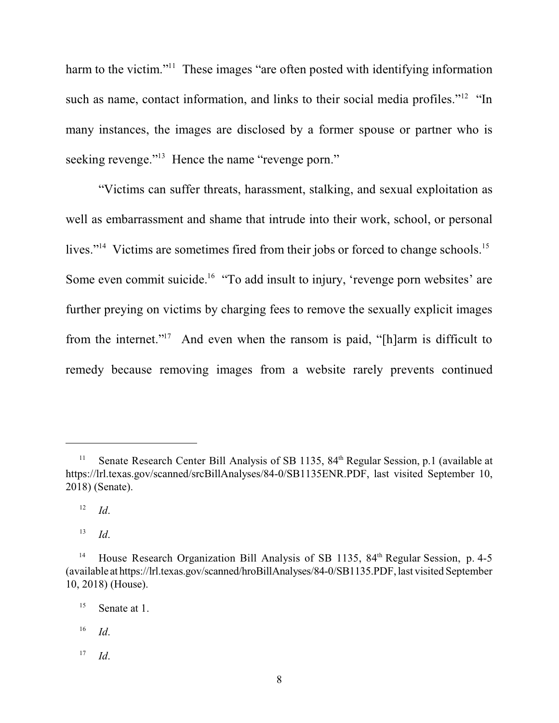harm to the victim."<sup>11</sup> These images "are often posted with identifying information such as name, contact information, and links to their social media profiles."<sup>12</sup> "In many instances, the images are disclosed by a former spouse or partner who is seeking revenge."<sup>13</sup> Hence the name "revenge porn."

"Victims can suffer threats, harassment, stalking, and sexual exploitation as well as embarrassment and shame that intrude into their work, school, or personal lives."<sup>14</sup> Victims are sometimes fired from their jobs or forced to change schools.<sup>15</sup> Some even commit suicide.<sup>16</sup> "To add insult to injury, 'revenge porn websites' are further preying on victims by charging fees to remove the sexually explicit images from the internet."<sup>17</sup> And even when the ransom is paid, "[h]arm is difficult to remedy because removing images from a website rarely prevents continued

 *Id*. 13

Senate Research Center Bill Analysis of SB 1135, 84<sup>th</sup> Regular Session, p.1 (available at https://lrl.texas.gov/scanned/srcBillAnalyses/84-0/SB1135ENR.PDF, last visited September 10, 2018) (Senate).

*Id*. 12

<sup>&</sup>lt;sup>14</sup> House Research Organization Bill Analysis of SB 1135,  $84<sup>th</sup>$  Regular Session, p. 4-5 (available at https://lrl.texas.gov/scanned/hroBillAnalyses/84-0/SB1135.PDF, last visited September 10, 2018) (House).

 $^{15}$  Senate at 1.

*Id*. 16

*Id*. 17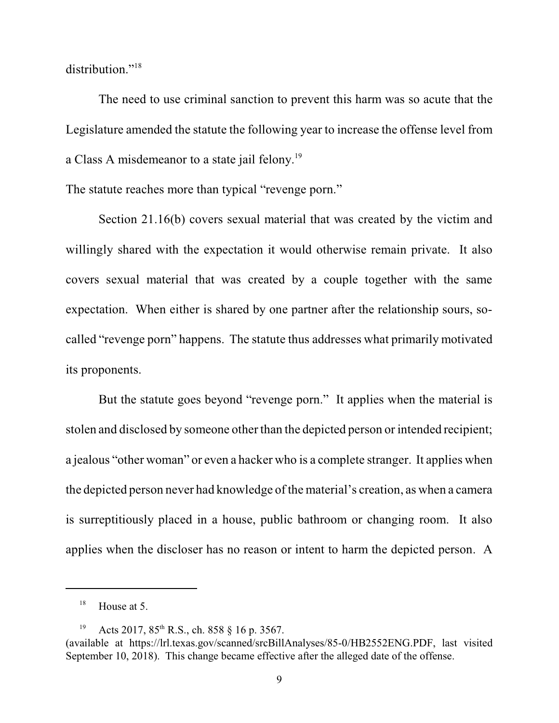distribution."<sup>18</sup>

The need to use criminal sanction to prevent this harm was so acute that the Legislature amended the statute the following year to increase the offense level from a Class A misdemeanor to a state jail felony.<sup>19</sup>

The statute reaches more than typical "revenge porn."

Section 21.16(b) covers sexual material that was created by the victim and willingly shared with the expectation it would otherwise remain private. It also covers sexual material that was created by a couple together with the same expectation. When either is shared by one partner after the relationship sours, socalled "revenge porn" happens. The statute thus addresses what primarily motivated its proponents.

But the statute goes beyond "revenge porn." It applies when the material is stolen and disclosed by someone other than the depicted person or intended recipient; a jealous "other woman" or even a hacker who is a complete stranger. It applies when the depicted person never had knowledge of the material's creation, as when a camera is surreptitiously placed in a house, public bathroom or changing room. It also applies when the discloser has no reason or intent to harm the depicted person. A

 $^{18}$  House at 5.

Acts 2017,  $85<sup>th</sup>$  R.S., ch. 858  $\S$  16 p. 3567.

<sup>(</sup>available at https://lrl.texas.gov/scanned/srcBillAnalyses/85-0/HB2552ENG.PDF, last visited September 10, 2018). This change became effective after the alleged date of the offense.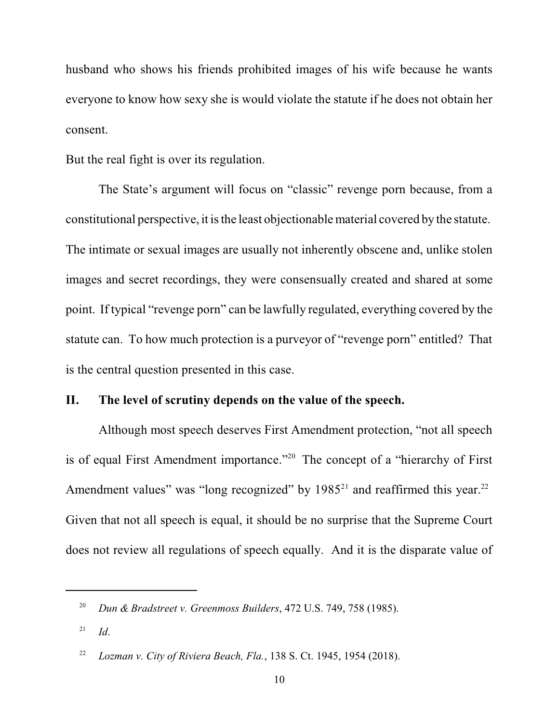husband who shows his friends prohibited images of his wife because he wants everyone to know how sexy she is would violate the statute if he does not obtain her consent.

But the real fight is over its regulation.

The State's argument will focus on "classic" revenge porn because, from a constitutional perspective, it isthe least objectionablematerial covered by the statute. The intimate or sexual images are usually not inherently obscene and, unlike stolen images and secret recordings, they were consensually created and shared at some point. If typical "revenge porn" can be lawfully regulated, everything covered by the statute can. To how much protection is a purveyor of "revenge porn" entitled? That is the central question presented in this case.

## **II. The level of scrutiny depends on the value of the speech.**

Although most speech deserves First Amendment protection, "not all speech is of equal First Amendment importance."<sup>20</sup> The concept of a "hierarchy of First Amendment values" was "long recognized" by  $1985<sup>21</sup>$  and reaffirmed this year.<sup>22</sup> Given that not all speech is equal, it should be no surprise that the Supreme Court does not review all regulations of speech equally. And it is the disparate value of

<sup>&</sup>lt;sup>20</sup> Dun & Bradstreet v. Greenmoss Builders, 472 U.S. 749, 758 (1985).

*Id*. 21

<sup>&</sup>lt;sup>22</sup> *Lozman v. City of Riviera Beach, Fla.*, 138 S. Ct. 1945, 1954 (2018).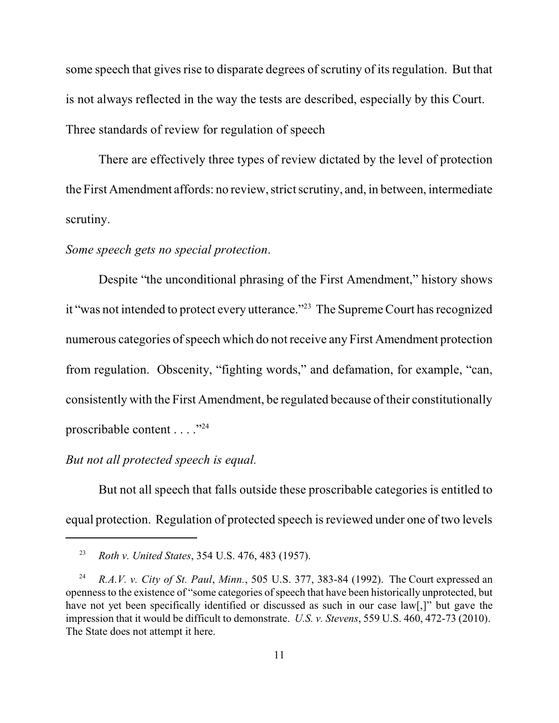some speech that gives rise to disparate degrees of scrutiny of its regulation. But that is not always reflected in the way the tests are described, especially by this Court. Three standards of review for regulation of speech

There are effectively three types of review dictated by the level of protection the First Amendment affords: no review, strict scrutiny, and, in between, intermediate scrutiny.

#### *Some speech gets no special protection*.

Despite "the unconditional phrasing of the First Amendment," history shows it "was not intended to protect every utterance."<sup>23</sup> The Supreme Court has recognized numerous categories of speech which do not receive any First Amendment protection from regulation. Obscenity, "fighting words," and defamation, for example, "can, consistently with the First Amendment, be regulated because of their constitutionally proscribable content . . . . "<sup>24</sup>

#### *But not all protected speech is equal.*

But not all speech that falls outside these proscribable categories is entitled to equal protection. Regulation of protected speech is reviewed under one of two levels

*Roth v. United States*, 354 U.S. 476, 483 (1957). <sup>23</sup>

*R.A.V. v. City of St. Paul*, *Minn.*, 505 U.S. 377, 383-84 (1992). The Court expressed an <sup>24</sup> openness to the existence of "some categories of speech that have been historically unprotected, but have not yet been specifically identified or discussed as such in our case law[,]" but gave the impression that it would be difficult to demonstrate. *U.S. v. Stevens*, 559 U.S. 460, 472-73 (2010). The State does not attempt it here.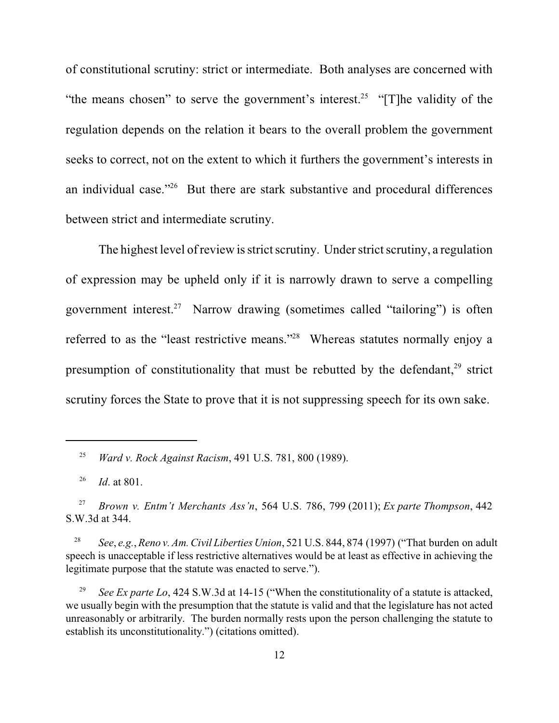of constitutional scrutiny: strict or intermediate. Both analyses are concerned with "the means chosen" to serve the government's interest.<sup>25</sup> "[T]he validity of the regulation depends on the relation it bears to the overall problem the government seeks to correct, not on the extent to which it furthers the government's interests in an individual case." $26$  But there are stark substantive and procedural differences between strict and intermediate scrutiny.

The highest level of review is strict scrutiny. Under strict scrutiny, a regulation of expression may be upheld only if it is narrowly drawn to serve a compelling government interest.<sup>27</sup> Narrow drawing (sometimes called "tailoring") is often referred to as the "least restrictive means."<sup>28</sup> Whereas statutes normally enjoy a presumption of constitutionality that must be rebutted by the defendant, $29$  strict scrutiny forces the State to prove that it is not suppressing speech for its own sake.

*Ward v. Rock Against Racism*, 491 U.S. 781, 800 (1989). <sup>25</sup>

<sup>&</sup>lt;sup>26</sup> *Id.* at 801.

*Brown v. Entm't Merchants Ass'n*, 564 U.S. 786, 799 (2011); *Ex parte Thompson*, 442 27 S.W.3d at 344.

<sup>&</sup>lt;sup>28</sup> See, e.g., *Reno v. Am. Civil Liberties Union*, 521 U.S. 844, 874 (1997) ("That burden on adult speech is unacceptable if less restrictive alternatives would be at least as effective in achieving the legitimate purpose that the statute was enacted to serve.").

*See Ex parte Lo*, 424 S.W.3d at 14-15 ("When the constitutionality of a statute is attacked, we usually begin with the presumption that the statute is valid and that the legislature has not acted unreasonably or arbitrarily. The burden normally rests upon the person challenging the statute to establish its unconstitutionality.") (citations omitted).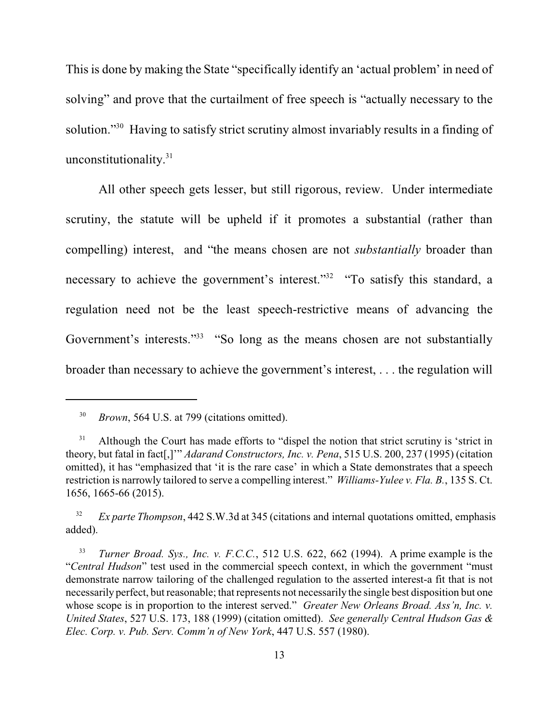This is done by making the State "specifically identify an 'actual problem' in need of solving" and prove that the curtailment of free speech is "actually necessary to the solution."<sup>30</sup> Having to satisfy strict scrutiny almost invariably results in a finding of unconstitutionality. 31

All other speech gets lesser, but still rigorous, review. Under intermediate scrutiny, the statute will be upheld if it promotes a substantial (rather than compelling) interest, and "the means chosen are not *substantially* broader than necessary to achieve the government's interest."<sup>32</sup> "To satisfy this standard, a regulation need not be the least speech-restrictive means of advancing the Government's interests."<sup>33</sup> "So long as the means chosen are not substantially broader than necessary to achieve the government's interest, . . . the regulation will

<sup>32</sup> *Ex parte Thompson*, 442 S.W.3d at 345 (citations and internal quotations omitted, emphasis added).

<sup>&</sup>lt;sup>30</sup> *Brown*, 564 U.S. at 799 (citations omitted).

Although the Court has made efforts to "dispel the notion that strict scrutiny is 'strict in 31 theory, but fatal in fact[,]'" *Adarand Constructors, Inc. v. Pena*, 515 U.S. 200, 237 (1995) (citation omitted), it has "emphasized that 'it is the rare case' in which a State demonstrates that a speech restriction is narrowly tailored to serve a compelling interest." *Williams-Yulee v. Fla. B.*, 135 S. Ct. 1656, 1665-66 (2015).

*Turner Broad. Sys., Inc. v. F.C.C.*, 512 U.S. 622, 662 (1994). A prime example is the 33 "*Central Hudson*" test used in the commercial speech context, in which the government "must demonstrate narrow tailoring of the challenged regulation to the asserted interest-a fit that is not necessarily perfect, but reasonable; that represents not necessarily the single best disposition but one whose scope is in proportion to the interest served." *Greater New Orleans Broad. Ass'n, Inc. v. United States*, 527 U.S. 173, 188 (1999) (citation omitted). *See generally Central Hudson Gas & Elec. Corp. v. Pub. Serv. Comm'n of New York*, 447 U.S. 557 (1980).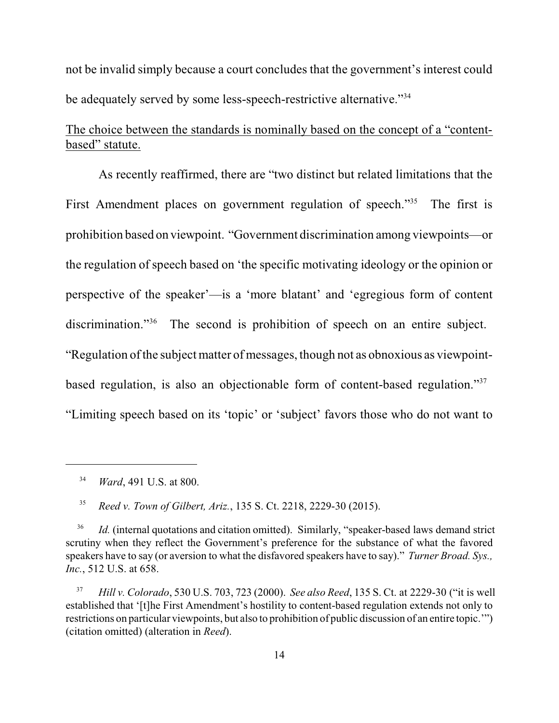not be invalid simply because a court concludes that the government's interest could be adequately served by some less-speech-restrictive alternative."<sup>34</sup>

# The choice between the standards is nominally based on the concept of a "contentbased" statute.

As recently reaffirmed, there are "two distinct but related limitations that the First Amendment places on government regulation of speech."<sup>35</sup> The first is prohibition based on viewpoint. "Government discrimination among viewpoints—or the regulation of speech based on 'the specific motivating ideology or the opinion or perspective of the speaker'—is a 'more blatant' and 'egregious form of content discrimination."<sup> $36$ </sup> The second is prohibition of speech on an entire subject. "Regulation ofthe subject matter of messages, though not as obnoxious as viewpointbased regulation, is also an objectionable form of content-based regulation."<sup>37</sup> "Limiting speech based on its 'topic' or 'subject' favors those who do not want to

<sup>34</sup> *Ward*, 491 U.S. at 800.

 *Reed v. Town of Gilbert, Ariz.*, 135 S. Ct. 2218, 2229-30 (2015). 35

*Id.* (internal quotations and citation omitted). Similarly, "speaker-based laws demand strict 36 scrutiny when they reflect the Government's preference for the substance of what the favored speakers have to say (or aversion to what the disfavored speakers have to say)." *Turner Broad. Sys., Inc.*, 512 U.S. at 658.

*Hill v. Colorado*, 530 U.S. 703, 723 (2000). *See also Reed*, 135 S. Ct. at 2229-30 ("it is well <sup>37</sup> established that '[t]he First Amendment's hostility to content-based regulation extends not only to restrictions on particular viewpoints, but also to prohibition of public discussion of an entire topic.'") (citation omitted) (alteration in *Reed*).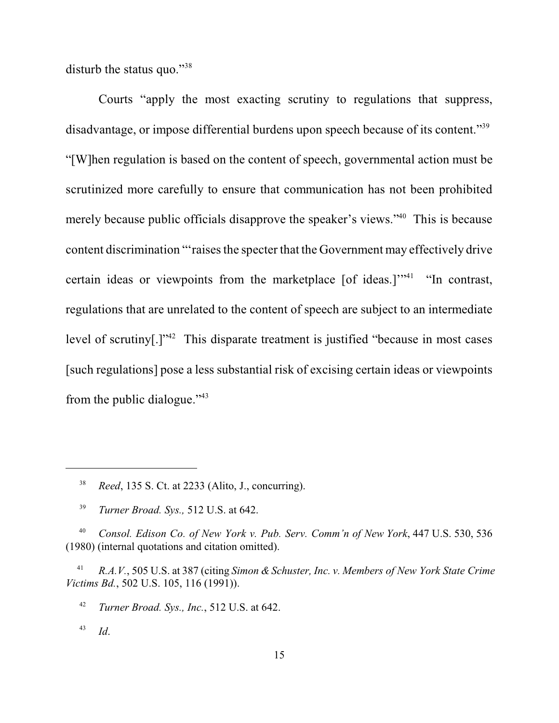disturb the status quo."<sup>38</sup>

Courts "apply the most exacting scrutiny to regulations that suppress, disadvantage, or impose differential burdens upon speech because of its content."<sup>39</sup> "[W]hen regulation is based on the content of speech, governmental action must be scrutinized more carefully to ensure that communication has not been prohibited merely because public officials disapprove the speaker's views."<sup>40</sup> This is because content discrimination "'raises the specter that the Government may effectively drive certain ideas or viewpoints from the marketplace  $[$  of ideas.]"<sup>41</sup> "In contrast, regulations that are unrelated to the content of speech are subject to an intermediate level of scrutiny $[.]$ <sup>342</sup> This disparate treatment is justified "because in most cases [such regulations] pose a less substantial risk of excising certain ideas or viewpoints from the public dialogue."<sup>43</sup>

*R.A.V.*, 505 U.S. at 387 (citing *Simon & Schuster, Inc. v. Members of New York State Crime* <sup>41</sup> *Victims Bd.*, 502 U.S. 105, 116 (1991)).

<sup>42</sup> *Turner Broad. Sys., Inc.*, 512 U.S. at 642.

 *Id*. 43

*Reed*, 135 S. Ct. at 2233 (Alito, J., concurring). <sup>38</sup>

<sup>&</sup>lt;sup>39</sup> *Turner Broad. Sys.,* 512 U.S. at 642.

<sup>&</sup>lt;sup>40</sup> Consol. Edison Co. of New York v. Pub. Serv. Comm'n of New York, 447 U.S. 530, 536 (1980) (internal quotations and citation omitted).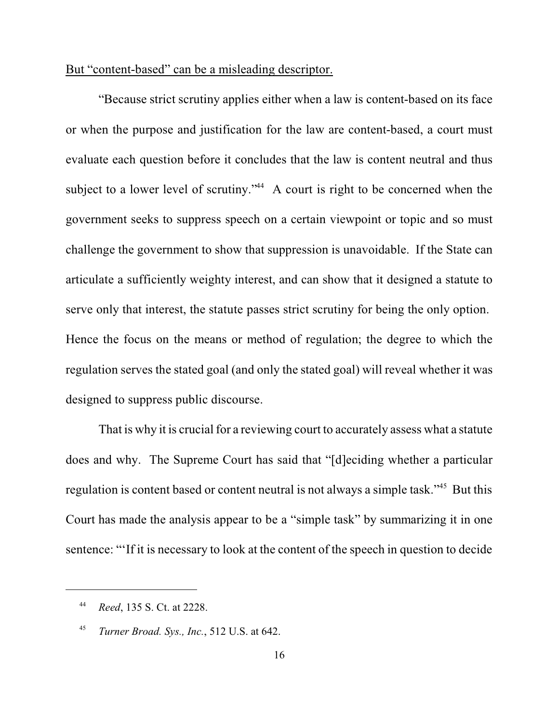## But "content-based" can be a misleading descriptor.

"Because strict scrutiny applies either when a law is content-based on its face or when the purpose and justification for the law are content-based, a court must evaluate each question before it concludes that the law is content neutral and thus subject to a lower level of scrutiny." $44$  A court is right to be concerned when the government seeks to suppress speech on a certain viewpoint or topic and so must challenge the government to show that suppression is unavoidable. If the State can articulate a sufficiently weighty interest, and can show that it designed a statute to serve only that interest, the statute passes strict scrutiny for being the only option. Hence the focus on the means or method of regulation; the degree to which the regulation serves the stated goal (and only the stated goal) will reveal whether it was designed to suppress public discourse.

That is why it is crucial for a reviewing court to accurately assess what a statute does and why. The Supreme Court has said that "[d]eciding whether a particular regulation is content based or content neutral is not always a simple task."<sup>45</sup> But this Court has made the analysis appear to be a "simple task" by summarizing it in one sentence: "'If it is necessary to look at the content of the speech in question to decide

*Reed*, 135 S. Ct. at 2228. <sup>44</sup>

*Turner Broad. Sys., Inc.*, 512 U.S. at 642. <sup>45</sup>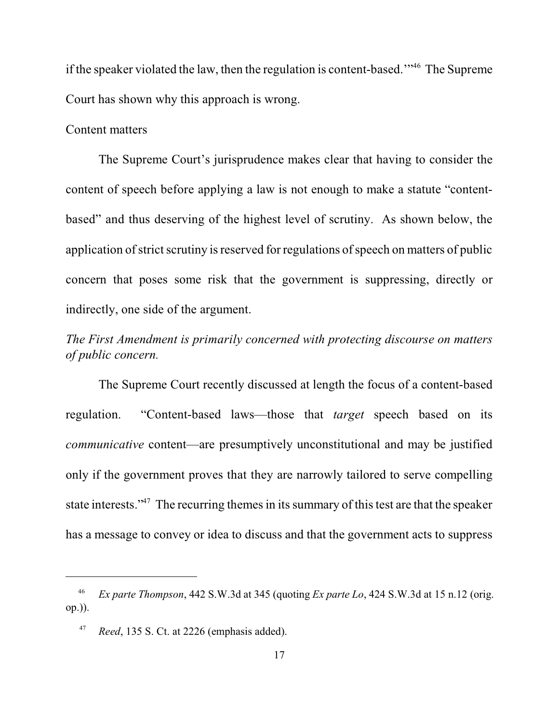if the speaker violated the law, then the regulation is content-based."<sup>46</sup> The Supreme Court has shown why this approach is wrong.

#### Content matters

The Supreme Court's jurisprudence makes clear that having to consider the content of speech before applying a law is not enough to make a statute "contentbased" and thus deserving of the highest level of scrutiny. As shown below, the application of strict scrutiny is reserved for regulations of speech on matters of public concern that poses some risk that the government is suppressing, directly or indirectly, one side of the argument.

# *The First Amendment is primarily concerned with protecting discourse on matters of public concern.*

The Supreme Court recently discussed at length the focus of a content-based regulation. "Content-based laws—those that *target* speech based on its *communicative* content—are presumptively unconstitutional and may be justified only if the government proves that they are narrowly tailored to serve compelling state interests."<sup> $47$ </sup> The recurring themes in its summary of this test are that the speaker has a message to convey or idea to discuss and that the government acts to suppress

*Ex parte Thompson*, 442 S.W.3d at 345 (quoting *Ex parte Lo*, 424 S.W.3d at 15 n.12 (orig. 46 op.)).

*Reed*, 135 S. Ct. at 2226 (emphasis added). 47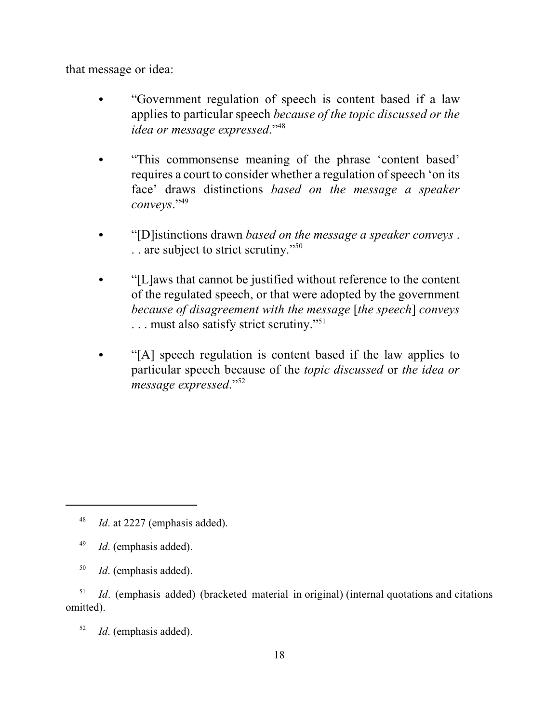that message or idea:

- "Government regulation of speech is content based if a law applies to particular speech *because of the topic discussed or the idea or message expressed*."<sup>48</sup>
- "This commonsense meaning of the phrase 'content based' requires a court to consider whether a regulation of speech 'on its face' draws distinctions *based on the message a speaker conveys*."<sup>49</sup>
- C "[D]istinctions drawn *based on the message a speaker conveys* . . . are subject to strict scrutiny."<sup>50</sup>
- "[L]aws that cannot be justified without reference to the content of the regulated speech, or that were adopted by the government *because of disagreement with the message* [*the speech*] *conveys* . . . must also satisfy strict scrutiny."<sup>51</sup>
- "[A] speech regulation is content based if the law applies to particular speech because of the *topic discussed* or *the idea or message expressed*."<sup>52</sup>

*Id*. at 2227 (emphasis added). 48

<sup>&</sup>lt;sup>49</sup> *Id*. (emphasis added).

<sup>&</sup>lt;sup>50</sup> *Id*. (emphasis added).

*Id*. (emphasis added) (bracketed material in original) (internal quotations and citations 51 omitted).

 $I$ *d*. (emphasis added).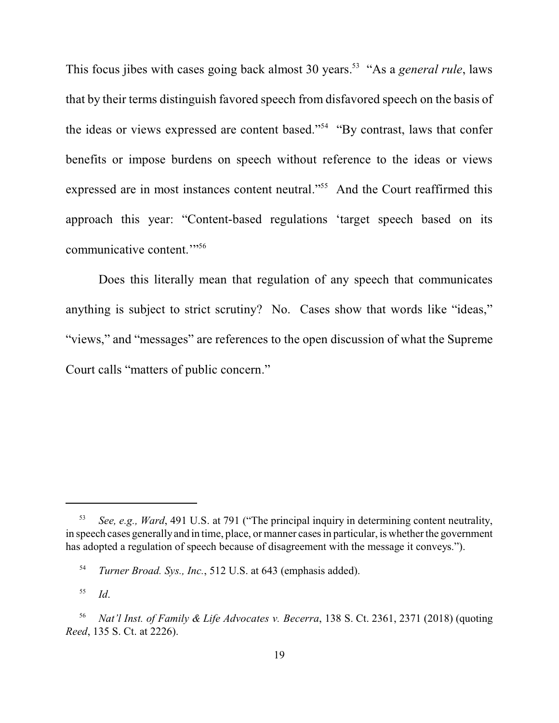This focus jibes with cases going back almost 30 years.<sup>53</sup> "As a *general rule*, laws that by their terms distinguish favored speech from disfavored speech on the basis of the ideas or views expressed are content based."<sup>54</sup> "By contrast, laws that confer benefits or impose burdens on speech without reference to the ideas or views expressed are in most instances content neutral."<sup>55</sup> And the Court reaffirmed this approach this year: "Content-based regulations 'target speech based on its communicative content.'"<sup>56</sup>

Does this literally mean that regulation of any speech that communicates anything is subject to strict scrutiny? No. Cases show that words like "ideas," "views," and "messages" are references to the open discussion of what the Supreme Court calls "matters of public concern."

*See, e.g., Ward*, 491 U.S. at 791 ("The principal inquiry in determining content neutrality, 53 in speech cases generally and in time, place, or manner cases in particular, is whether the government has adopted a regulation of speech because of disagreement with the message it conveys.").

<sup>&</sup>lt;sup>54</sup> *Turner Broad. Sys., Inc.*, 512 U.S. at 643 (emphasis added).

*Id*. 55

*Nat'l Inst. of Family & Life Advocates v. Becerra*, 138 S. Ct. 2361, 2371 (2018) (quoting <sup>56</sup> *Reed*, 135 S. Ct. at 2226).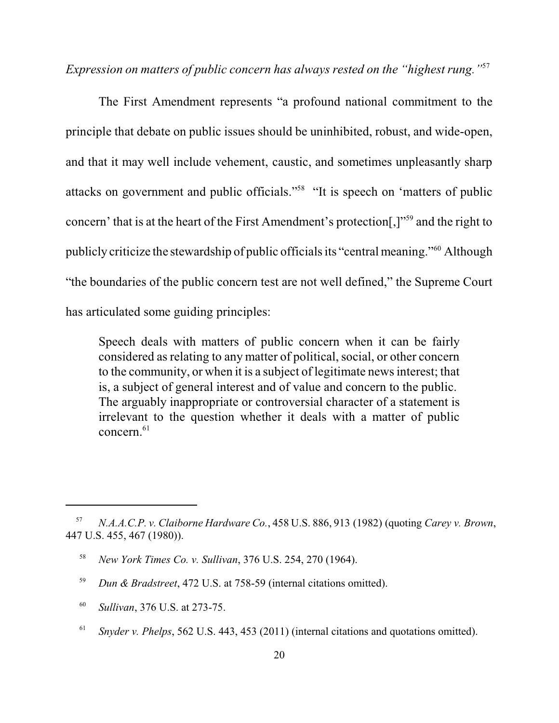*Expression on matters of public concern has always rested on the "highest rung."*<sup>57</sup>

The First Amendment represents "a profound national commitment to the principle that debate on public issues should be uninhibited, robust, and wide-open, and that it may well include vehement, caustic, and sometimes unpleasantly sharp attacks on government and public officials."<sup>58</sup> "It is speech on 'matters of public concern' that is at the heart of the First Amendment's protection.  $\mathbb{R}^{59}$  and the right to publicly criticize the stewardship of public officials its "central meaning."<sup>60</sup> Although "the boundaries of the public concern test are not well defined," the Supreme Court has articulated some guiding principles:

Speech deals with matters of public concern when it can be fairly considered as relating to any matter of political, social, or other concern to the community, or when it is a subject of legitimate news interest; that is, a subject of general interest and of value and concern to the public. The arguably inappropriate or controversial character of a statement is irrelevant to the question whether it deals with a matter of public concern. 61

- *Sullivan*, 376 U.S. at 273-75. <sup>60</sup>
- <sup>61</sup> Snyder v. Phelps, 562 U.S. 443, 453 (2011) (internal citations and quotations omitted).

*N.A.A.C.P. v. Claiborne Hardware Co.*, 458 U.S. 886, 913 (1982) (quoting *Carey v. Brown*, 57 447 U.S. 455, 467 (1980)).

<sup>&</sup>lt;sup>58</sup> *New York Times Co. v. Sullivan*, 376 U.S. 254, 270 (1964).

<sup>&</sup>lt;sup>59</sup> *Dun & Bradstreet*, 472 U.S. at 758-59 (internal citations omitted).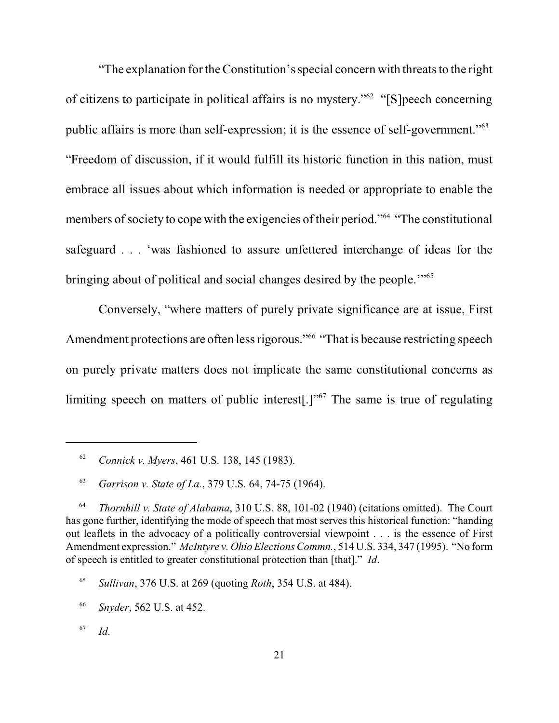"The explanation for the Constitution's special concern with threats to the right of citizens to participate in political affairs is no mystery." $62$  "[S]peech concerning public affairs is more than self-expression; it is the essence of self-government."<sup>63</sup> "Freedom of discussion, if it would fulfill its historic function in this nation, must embrace all issues about which information is needed or appropriate to enable the members of society to cope with the exigencies of their period."<sup>64</sup> "The constitutional safeguard . . . 'was fashioned to assure unfettered interchange of ideas for the bringing about of political and social changes desired by the people."<sup>55</sup>

Conversely, "where matters of purely private significance are at issue, First Amendment protections are often less rigorous."<sup>66</sup> "That is because restricting speech on purely private matters does not implicate the same constitutional concerns as limiting speech on matters of public interest[.]" $\frac{5}{7}$  The same is true of regulating

<sup>&</sup>lt;sup>62</sup> Connick v. Myers, 461 U.S. 138, 145 (1983).

<sup>&</sup>lt;sup>63</sup> *Garrison v. State of La.*, 379 U.S. 64, 74-75 (1964).

<sup>&</sup>lt;sup>64</sup> *Thornhill v. State of Alabama*, 310 U.S. 88, 101-02 (1940) (citations omitted). The Court has gone further, identifying the mode of speech that most serves this historical function: "handing out leaflets in the advocacy of a politically controversial viewpoint . . . is the essence of First Amendment expression." *McIntyre v. Ohio Elections Commn.*, 514 U.S. 334, 347 (1995). "No form of speech is entitled to greater constitutional protection than [that]." *Id*.

*Sullivan*, 376 U.S. at 269 (quoting *Roth*, 354 U.S. at 484). <sup>65</sup>

*Snyder*, 562 U.S. at 452. <sup>66</sup>

*Id*. 67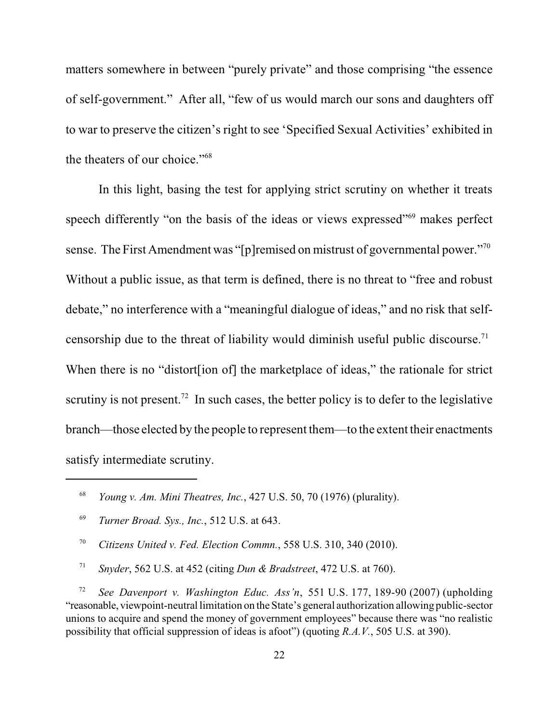matters somewhere in between "purely private" and those comprising "the essence of self-government." After all, "few of us would march our sons and daughters off to war to preserve the citizen's right to see 'Specified Sexual Activities' exhibited in the theaters of our choice."<sup>68</sup>

In this light, basing the test for applying strict scrutiny on whether it treats speech differently "on the basis of the ideas or views expressed"<sup>69</sup> makes perfect sense. The First Amendment was "[p]remised on mistrust of governmental power."<sup>70</sup> Without a public issue, as that term is defined, there is no threat to "free and robust debate," no interference with a "meaningful dialogue of ideas," and no risk that selfcensorship due to the threat of liability would diminish useful public discourse.<sup>71</sup> When there is no "distort [ion of] the market place of ideas," the rationale for strict scrutiny is not present.<sup>72</sup> In such cases, the better policy is to defer to the legislative branch—those elected by the people to represent them—to the extent their enactments satisfy intermediate scrutiny.

*Snyder*, 562 U.S. at 452 (citing *Dun & Bradstreet*, 472 U.S. at 760). <sup>71</sup>

 *See Davenport v. Washington Educ. Ass'n*, 551 U.S. 177, 189-90 (2007) (upholding 72 "reasonable, viewpoint-neutral limitation on the State's general authorization allowing public-sector unions to acquire and spend the money of government employees" because there was "no realistic possibility that official suppression of ideas is afoot") (quoting *R.A.V.*, 505 U.S. at 390).

<sup>&</sup>lt;sup>68</sup> *Young v. Am. Mini Theatres, Inc.*, 427 U.S. 50, 70 (1976) (plurality).

<sup>&</sup>lt;sup>69</sup> *Turner Broad. Sys., Inc., 512 U.S. at 643.* 

<sup>&</sup>lt;sup>70</sup> Citizens United v. Fed. Election Commn., 558 U.S. 310, 340 (2010).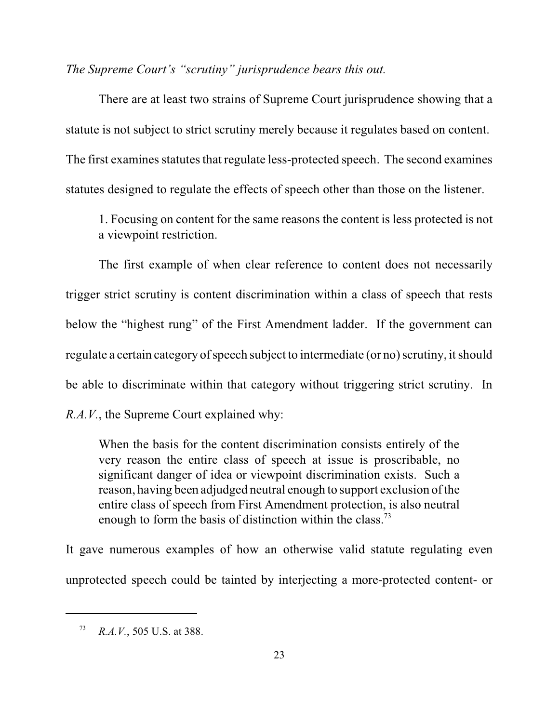*The Supreme Court's "scrutiny" jurisprudence bears this out.*

There are at least two strains of Supreme Court jurisprudence showing that a statute is not subject to strict scrutiny merely because it regulates based on content. The first examines statutes that regulate less-protected speech. The second examines statutes designed to regulate the effects of speech other than those on the listener.

1. Focusing on content for the same reasons the content is less protected is not a viewpoint restriction.

The first example of when clear reference to content does not necessarily trigger strict scrutiny is content discrimination within a class of speech that rests below the "highest rung" of the First Amendment ladder. If the government can regulate a certain category of speech subject to intermediate (or no) scrutiny, it should be able to discriminate within that category without triggering strict scrutiny. In *R.A.V.*, the Supreme Court explained why:

When the basis for the content discrimination consists entirely of the very reason the entire class of speech at issue is proscribable, no significant danger of idea or viewpoint discrimination exists. Such a reason, having been adjudged neutral enough to support exclusion ofthe entire class of speech from First Amendment protection, is also neutral enough to form the basis of distinction within the class.<sup>73</sup>

It gave numerous examples of how an otherwise valid statute regulating even unprotected speech could be tainted by interjecting a more-protected content- or

<sup>&</sup>lt;sup>73</sup> *R.A.V.*, 505 U.S. at 388.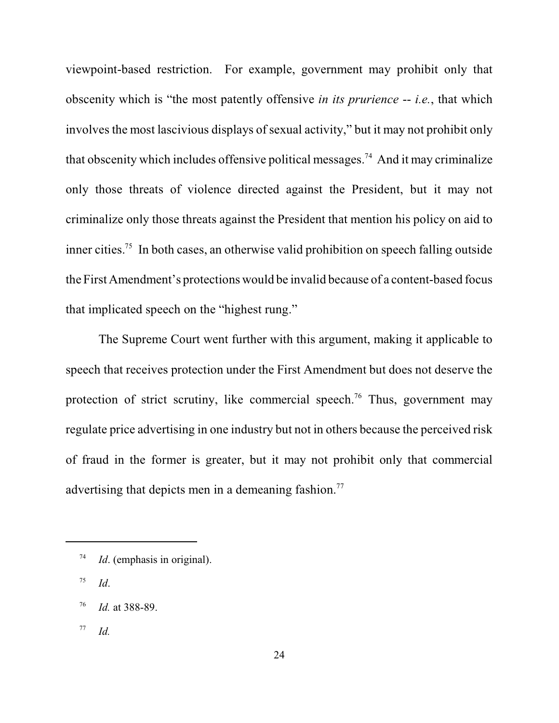viewpoint-based restriction. For example, government may prohibit only that obscenity which is "the most patently offensive *in its prurience* -- *i.e.*, that which involves the most lascivious displays of sexual activity," but it may not prohibit only that obscenity which includes offensive political messages.<sup>74</sup> And it may criminalize only those threats of violence directed against the President, but it may not criminalize only those threats against the President that mention his policy on aid to inner cities.<sup>75</sup> In both cases, an otherwise valid prohibition on speech falling outside the First Amendment's protections would be invalid because of a content-based focus that implicated speech on the "highest rung."

The Supreme Court went further with this argument, making it applicable to speech that receives protection under the First Amendment but does not deserve the protection of strict scrutiny, like commercial speech.<sup>76</sup> Thus, government may regulate price advertising in one industry but not in others because the perceived risk of fraud in the former is greater, but it may not prohibit only that commercial advertising that depicts men in a demeaning fashion.<sup>77</sup>

 $^{77}$  *Id.* 

 $I<sup>74</sup>$  *Id.* (emphasis in original).

*Id*. 75

<sup>&</sup>lt;sup>76</sup> *Id.* at 388-89.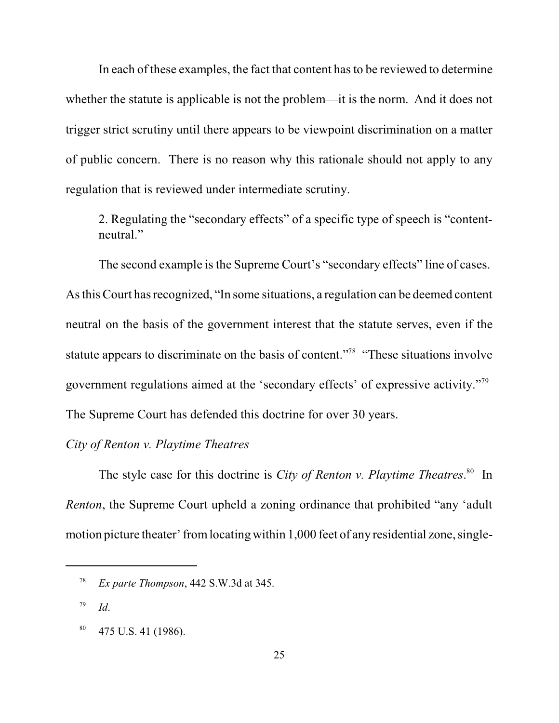In each of these examples, the fact that content has to be reviewed to determine whether the statute is applicable is not the problem—it is the norm. And it does not trigger strict scrutiny until there appears to be viewpoint discrimination on a matter of public concern. There is no reason why this rationale should not apply to any regulation that is reviewed under intermediate scrutiny.

2. Regulating the "secondary effects" of a specific type of speech is "contentneutral."

The second example is the Supreme Court's "secondary effects" line of cases. As thisCourt has recognized, "In some situations, a regulation can be deemed content neutral on the basis of the government interest that the statute serves, even if the statute appears to discriminate on the basis of content."<sup>78</sup> "These situations involve government regulations aimed at the 'secondary effects' of expressive activity."<sup>79</sup> The Supreme Court has defended this doctrine for over 30 years.

#### *City of Renton v. Playtime Theatres*

The style case for this doctrine is *City of Renton v. Playtime Theatres*.<sup>80</sup> In *Renton*, the Supreme Court upheld a zoning ordinance that prohibited "any 'adult motion picture theater' fromlocating within 1,000 feet of any residential zone, single-

<sup>&</sup>lt;sup>78</sup> *Ex parte Thompson*, 442 S.W.3d at 345.

*Id*. 79

 $180$  475 U.S. 41 (1986).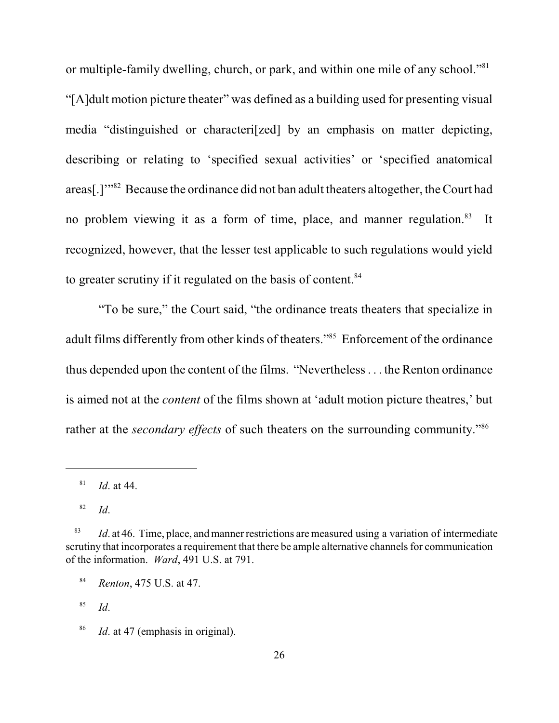or multiple-family dwelling, church, or park, and within one mile of any school."<sup>81</sup> "[A]dult motion picture theater" was defined as a building used for presenting visual media "distinguished or characteri[zed] by an emphasis on matter depicting, describing or relating to 'specified sexual activities' or 'specified anatomical areas[.]" $\cdot$ <sup>32</sup> Because the ordinance did not ban adult theaters altogether, the Court had no problem viewing it as a form of time, place, and manner regulation.<sup>83</sup> It recognized, however, that the lesser test applicable to such regulations would yield to greater scrutiny if it regulated on the basis of content.<sup>84</sup>

"To be sure," the Court said, "the ordinance treats theaters that specialize in adult films differently from other kinds of theaters."<sup>85</sup> Enforcement of the ordinance thus depended upon the content of the films. "Nevertheless. . . the Renton ordinance is aimed not at the *content* of the films shown at 'adult motion picture theatres,' but rather at the *secondary effects* of such theaters on the surrounding community."<sup>86</sup>

 *Id*. 85

 $^{81}$  *Id.* at 44.

*Id*. 82

 $I_{d}$ . at 46. Time, place, and manner restrictions are measured using a variation of intermediate scrutiny that incorporates a requirement that there be ample alternative channels for communication of the information. *Ward*, 491 U.S. at 791.

<sup>&</sup>lt;sup>84</sup> *Renton*, 475 U.S. at 47.

<sup>&</sup>lt;sup>86</sup> *Id.* at 47 (emphasis in original).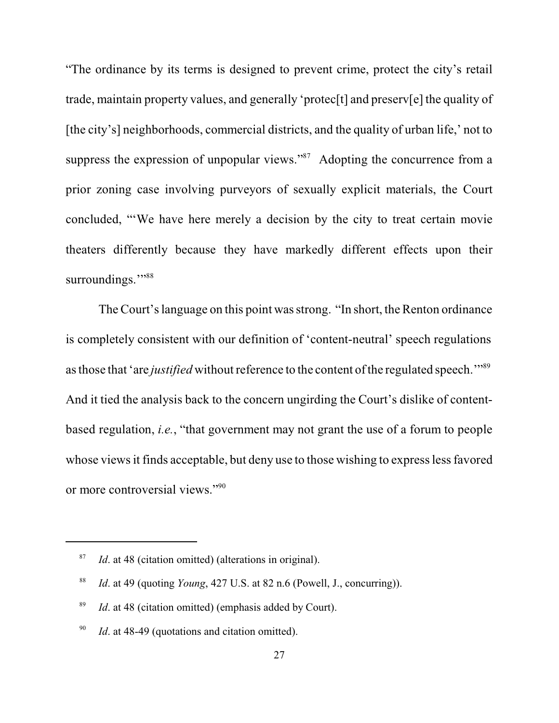"The ordinance by its terms is designed to prevent crime, protect the city's retail trade, maintain property values, and generally 'protec[t] and preserv[e] the quality of [the city's] neighborhoods, commercial districts, and the quality of urban life,' not to suppress the expression of unpopular views." $87$  Adopting the concurrence from a prior zoning case involving purveyors of sexually explicit materials, the Court concluded, "'We have here merely a decision by the city to treat certain movie theaters differently because they have markedly different effects upon their surroundings."<sup>88</sup>

The Court's language on this point wasstrong. "In short, the Renton ordinance is completely consistent with our definition of 'content-neutral' speech regulations as those that 'are *justified* without reference to the content of the regulated speech."<sup>89</sup> And it tied the analysis back to the concern ungirding the Court's dislike of contentbased regulation, *i.e.*, "that government may not grant the use of a forum to people whose views it finds acceptable, but deny use to those wishing to express less favored or more controversial views."<sup>90</sup>

<sup>&</sup>lt;sup>87</sup> *Id.* at 48 (citation omitted) (alterations in original).

<sup>&</sup>lt;sup>88</sup> *Id.* at 49 (quoting *Young*, 427 U.S. at 82 n.6 (Powell, J., concurring)).

 $I$ <sup>89</sup> *Id.* at 48 (citation omitted) (emphasis added by Court).

 $1d$ . at 48-49 (quotations and citation omitted).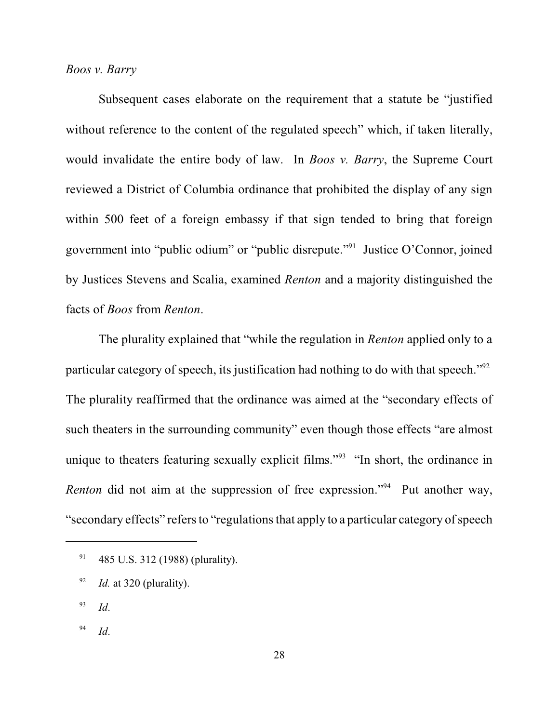#### *Boos v. Barry*

Subsequent cases elaborate on the requirement that a statute be "justified without reference to the content of the regulated speech" which, if taken literally, would invalidate the entire body of law. In *Boos v. Barry*, the Supreme Court reviewed a District of Columbia ordinance that prohibited the display of any sign within 500 feet of a foreign embassy if that sign tended to bring that foreign government into "public odium" or "public disrepute."<sup>91</sup> Justice O'Connor, joined by Justices Stevens and Scalia, examined *Renton* and a majority distinguished the facts of *Boos* from *Renton*.

The plurality explained that "while the regulation in *Renton* applied only to a particular category of speech, its justification had nothing to do with that speech."<sup>92</sup> The plurality reaffirmed that the ordinance was aimed at the "secondary effects of such theaters in the surrounding community" even though those effects "are almost unique to theaters featuring sexually explicit films."<sup>93</sup> "In short, the ordinance in *Renton* did not aim at the suppression of free expression."<sup>94</sup> Put another way, "secondary effects" refers to "regulations that apply to a particular category of speech

- *Id*. 93
- *Id*. 94

 $^{91}$  485 U.S. 312 (1988) (plurality).

 $I$ <sup>92</sup> *Id.* at 320 (plurality).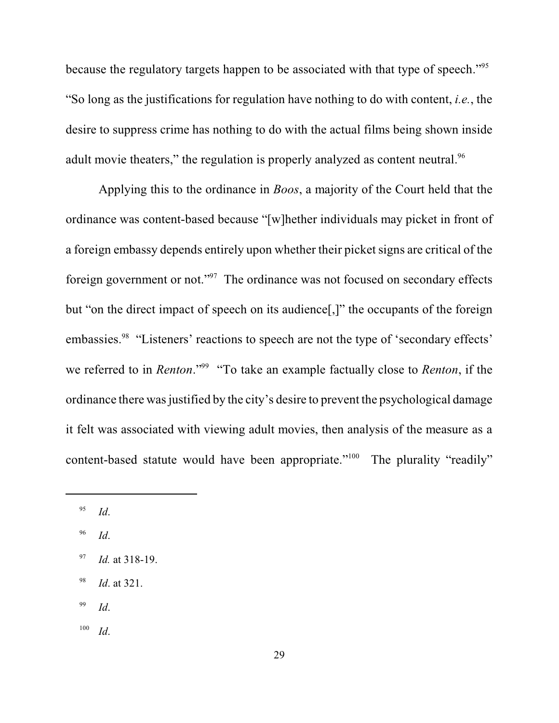because the regulatory targets happen to be associated with that type of speech."<sup>95</sup> "So long as the justifications for regulation have nothing to do with content, *i.e.*, the desire to suppress crime has nothing to do with the actual films being shown inside adult movie theaters," the regulation is properly analyzed as content neutral.<sup>96</sup>

Applying this to the ordinance in *Boos*, a majority of the Court held that the ordinance was content-based because "[w]hether individuals may picket in front of a foreign embassy depends entirely upon whether their picket signs are critical of the foreign government or not." $97$  The ordinance was not focused on secondary effects but "on the direct impact of speech on its audience[,]" the occupants of the foreign embassies.<sup>98</sup> "Listeners' reactions to speech are not the type of 'secondary effects' we referred to in *Renton*."<sup>99</sup> "To take an example factually close to *Renton*, if the ordinance there was justified by the city's desire to prevent the psychological damage it felt was associated with viewing adult movies, then analysis of the measure as a content-based statute would have been appropriate."<sup>100</sup> The plurality "readily"

 *Id*. 96

- <sup>98</sup> *Id.* at 321.
- *Id*. 99
- *Id*. 100

*Id*. 95

<sup>&</sup>lt;sup>97</sup> *Id.* at 318-19.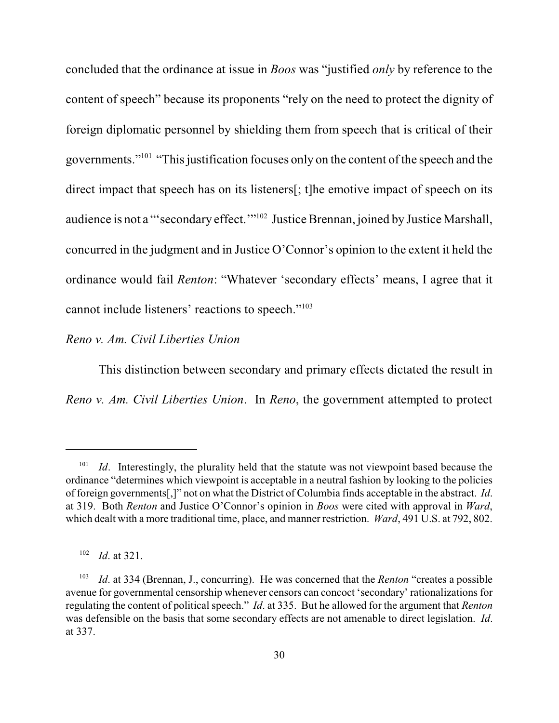concluded that the ordinance at issue in *Boos* was "justified *only* by reference to the content of speech" because its proponents "rely on the need to protect the dignity of foreign diplomatic personnel by shielding them from speech that is critical of their governments."<sup>101</sup> "This justification focuses only on the content of the speech and the direct impact that speech has on its listeners[; t]he emotive impact of speech on its audience is not a "'secondary effect.'"<sup>102</sup> Justice Brennan, joined by Justice Marshall, concurred in the judgment and in Justice O'Connor's opinion to the extent it held the ordinance would fail *Renton*: "Whatever 'secondary effects' means, I agree that it cannot include listeners' reactions to speech."<sup>103</sup>

#### *Reno v. Am. Civil Liberties Union*

This distinction between secondary and primary effects dictated the result in *Reno v. Am. Civil Liberties Union*. In *Reno*, the government attempted to protect

*Id*. Interestingly, the plurality held that the statute was not viewpoint based because the 101 ordinance "determines which viewpoint is acceptable in a neutral fashion by looking to the policies of foreign governments[,]" not on what the District of Columbia finds acceptable in the abstract. *Id*. at 319. Both *Renton* and Justice O'Connor's opinion in *Boos* were cited with approval in *Ward*, which dealt with a more traditional time, place, and manner restriction. *Ward*, 491 U.S. at 792, 802.

 $I^{102}$  *Id.* at 321.

*Id.* at 334 (Brennan, J., concurring). He was concerned that the *Renton* "creates a possible avenue for governmental censorship whenever censors can concoct 'secondary' rationalizations for regulating the content of political speech." *Id*. at 335. But he allowed for the argument that *Renton* was defensible on the basis that some secondary effects are not amenable to direct legislation. *Id*. at 337.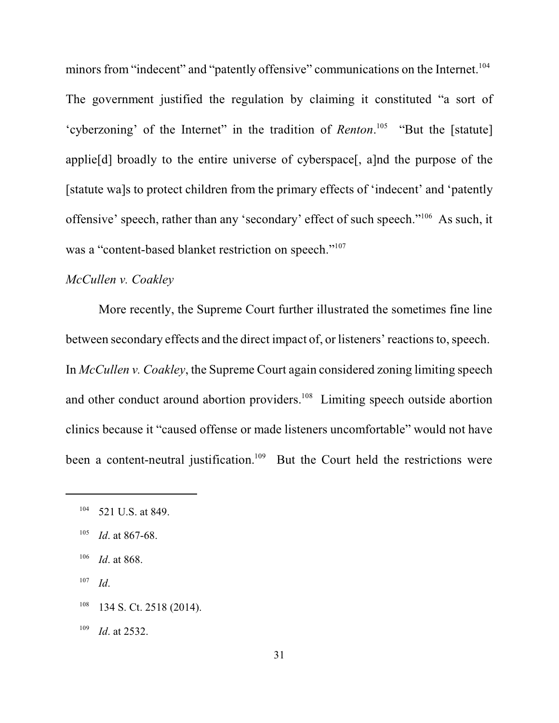minors from "indecent" and "patently offensive" communications on the Internet.<sup>104</sup> The government justified the regulation by claiming it constituted "a sort of 'cyberzoning' of the Internet" in the tradition of *Renton*.<sup>105</sup> "But the [statute] applie[d] broadly to the entire universe of cyberspace[, a]nd the purpose of the [statute wa]s to protect children from the primary effects of 'indecent' and 'patently offensive' speech, rather than any 'secondary' effect of such speech." $106$  As such, it was a "content-based blanket restriction on speech."<sup>107</sup>

## *McCullen v. Coakley*

More recently, the Supreme Court further illustrated the sometimes fine line between secondary effects and the direct impact of, or listeners' reactions to, speech. In *McCullen v. Coakley*, the Supreme Court again considered zoning limiting speech and other conduct around abortion providers.<sup>108</sup> Limiting speech outside abortion clinics because it "caused offense or made listeners uncomfortable" would not have been a content-neutral justification.<sup>109</sup> But the Court held the restrictions were

- *Id*. 107
- $134$  S. Ct. 2518 (2014).
- $109$  *Id.* at 2532.

 $104$  521 U.S. at 849.

 $105$  *Id.* at 867-68.

 $106$  *Id.* at 868.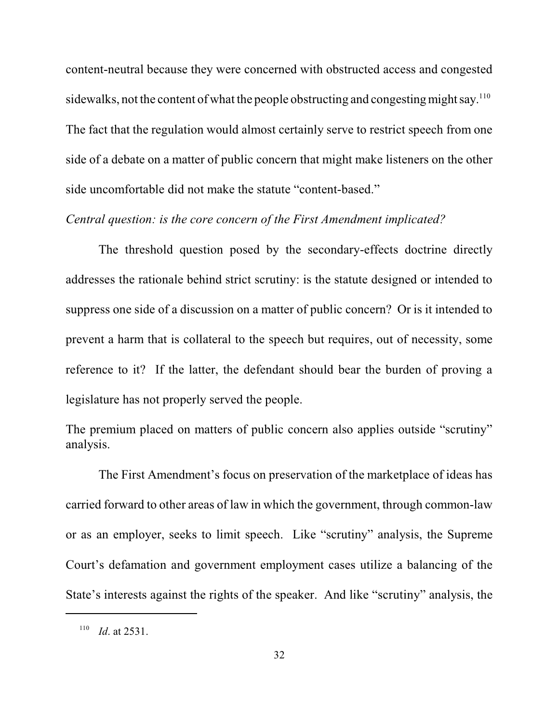content-neutral because they were concerned with obstructed access and congested sidewalks, not the content of what the people obstructing and congesting might say.<sup>110</sup> The fact that the regulation would almost certainly serve to restrict speech from one side of a debate on a matter of public concern that might make listeners on the other side uncomfortable did not make the statute "content-based."

#### *Central question: is the core concern of the First Amendment implicated?*

The threshold question posed by the secondary-effects doctrine directly addresses the rationale behind strict scrutiny: is the statute designed or intended to suppress one side of a discussion on a matter of public concern? Or is it intended to prevent a harm that is collateral to the speech but requires, out of necessity, some reference to it? If the latter, the defendant should bear the burden of proving a legislature has not properly served the people.

The premium placed on matters of public concern also applies outside "scrutiny" analysis.

The First Amendment's focus on preservation of the marketplace of ideas has carried forward to other areas of law in which the government, through common-law or as an employer, seeks to limit speech. Like "scrutiny" analysis, the Supreme Court's defamation and government employment cases utilize a balancing of the State's interests against the rights of the speaker. And like "scrutiny" analysis, the

 $110$  *Id.* at 2531.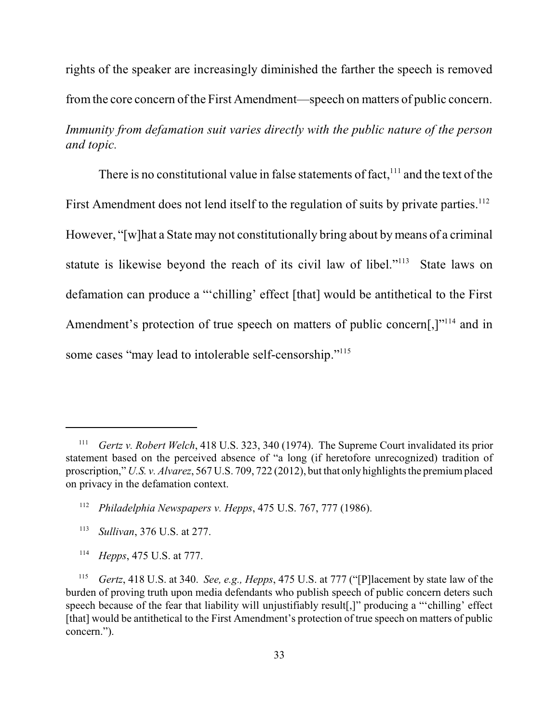rights of the speaker are increasingly diminished the farther the speech is removed fromthe core concern of the First Amendment—speech on matters of public concern. *Immunity from defamation suit varies directly with the public nature of the person and topic.*

There is no constitutional value in false statements of fact,  $111$  and the text of the First Amendment does not lend itself to the regulation of suits by private parties.<sup>112</sup> However, "[w]hat a State may not constitutionally bring about by means of a criminal statute is likewise beyond the reach of its civil law of libel."<sup> $113$ </sup> State laws on defamation can produce a "'chilling' effect [that] would be antithetical to the First Amendment's protection of true speech on matters of public concern[,] $"114$  and in some cases "may lead to intolerable self-censorship."<sup>115</sup>

<sup>114</sup> *Hepps*, 475 U.S. at 777.

*Gertz v. Robert Welch*, 418 U.S. 323, 340 (1974). The Supreme Court invalidated its prior statement based on the perceived absence of "a long (if heretofore unrecognized) tradition of proscription," *U.S. v. Alvarez*, 567 U.S. 709, 722 (2012), but that only highlights the premium placed on privacy in the defamation context.

<sup>&</sup>lt;sup>112</sup> Philadelphia Newspapers v. Hepps, 475 U.S. 767, 777 (1986).

<sup>&</sup>lt;sup>113</sup> *Sullivan*, 376 U.S. at 277.

<sup>&</sup>lt;sup>115</sup> *Gertz*, 418 U.S. at 340. *See, e.g., Hepps*, 475 U.S. at 777 ("[P] lacement by state law of the burden of proving truth upon media defendants who publish speech of public concern deters such speech because of the fear that liability will unjustifiably result[,]" producing a "'chilling' effect [that] would be antithetical to the First Amendment's protection of true speech on matters of public concern.").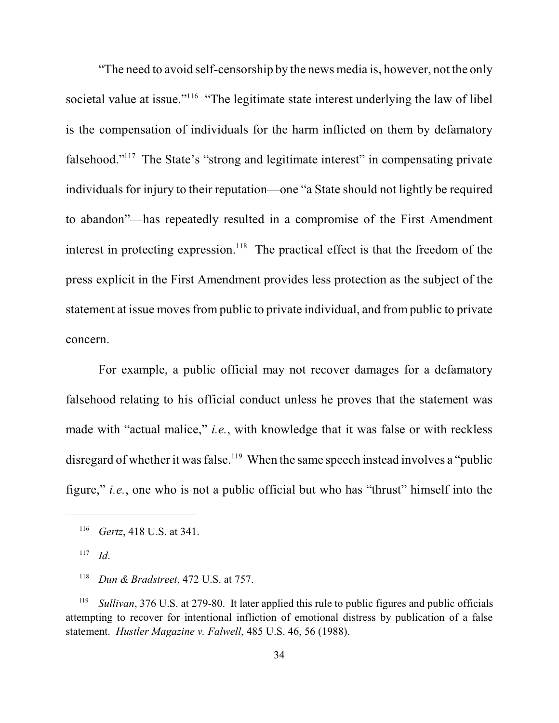"The need to avoid self-censorship by the news media is, however, not the only societal value at issue."<sup>116</sup> "The legitimate state interest underlying the law of libel is the compensation of individuals for the harm inflicted on them by defamatory falsehood."<sup>117</sup> The State's "strong and legitimate interest" in compensating private individuals for injury to their reputation—one "a State should not lightly be required to abandon"—has repeatedly resulted in a compromise of the First Amendment interest in protecting expression.<sup>118</sup> The practical effect is that the freedom of the press explicit in the First Amendment provides less protection as the subject of the statement at issue moves from public to private individual, and from public to private concern.

For example, a public official may not recover damages for a defamatory falsehood relating to his official conduct unless he proves that the statement was made with "actual malice," *i.e.*, with knowledge that it was false or with reckless disregard of whether it was false.<sup> $119$ </sup> When the same speech instead involves a "public" figure," *i.e.*, one who is not a public official but who has "thrust" himself into the

<sup>&</sup>lt;sup>116</sup> *Gertz*, 418 U.S. at 341.

*Id*. 117

<sup>&</sup>lt;sup>118</sup> *Dun & Bradstreet*, 472 U.S. at 757.

<sup>&</sup>lt;sup>119</sup> Sullivan, 376 U.S. at 279-80. It later applied this rule to public figures and public officials attempting to recover for intentional infliction of emotional distress by publication of a false statement. *Hustler Magazine v. Falwell*, 485 U.S. 46, 56 (1988).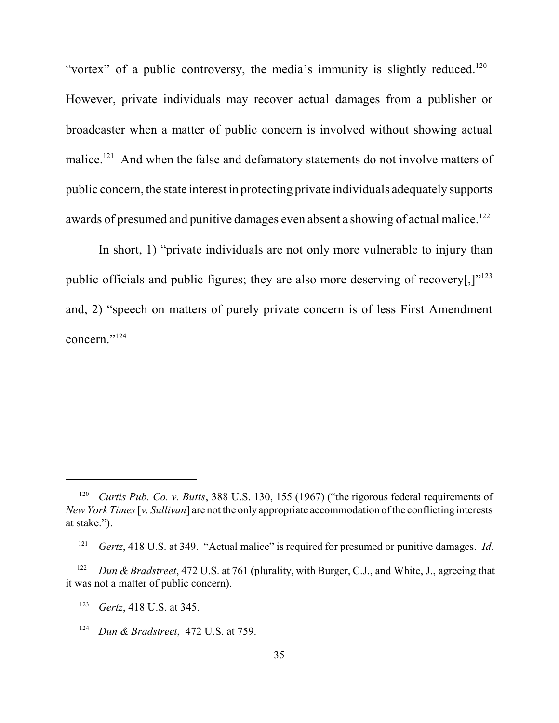"vortex" of a public controversy, the media's immunity is slightly reduced.<sup>120</sup> However, private individuals may recover actual damages from a publisher or broadcaster when a matter of public concern is involved without showing actual malice.<sup> $121$ </sup> And when the false and defamatory statements do not involve matters of public concern, the state interest in protecting private individuals adequately supports awards of presumed and punitive damages even absent a showing of actual malice.<sup>122</sup>

In short, 1) "private individuals are not only more vulnerable to injury than public officials and public figures; they are also more deserving of recovery[, $]$ "<sup>123</sup> and, 2) "speech on matters of purely private concern is of less First Amendment concern."<sup>124</sup>

<sup>&</sup>lt;sup>120</sup> *Curtis Pub. Co. v. Butts*, 388 U.S. 130, 155 (1967) ("the rigorous federal requirements of *New York Times*[*v. Sullivan*] are not the only appropriate accommodation of the conflicting interests at stake.").

*Gertz*, 418 U.S. at 349. "Actual malice" is required for presumed or punitive damages. *Id*. 121

*Dun & Bradstreet*, 472 U.S. at 761 (plurality, with Burger, C.J., and White, J., agreeing that 122 it was not a matter of public concern).

<sup>&</sup>lt;sup>123</sup> *Gertz*, 418 U.S. at 345.

<sup>&</sup>lt;sup>124</sup> *Dun & Bradstreet*, 472 U.S. at 759.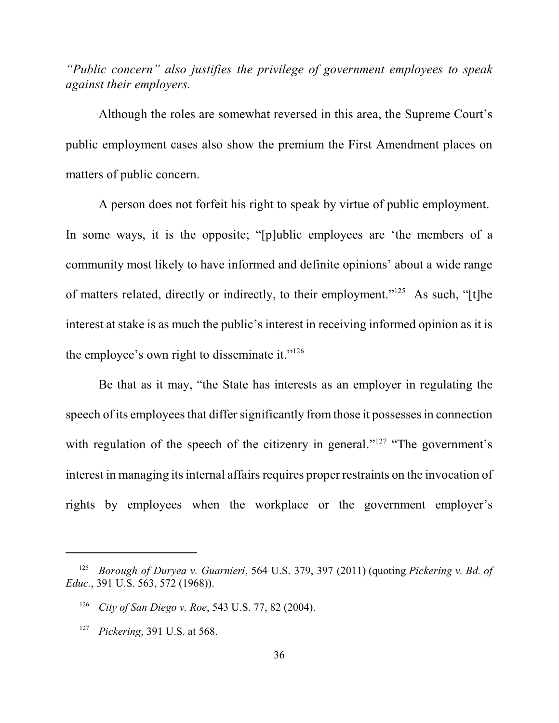*"Public concern" also justifies the privilege of government employees to speak against their employers.*

Although the roles are somewhat reversed in this area, the Supreme Court's public employment cases also show the premium the First Amendment places on matters of public concern.

A person does not forfeit his right to speak by virtue of public employment. In some ways, it is the opposite; "[p]ublic employees are 'the members of a community most likely to have informed and definite opinions' about a wide range of matters related, directly or indirectly, to their employment."<sup>125</sup> As such, "[t]he interest at stake is as much the public's interest in receiving informed opinion as it is the employee's own right to disseminate it."<sup>126</sup>

Be that as it may, "the State has interests as an employer in regulating the speech of its employees that differ significantly from those it possesses in connection with regulation of the speech of the citizenry in general." $127$  "The government's interest in managing its internal affairs requires proper restraints on the invocation of rights by employees when the workplace or the government employer's

*Borough of Duryea v. Guarnieri*, 564 U.S. 379, 397 (2011) (quoting *Pickering v. Bd. of* 125 *Educ.*, 391 U.S. 563, 572 (1968)).

<sup>&</sup>lt;sup>126</sup> *City of San Diego v. Roe, 543 U.S. 77, 82 (2004).* 

<sup>&</sup>lt;sup>127</sup> *Pickering*, 391 U.S. at 568.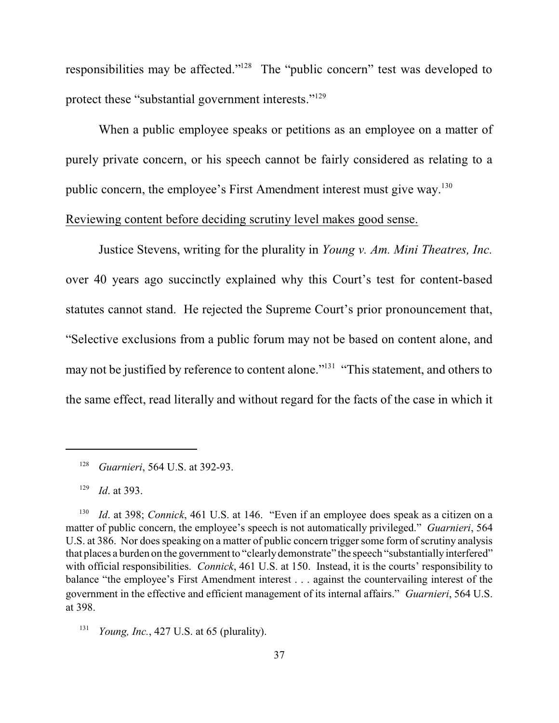responsibilities may be affected." $128$  The "public concern" test was developed to protect these "substantial government interests."<sup>129</sup>

When a public employee speaks or petitions as an employee on a matter of purely private concern, or his speech cannot be fairly considered as relating to a public concern, the employee's First Amendment interest must give way.<sup>130</sup>

### Reviewing content before deciding scrutiny level makes good sense.

Justice Stevens, writing for the plurality in *Young v. Am. Mini Theatres, Inc.* over 40 years ago succinctly explained why this Court's test for content-based statutes cannot stand. He rejected the Supreme Court's prior pronouncement that, "Selective exclusions from a public forum may not be based on content alone, and may not be justified by reference to content alone."<sup>131</sup> "This statement, and others to the same effect, read literally and without regard for the facts of the case in which it

<sup>&</sup>lt;sup>128</sup> Guarnieri, 564 U.S. at 392-93.

 $129$  *Id.* at 393.

<sup>&</sup>lt;sup>130</sup> *Id.* at 398; *Connick*, 461 U.S. at 146. "Even if an employee does speak as a citizen on a matter of public concern, the employee's speech is not automatically privileged." *Guarnieri*, 564 U.S. at 386. Nor does speaking on a matter of public concern trigger some form of scrutiny analysis that places a burden on the government to "clearlydemonstrate" the speech "substantiallyinterfered" with official responsibilities. *Connick*, 461 U.S. at 150. Instead, it is the courts' responsibility to balance "the employee's First Amendment interest . . . against the countervailing interest of the government in the effective and efficient management of its internal affairs." *Guarnieri*, 564 U.S. at 398.

<sup>&</sup>lt;sup>131</sup> *Young, Inc.*, 427 U.S. at 65 (plurality).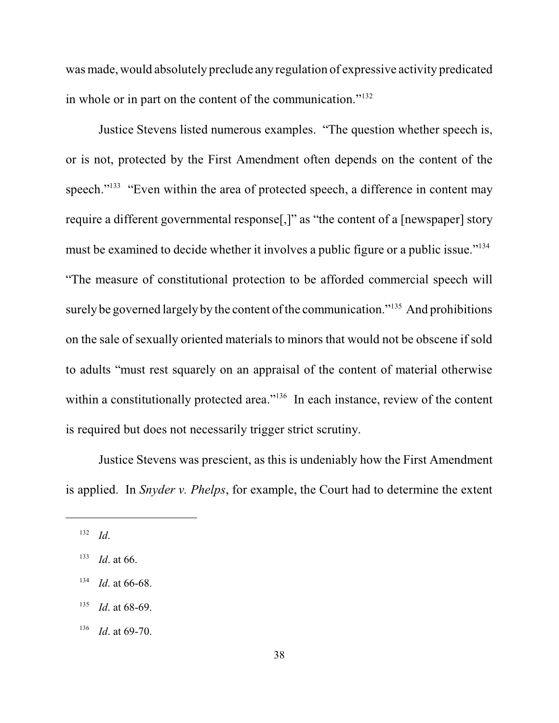was made, would absolutely preclude any regulation of expressive activity predicated in whole or in part on the content of the communication."<sup>132</sup>

Justice Stevens listed numerous examples. "The question whether speech is, or is not, protected by the First Amendment often depends on the content of the speech."<sup>133</sup> "Even within the area of protected speech, a difference in content may require a different governmental response[,]" as "the content of a [newspaper] story must be examined to decide whether it involves a public figure or a public issue."<sup>134</sup> "The measure of constitutional protection to be afforded commercial speech will surely be governed largely by the content of the communication." $135$  And prohibitions on the sale of sexually oriented materials to minors that would not be obscene if sold to adults "must rest squarely on an appraisal of the content of material otherwise within a constitutionally protected area."<sup>136</sup> In each instance, review of the content is required but does not necessarily trigger strict scrutiny.

Justice Stevens was prescient, as this is undeniably how the First Amendment is applied. In *Snyder v. Phelps*, for example, the Court had to determine the extent

- $135$  *Id.* at 68-69.
- $136$  *Id.* at 69-70.

*Id*. 132

 $133$  *Id.* at 66.

 $134$  *Id.* at 66-68.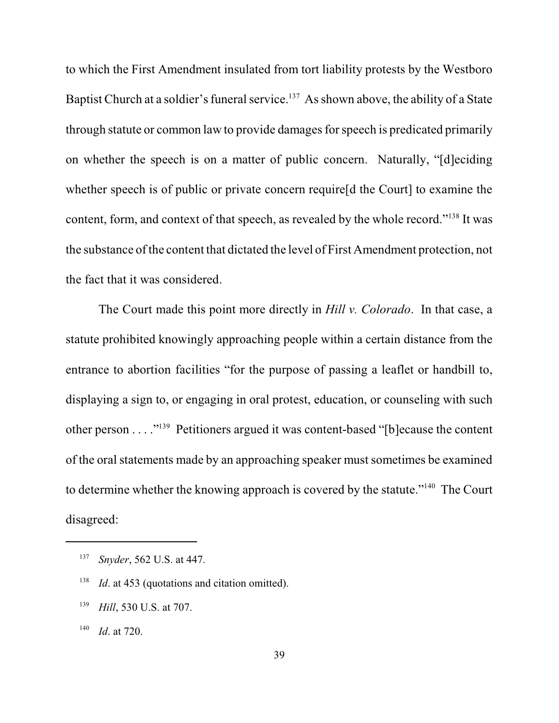to which the First Amendment insulated from tort liability protests by the Westboro Baptist Church at a soldier's funeral service.<sup>137</sup> As shown above, the ability of a State through statute or common law to provide damages for speech is predicated primarily on whether the speech is on a matter of public concern. Naturally, "[d]eciding whether speech is of public or private concern require[d the Court] to examine the content, form, and context of that speech, as revealed by the whole record."<sup>138</sup> It was the substance of the content that dictated the level of First Amendment protection, not the fact that it was considered.

The Court made this point more directly in *Hill v. Colorado*. In that case, a statute prohibited knowingly approaching people within a certain distance from the entrance to abortion facilities "for the purpose of passing a leaflet or handbill to, displaying a sign to, or engaging in oral protest, education, or counseling with such other person . . . . "<sup>139</sup> Petitioners argued it was content-based "[b]ecause the content of the oral statements made by an approaching speaker must sometimes be examined to determine whether the knowing approach is covered by the statute."<sup>140</sup> The Court disagreed:

<sup>&</sup>lt;sup>137</sup> *Snyder*, 562 U.S. at 447.

<sup>&</sup>lt;sup>138</sup> *Id.* at 453 (quotations and citation omitted).

<sup>&</sup>lt;sup>139</sup> *Hill*, 530 U.S. at 707.

 $140$  *Id.* at 720.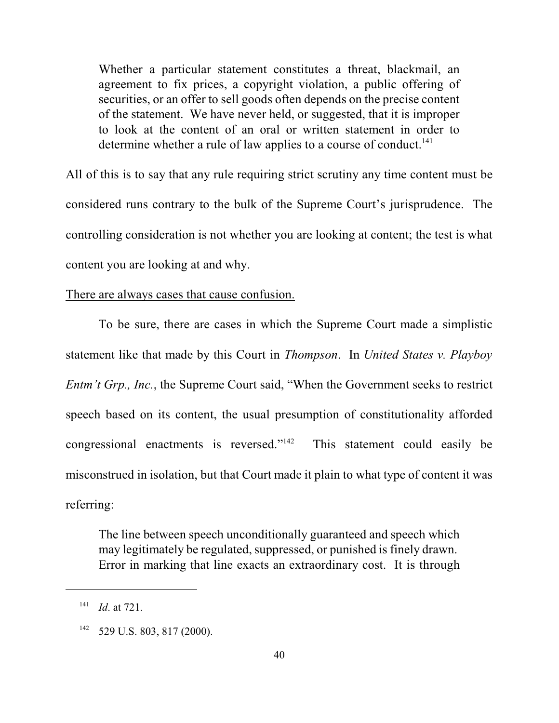Whether a particular statement constitutes a threat, blackmail, an agreement to fix prices, a copyright violation, a public offering of securities, or an offer to sell goods often depends on the precise content of the statement. We have never held, or suggested, that it is improper to look at the content of an oral or written statement in order to determine whether a rule of law applies to a course of conduct.<sup>141</sup>

All of this is to say that any rule requiring strict scrutiny any time content must be considered runs contrary to the bulk of the Supreme Court's jurisprudence. The controlling consideration is not whether you are looking at content; the test is what content you are looking at and why.

#### There are always cases that cause confusion.

To be sure, there are cases in which the Supreme Court made a simplistic statement like that made by this Court in *Thompson*. In *United States v. Playboy Entm't Grp., Inc.*, the Supreme Court said, "When the Government seeks to restrict speech based on its content, the usual presumption of constitutionality afforded congressional enactments is reversed." $142$  This statement could easily be misconstrued in isolation, but that Court made it plain to what type of content it was referring:

The line between speech unconditionally guaranteed and speech which may legitimately be regulated, suppressed, or punished is finely drawn. Error in marking that line exacts an extraordinary cost. It is through

 $141$  *Id.* at 721.

 $142$  529 U.S. 803, 817 (2000).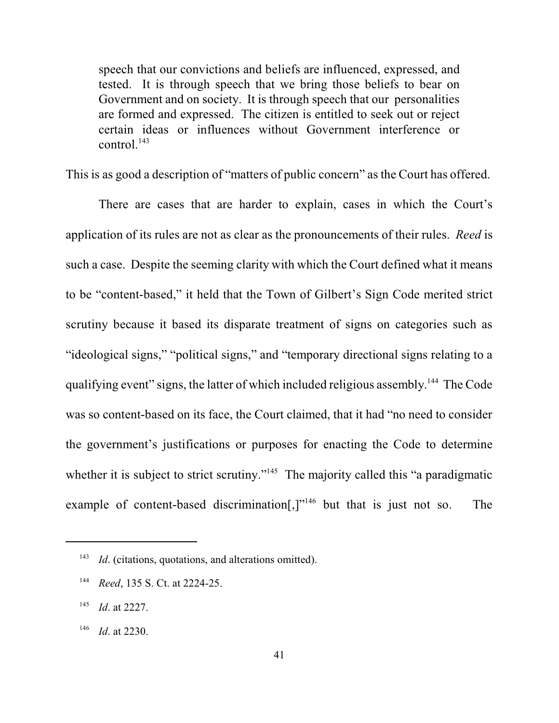speech that our convictions and beliefs are influenced, expressed, and tested. It is through speech that we bring those beliefs to bear on Government and on society. It is through speech that our personalities are formed and expressed. The citizen is entitled to seek out or reject certain ideas or influences without Government interference or control. $143$ 

This is as good a description of "matters of public concern" as the Court has offered.

There are cases that are harder to explain, cases in which the Court's application of its rules are not as clear as the pronouncements of their rules. *Reed* is such a case. Despite the seeming clarity with which the Court defined what it means to be "content-based," it held that the Town of Gilbert's Sign Code merited strict scrutiny because it based its disparate treatment of signs on categories such as "ideological signs," "political signs," and "temporary directional signs relating to a qualifying event" signs, the latter of which included religious assembly.<sup>144</sup> The Code was so content-based on its face, the Court claimed, that it had "no need to consider the government's justifications or purposes for enacting the Code to determine whether it is subject to strict scrutiny."<sup> $145$ </sup> The majority called this "a paradigmatic example of content-based discrimination[,] $v<sup>146</sup>$  but that is just not so. The

<sup>&</sup>lt;sup>143</sup> *Id.* (citations, quotations, and alterations omitted).

<sup>&</sup>lt;sup>144</sup> *Reed*, 135 S. Ct. at 2224-25.

 $145$  *Id.* at 2227.

 $146$  *Id.* at 2230.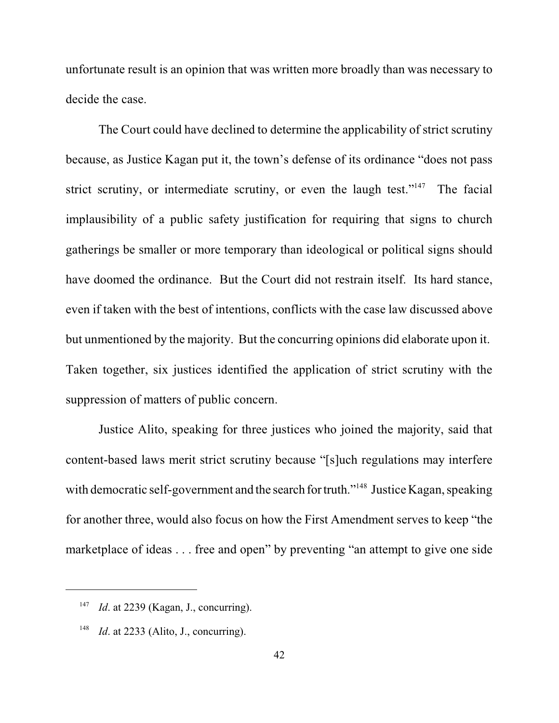unfortunate result is an opinion that was written more broadly than was necessary to decide the case.

The Court could have declined to determine the applicability of strict scrutiny because, as Justice Kagan put it, the town's defense of its ordinance "does not pass strict scrutiny, or intermediate scrutiny, or even the laugh test."<sup>147</sup> The facial implausibility of a public safety justification for requiring that signs to church gatherings be smaller or more temporary than ideological or political signs should have doomed the ordinance. But the Court did not restrain itself. Its hard stance, even if taken with the best of intentions, conflicts with the case law discussed above but unmentioned by the majority. But the concurring opinions did elaborate upon it. Taken together, six justices identified the application of strict scrutiny with the suppression of matters of public concern.

Justice Alito, speaking for three justices who joined the majority, said that content-based laws merit strict scrutiny because "[s]uch regulations may interfere with democratic self-government and the search for truth."<sup>148</sup> Justice Kagan, speaking for another three, would also focus on how the First Amendment serves to keep "the marketplace of ideas . . . free and open" by preventing "an attempt to give one side

<sup>&</sup>lt;sup>147</sup> *Id.* at 2239 (Kagan, J., concurring).

<sup>&</sup>lt;sup>148</sup> *Id.* at 2233 (Alito, J., concurring).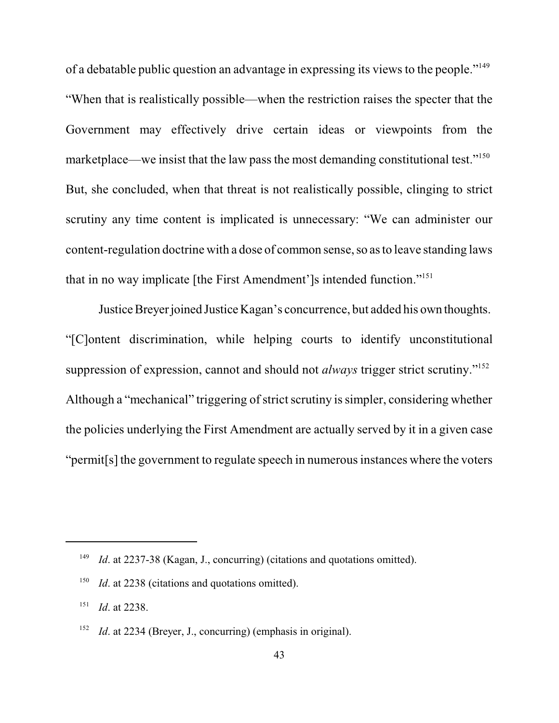of a debatable public question an advantage in expressing its views to the people."<sup>149</sup> "When that is realistically possible—when the restriction raises the specter that the Government may effectively drive certain ideas or viewpoints from the marketplace—we insist that the law pass the most demanding constitutional test."<sup>150</sup> But, she concluded, when that threat is not realistically possible, clinging to strict scrutiny any time content is implicated is unnecessary: "We can administer our content-regulation doctrine with a dose of common sense, so asto leave standing laws that in no way implicate [the First Amendment']s intended function."<sup>151</sup>

Justice Breyerjoined Justice Kagan's concurrence, but added his own thoughts. "[C]ontent discrimination, while helping courts to identify unconstitutional suppression of expression, cannot and should not *always* trigger strict scrutiny."<sup>152</sup> Although a "mechanical" triggering of strict scrutiny is simpler, considering whether the policies underlying the First Amendment are actually served by it in a given case "permit [s] the government to regulate speech in numerous instances where the voters

<sup>&</sup>lt;sup>149</sup> *Id.* at 2237-38 (Kagan, J., concurring) (citations and quotations omitted).

 $I<sup>150</sup>$  *Id.* at 2238 (citations and quotations omitted).

 $Id$ . at 2238.

<sup>&</sup>lt;sup>152</sup> *Id.* at 2234 (Breyer, J., concurring) (emphasis in original).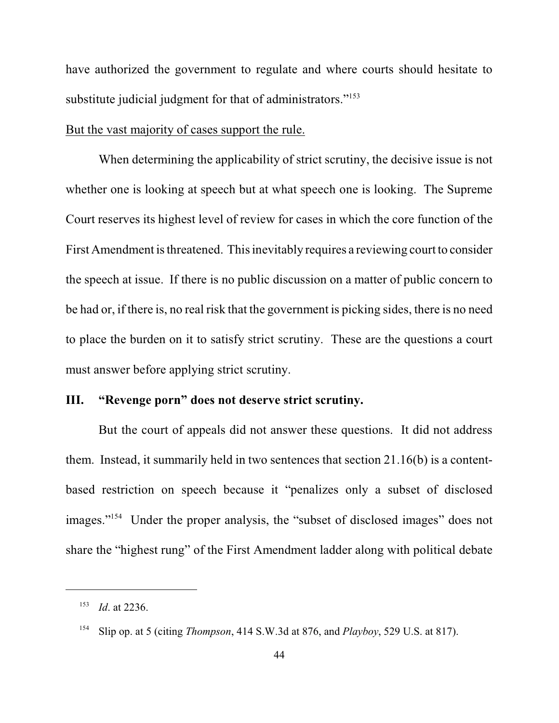have authorized the government to regulate and where courts should hesitate to substitute judicial judgment for that of administrators."<sup>153</sup>

#### But the vast majority of cases support the rule.

When determining the applicability of strict scrutiny, the decisive issue is not whether one is looking at speech but at what speech one is looking. The Supreme Court reserves its highest level of review for cases in which the core function of the First Amendment is threatened. This inevitably requires a reviewing court to consider the speech at issue. If there is no public discussion on a matter of public concern to be had or, if there is, no real risk that the government is picking sides, there is no need to place the burden on it to satisfy strict scrutiny. These are the questions a court must answer before applying strict scrutiny.

# **III. "Revenge porn" does not deserve strict scrutiny.**

But the court of appeals did not answer these questions. It did not address them. Instead, it summarily held in two sentences that section 21.16(b) is a contentbased restriction on speech because it "penalizes only a subset of disclosed images."<sup>154</sup> Under the proper analysis, the "subset of disclosed images" does not share the "highest rung" of the First Amendment ladder along with political debate

 $153$  *Id.* at 2236.

Slip op. at 5 (citing *Thompson*, 414 S.W.3d at 876, and *Playboy*, 529 U.S. at 817). <sup>154</sup>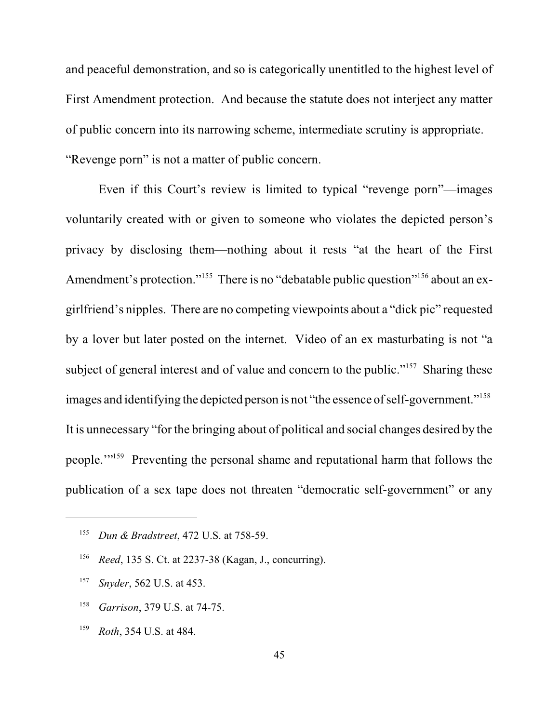and peaceful demonstration, and so is categorically unentitled to the highest level of First Amendment protection. And because the statute does not interject any matter of public concern into its narrowing scheme, intermediate scrutiny is appropriate. "Revenge porn" is not a matter of public concern.

Even if this Court's review is limited to typical "revenge porn"—images voluntarily created with or given to someone who violates the depicted person's privacy by disclosing them—nothing about it rests "at the heart of the First Amendment's protection."<sup>155</sup> There is no "debatable public question"<sup>156</sup> about an exgirlfriend's nipples. There are no competing viewpoints about a "dick pic" requested by a lover but later posted on the internet. Video of an ex masturbating is not "a subject of general interest and of value and concern to the public."<sup>157</sup> Sharing these images and identifying the depicted person is not "the essence of self-government."<sup>158</sup> It is unnecessary "for the bringing about of political and social changes desired by the people."<sup>159</sup> Preventing the personal shame and reputational harm that follows the publication of a sex tape does not threaten "democratic self-government" or any

- <sup>158</sup> *Garrison*, 379 U.S. at 74-75.
- <sup>159</sup> *Roth*, 354 U.S. at 484.

<sup>&</sup>lt;sup>155</sup> Dun & Bradstreet, 472 U.S. at 758-59.

<sup>&</sup>lt;sup>156</sup> *Reed*, 135 S. Ct. at 2237-38 (Kagan, J., concurring).

<sup>&</sup>lt;sup>157</sup> *Snyder*, 562 U.S. at 453.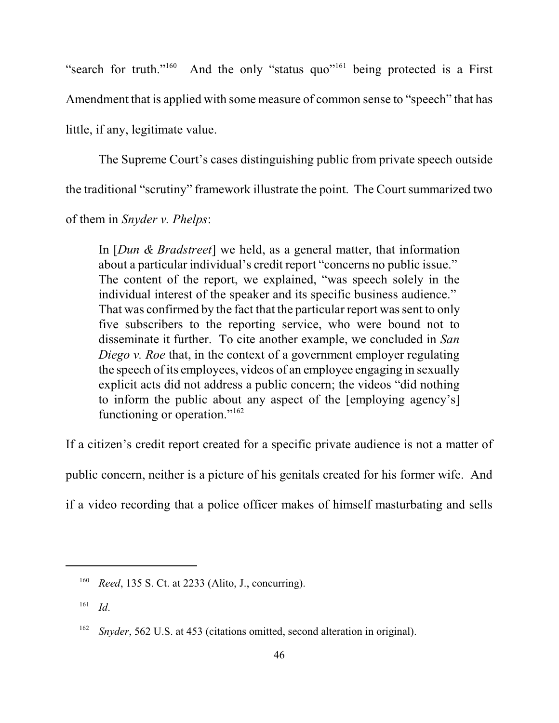"search for truth."<sup>160</sup> And the only "status quo"<sup>161</sup> being protected is a First Amendment that is applied with some measure of common sense to "speech" that has little, if any, legitimate value.

The Supreme Court's cases distinguishing public from private speech outside the traditional "scrutiny" framework illustrate the point. The Court summarized two

of them in *Snyder v. Phelps*:

In [*Dun & Bradstreet*] we held, as a general matter, that information about a particular individual's credit report "concerns no public issue." The content of the report, we explained, "was speech solely in the individual interest of the speaker and its specific business audience." That was confirmed by the fact that the particular report was sent to only five subscribers to the reporting service, who were bound not to disseminate it further. To cite another example, we concluded in *San Diego v. Roe* that, in the context of a government employer regulating the speech of its employees, videos of an employee engaging in sexually explicit acts did not address a public concern; the videos "did nothing to inform the public about any aspect of the [employing agency's] functioning or operation."<sup>162</sup>

If a citizen's credit report created for a specific private audience is not a matter of

public concern, neither is a picture of his genitals created for his former wife. And

if a video recording that a police officer makes of himself masturbating and sells

<sup>&</sup>lt;sup>160</sup> *Reed*, 135 S. Ct. at 2233 (Alito, J., concurring).

*Id*. 161

<sup>&</sup>lt;sup>162</sup> *Snyder*, 562 U.S. at 453 (citations omitted, second alteration in original).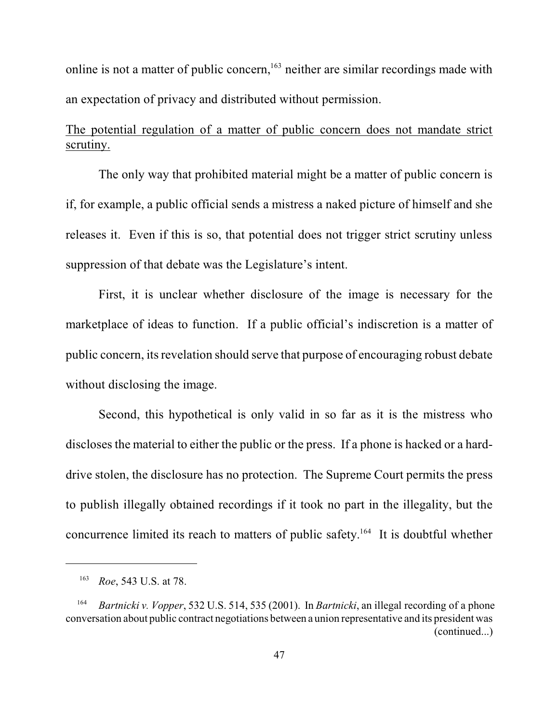online is not a matter of public concern,  $163$  neither are similar recordings made with an expectation of privacy and distributed without permission.

# The potential regulation of a matter of public concern does not mandate strict scrutiny.

The only way that prohibited material might be a matter of public concern is if, for example, a public official sends a mistress a naked picture of himself and she releases it. Even if this is so, that potential does not trigger strict scrutiny unless suppression of that debate was the Legislature's intent.

First, it is unclear whether disclosure of the image is necessary for the marketplace of ideas to function. If a public official's indiscretion is a matter of public concern, its revelation should serve that purpose of encouraging robust debate without disclosing the image.

Second, this hypothetical is only valid in so far as it is the mistress who discloses the material to either the public or the press. If a phone is hacked or a harddrive stolen, the disclosure has no protection. The Supreme Court permits the press to publish illegally obtained recordings if it took no part in the illegality, but the concurrence limited its reach to matters of public safety.<sup>164</sup> It is doubtful whether

<sup>&</sup>lt;sup>163</sup> *Roe*, 543 U.S. at 78.

<sup>&</sup>lt;sup>164</sup> *Bartnicki v. Vopper*, 532 U.S. 514, 535 (2001). In *Bartnicki*, an illegal recording of a phone conversation about public contract negotiations between a union representative and its president was (continued...)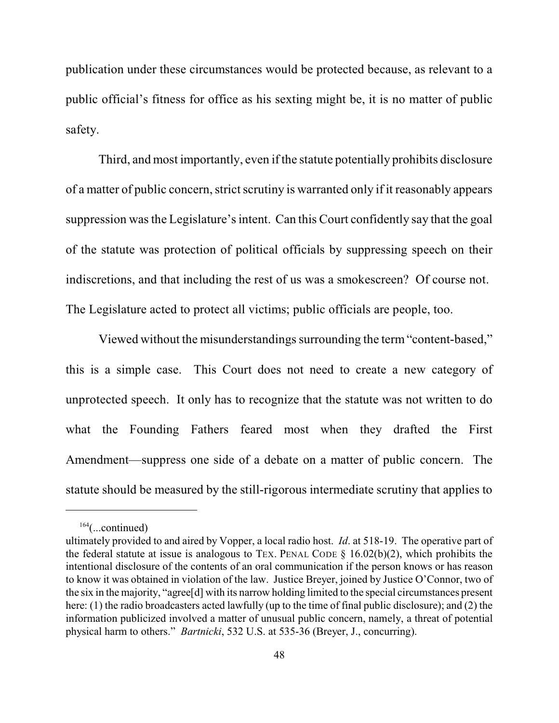publication under these circumstances would be protected because, as relevant to a public official's fitness for office as his sexting might be, it is no matter of public safety.

Third, and most importantly, even if the statute potentially prohibits disclosure of a matter of public concern, strict scrutiny is warranted only if it reasonably appears suppression wasthe Legislature's intent. Can this Court confidently say that the goal of the statute was protection of political officials by suppressing speech on their indiscretions, and that including the rest of us was a smokescreen? Of course not. The Legislature acted to protect all victims; public officials are people, too.

Viewed without the misunderstandings surrounding the term "content-based," this is a simple case. This Court does not need to create a new category of unprotected speech. It only has to recognize that the statute was not written to do what the Founding Fathers feared most when they drafted the First Amendment—suppress one side of a debate on a matter of public concern. The statute should be measured by the still-rigorous intermediate scrutiny that applies to

 $164$ (...continued)

ultimately provided to and aired by Vopper, a local radio host. *Id*. at 518-19. The operative part of the federal statute at issue is analogous to TEX. PENAL CODE  $\S$  16.02(b)(2), which prohibits the intentional disclosure of the contents of an oral communication if the person knows or has reason to know it was obtained in violation of the law. Justice Breyer, joined by Justice O'Connor, two of the six in the majority, "agree[d] with its narrow holding limited to the special circumstances present here: (1) the radio broadcasters acted lawfully (up to the time of final public disclosure); and (2) the information publicized involved a matter of unusual public concern, namely, a threat of potential physical harm to others." *Bartnicki*, 532 U.S. at 535-36 (Breyer, J., concurring).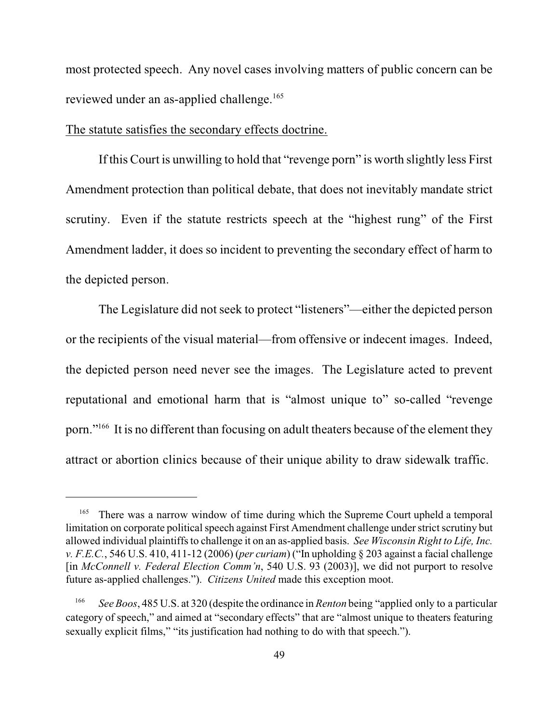most protected speech. Any novel cases involving matters of public concern can be reviewed under an as-applied challenge. 165

#### The statute satisfies the secondary effects doctrine.

If this Court is unwilling to hold that "revenge porn" is worth slightly less First Amendment protection than political debate, that does not inevitably mandate strict scrutiny. Even if the statute restricts speech at the "highest rung" of the First Amendment ladder, it does so incident to preventing the secondary effect of harm to the depicted person.

The Legislature did not seek to protect "listeners"—either the depicted person or the recipients of the visual material—from offensive or indecent images. Indeed, the depicted person need never see the images. The Legislature acted to prevent reputational and emotional harm that is "almost unique to" so-called "revenge porn."<sup>166</sup> It is no different than focusing on adult theaters because of the element they attract or abortion clinics because of their unique ability to draw sidewalk traffic.

<sup>&</sup>lt;sup>165</sup> There was a narrow window of time during which the Supreme Court upheld a temporal limitation on corporate political speech against First Amendment challenge under strict scrutiny but allowed individual plaintiffs to challenge it on an as-applied basis. *See Wisconsin Right to Life, Inc. v. F.E.C.*, 546 U.S. 410, 411-12 (2006) (*per curiam*) ("In upholding § 203 against a facial challenge [in *McConnell v. Federal Election Comm'n*, 540 U.S. 93 (2003)], we did not purport to resolve future as-applied challenges."). *Citizens United* made this exception moot.

*See Boos*, 485 U.S. at 320 (despite the ordinance in *Renton* being "applied only to a particular 166 category of speech," and aimed at "secondary effects" that are "almost unique to theaters featuring sexually explicit films," "its justification had nothing to do with that speech.").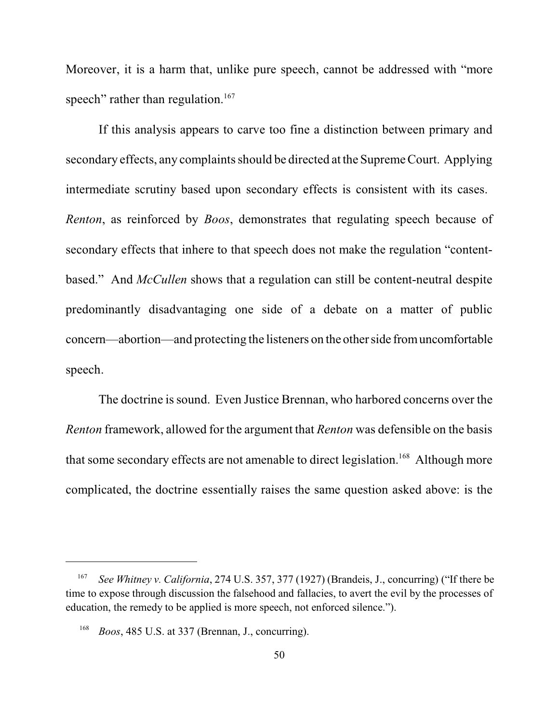Moreover, it is a harm that, unlike pure speech, cannot be addressed with "more speech" rather than regulation.<sup>167</sup>

If this analysis appears to carve too fine a distinction between primary and secondary effects, any complaints should be directed at the Supreme Court. Applying intermediate scrutiny based upon secondary effects is consistent with its cases. *Renton*, as reinforced by *Boos*, demonstrates that regulating speech because of secondary effects that inhere to that speech does not make the regulation "contentbased." And *McCullen* shows that a regulation can still be content-neutral despite predominantly disadvantaging one side of a debate on a matter of public concern—abortion—and protecting the listeners on the otherside fromuncomfortable speech.

The doctrine is sound. Even Justice Brennan, who harbored concerns over the *Renton* framework, allowed for the argument that *Renton* was defensible on the basis that some secondary effects are not amenable to direct legislation.<sup>168</sup> Although more complicated, the doctrine essentially raises the same question asked above: is the

*See Whitney v. California, 274 U.S. 357, 377 (1927) (Brandeis, J., concurring) ("If there be* time to expose through discussion the falsehood and fallacies, to avert the evil by the processes of education, the remedy to be applied is more speech, not enforced silence.").

 $B$ oos, 485 U.S. at 337 (Brennan, J., concurring).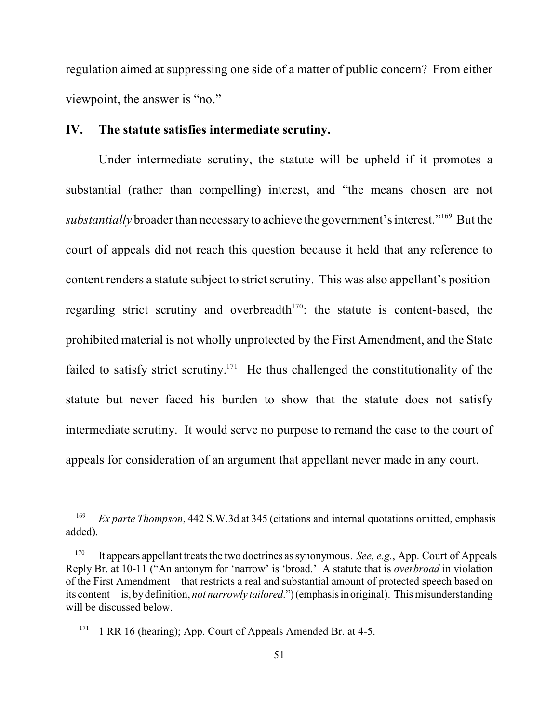regulation aimed at suppressing one side of a matter of public concern? From either viewpoint, the answer is "no."

#### **IV. The statute satisfies intermediate scrutiny.**

Under intermediate scrutiny, the statute will be upheld if it promotes a substantial (rather than compelling) interest, and "the means chosen are not substantially broader than necessary to achieve the government's interest."<sup>169</sup> But the court of appeals did not reach this question because it held that any reference to content renders a statute subject to strict scrutiny. This was also appellant's position regarding strict scrutiny and overbreadth $170$ : the statute is content-based, the prohibited material is not wholly unprotected by the First Amendment, and the State failed to satisfy strict scrutiny.<sup>171</sup> He thus challenged the constitutionality of the statute but never faced his burden to show that the statute does not satisfy intermediate scrutiny. It would serve no purpose to remand the case to the court of appeals for consideration of an argument that appellant never made in any court.

<sup>&</sup>lt;sup>169</sup> *Ex parte Thompson*, 442 S.W.3d at 345 (citations and internal quotations omitted, emphasis added).

<sup>&</sup>lt;sup>170</sup> It appears appellant treats the two doctrines as synonymous. *See*, *e.g.*, App. Court of Appeals Reply Br. at 10-11 ("An antonym for 'narrow' is 'broad.' A statute that is *overbroad* in violation of the First Amendment—that restricts a real and substantial amount of protected speech based on its content—is, bydefinition, *not narrowly tailored*.")(emphasisin original). This misunderstanding will be discussed below.

<sup>&</sup>lt;sup>171</sup> 1 RR 16 (hearing); App. Court of Appeals Amended Br. at 4-5.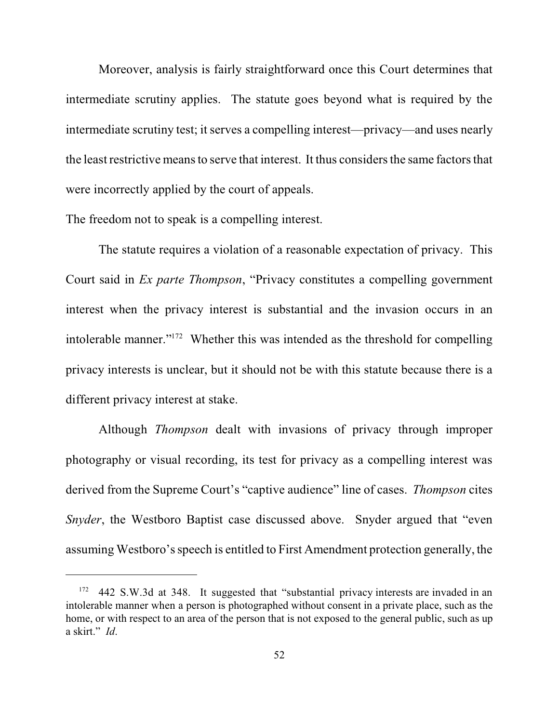Moreover, analysis is fairly straightforward once this Court determines that intermediate scrutiny applies. The statute goes beyond what is required by the intermediate scrutiny test; it serves a compelling interest—privacy—and uses nearly the least restrictive means to serve that interest. It thus considers the same factors that were incorrectly applied by the court of appeals.

The freedom not to speak is a compelling interest.

The statute requires a violation of a reasonable expectation of privacy. This Court said in *Ex parte Thompson*, "Privacy constitutes a compelling government interest when the privacy interest is substantial and the invasion occurs in an intolerable manner." $172$  Whether this was intended as the threshold for compelling privacy interests is unclear, but it should not be with this statute because there is a different privacy interest at stake.

Although *Thompson* dealt with invasions of privacy through improper photography or visual recording, its test for privacy as a compelling interest was derived from the Supreme Court's "captive audience" line of cases. *Thompson* cites *Snyder*, the Westboro Baptist case discussed above. Snyder argued that "even" assuming Westboro's speech is entitled to First Amendment protection generally, the

<sup>&</sup>lt;sup>172</sup> 442 S.W.3d at 348. It suggested that "substantial privacy interests are invaded in an intolerable manner when a person is photographed without consent in a private place, such as the home, or with respect to an area of the person that is not exposed to the general public, such as up a skirt." *Id*.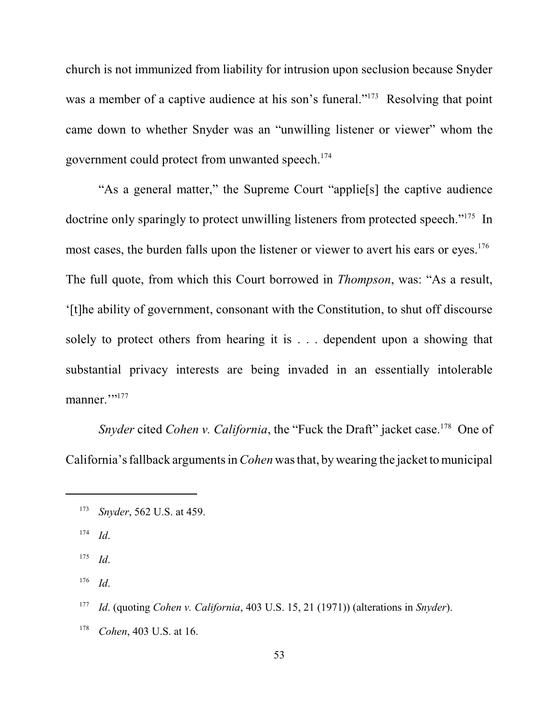church is not immunized from liability for intrusion upon seclusion because Snyder was a member of a captive audience at his son's funeral."<sup>173</sup> Resolving that point came down to whether Snyder was an "unwilling listener or viewer" whom the government could protect from unwanted speech. 174

"As a general matter," the Supreme Court "applie[s] the captive audience doctrine only sparingly to protect unwilling listeners from protected speech."<sup>175</sup> In most cases, the burden falls upon the listener or viewer to avert his ears or eyes.<sup>176</sup> The full quote, from which this Court borrowed in *Thompson*, was: "As a result, '[t]he ability of government, consonant with the Constitution, to shut off discourse solely to protect others from hearing it is . . . dependent upon a showing that substantial privacy interests are being invaded in an essentially intolerable manner."<sup>177</sup>

*Snyder* cited *Cohen v. California*, the "Fuck the Draft" jacket case.<sup>178</sup> One of California's fallback argumentsin*Cohen* wasthat, by wearing the jacket tomunicipal

<sup>&</sup>lt;sup>173</sup> *Snyder*, 562 U.S. at 459.

*Id*. 174

*Id*. 175

*Id*. 176

*Id*. (quoting *Cohen v. California*, 403 U.S. 15, 21 (1971)) (alterations in *Snyder*). <sup>177</sup>

<sup>&</sup>lt;sup>178</sup> *Cohen*, 403 U.S. at 16.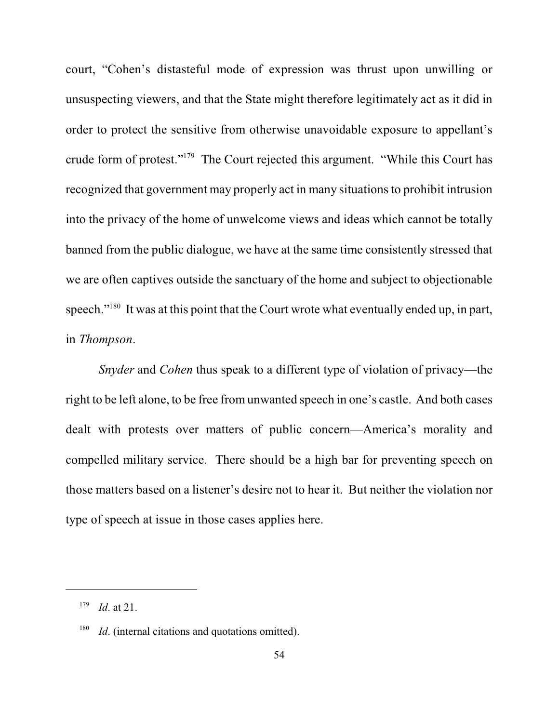court, "Cohen's distasteful mode of expression was thrust upon unwilling or unsuspecting viewers, and that the State might therefore legitimately act as it did in order to protect the sensitive from otherwise unavoidable exposure to appellant's crude form of protest."<sup>179</sup> The Court rejected this argument. "While this Court has recognized that government may properly act in many situationsto prohibit intrusion into the privacy of the home of unwelcome views and ideas which cannot be totally banned from the public dialogue, we have at the same time consistently stressed that we are often captives outside the sanctuary of the home and subject to objectionable speech." $180$  It was at this point that the Court wrote what eventually ended up, in part, in *Thompson*.

*Snyder* and *Cohen* thus speak to a different type of violation of privacy—the right to be left alone, to be free from unwanted speech in one's castle. And both cases dealt with protests over matters of public concern—America's morality and compelled military service. There should be a high bar for preventing speech on those matters based on a listener's desire not to hear it. But neither the violation nor type of speech at issue in those cases applies here.

 $I^{179}$  *Id.* at 21.

 $I<sup>80</sup>$  *Id.* (internal citations and quotations omitted).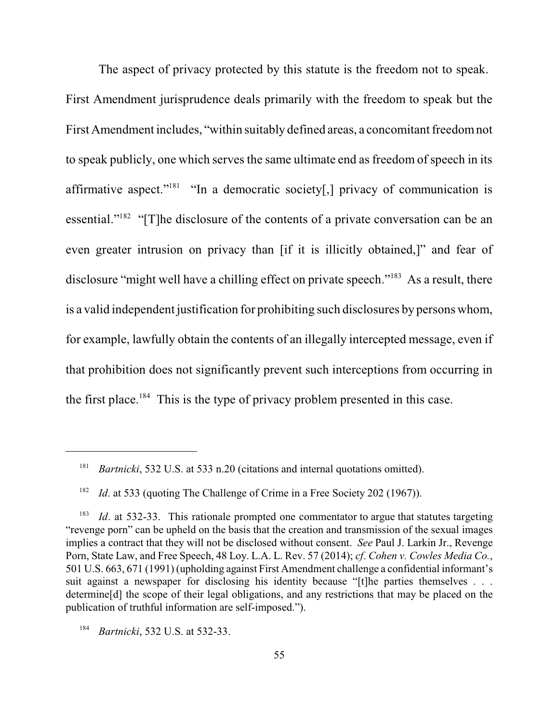The aspect of privacy protected by this statute is the freedom not to speak. First Amendment jurisprudence deals primarily with the freedom to speak but the First Amendment includes, "within suitably defined areas, a concomitant freedomnot to speak publicly, one which serves the same ultimate end as freedom of speech in its affirmative aspect." $181$  "In a democratic society[,] privacy of communication is essential." $182$  "[T]he disclosure of the contents of a private conversation can be an even greater intrusion on privacy than [if it is illicitly obtained,]" and fear of disclosure "might well have a chilling effect on private speech." $183$  As a result, there is a valid independent justification for prohibiting such disclosures by persons whom, for example, lawfully obtain the contents of an illegally intercepted message, even if that prohibition does not significantly prevent such interceptions from occurring in the first place.<sup>184</sup> This is the type of privacy problem presented in this case.

<sup>&</sup>lt;sup>181</sup> *Bartnicki*, 532 U.S. at 533 n.20 (citations and internal quotations omitted).

*Id.* at 533 (quoting The Challenge of Crime in a Free Society 202 (1967)). 182

*Id*. at 532-33. This rationale prompted one commentator to argue that statutes targeting 183 "revenge porn" can be upheld on the basis that the creation and transmission of the sexual images implies a contract that they will not be disclosed without consent. *See* Paul J. Larkin Jr., Revenge Porn, State Law, and Free Speech, 48 Loy. L.A. L. Rev. 57 (2014); *cf*. *Cohen v. Cowles Media Co.*, 501 U.S. 663, 671 (1991) (upholding against First Amendment challenge a confidential informant's suit against a newspaper for disclosing his identity because "[t]he parties themselves . . . determine[d] the scope of their legal obligations, and any restrictions that may be placed on the publication of truthful information are self-imposed.").

<sup>&</sup>lt;sup>184</sup> *Bartnicki*, 532 U.S. at 532-33.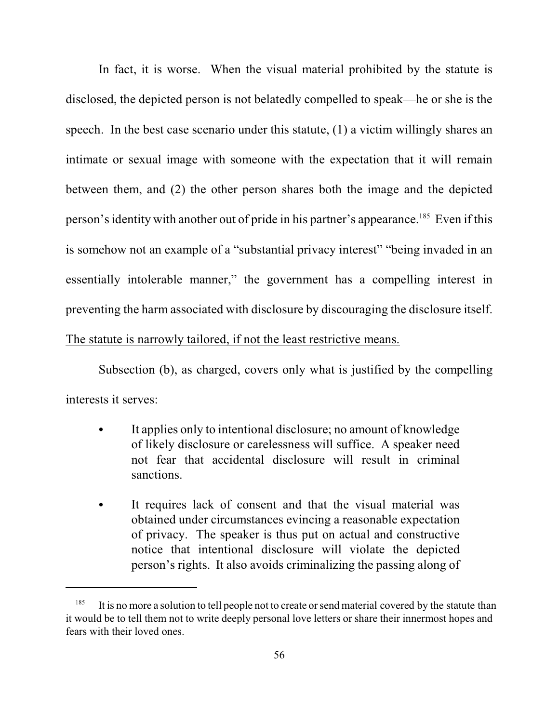In fact, it is worse. When the visual material prohibited by the statute is disclosed, the depicted person is not belatedly compelled to speak—he or she is the speech. In the best case scenario under this statute, (1) a victim willingly shares an intimate or sexual image with someone with the expectation that it will remain between them, and (2) the other person shares both the image and the depicted person's identity with another out of pride in his partner's appearance.<sup>185</sup> Even if this is somehow not an example of a "substantial privacy interest" "being invaded in an essentially intolerable manner," the government has a compelling interest in preventing the harm associated with disclosure by discouraging the disclosure itself. The statute is narrowly tailored, if not the least restrictive means.

Subsection (b), as charged, covers only what is justified by the compelling interests it serves:

- It applies only to intentional disclosure; no amount of knowledge of likely disclosure or carelessness will suffice. A speaker need not fear that accidental disclosure will result in criminal sanctions.
- It requires lack of consent and that the visual material was obtained under circumstances evincing a reasonable expectation of privacy. The speaker is thus put on actual and constructive notice that intentional disclosure will violate the depicted person's rights. It also avoids criminalizing the passing along of

<sup>&</sup>lt;sup>185</sup> It is no more a solution to tell people not to create or send material covered by the statute than it would be to tell them not to write deeply personal love letters or share their innermost hopes and fears with their loved ones.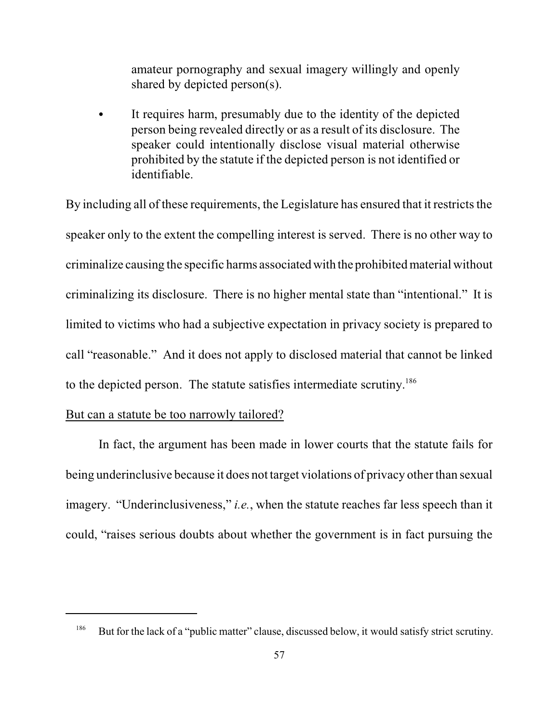amateur pornography and sexual imagery willingly and openly shared by depicted person(s).

• It requires harm, presumably due to the identity of the depicted person being revealed directly or as a result of its disclosure. The speaker could intentionally disclose visual material otherwise prohibited by the statute if the depicted person is not identified or identifiable.

By including all of these requirements, the Legislature has ensured that it restricts the speaker only to the extent the compelling interest is served. There is no other way to criminalize causing the specific harms associated with the prohibited material without criminalizing its disclosure. There is no higher mental state than "intentional." It is limited to victims who had a subjective expectation in privacy society is prepared to call "reasonable." And it does not apply to disclosed material that cannot be linked to the depicted person. The statute satisfies intermediate scrutiny. 186

#### But can a statute be too narrowly tailored?

In fact, the argument has been made in lower courts that the statute fails for being underinclusive because it does not target violations of privacy other than sexual imagery. "Underinclusiveness," *i.e.*, when the statute reaches far less speech than it could, "raises serious doubts about whether the government is in fact pursuing the

But for the lack of a "public matter" clause, discussed below, it would satisfy strict scrutiny. 186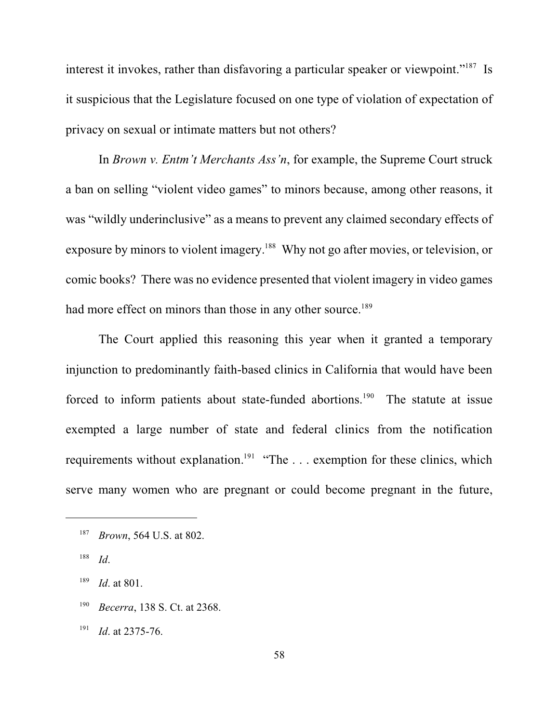interest it invokes, rather than disfavoring a particular speaker or viewpoint."<sup>187</sup> Is it suspicious that the Legislature focused on one type of violation of expectation of privacy on sexual or intimate matters but not others?

In *Brown v. Entm't Merchants Ass'n*, for example, the Supreme Court struck a ban on selling "violent video games" to minors because, among other reasons, it was "wildly underinclusive" as a means to prevent any claimed secondary effects of exposure by minors to violent imagery.<sup>188</sup> Why not go after movies, or television, or comic books? There was no evidence presented that violent imagery in video games had more effect on minors than those in any other source.<sup>189</sup>

The Court applied this reasoning this year when it granted a temporary injunction to predominantly faith-based clinics in California that would have been forced to inform patients about state-funded abortions.<sup>190</sup> The statute at issue exempted a large number of state and federal clinics from the notification requirements without explanation.<sup>191</sup> "The  $\dots$  exemption for these clinics, which serve many women who are pregnant or could become pregnant in the future,

- <sup>190</sup> *Becerra*, 138 S. Ct. at 2368.
- $I^{191}$  *Id.* at 2375-76.

<sup>&</sup>lt;sup>187</sup> *Brown*, 564 U.S. at 802.

*Id*. 188

 $189$  *Id.* at 801.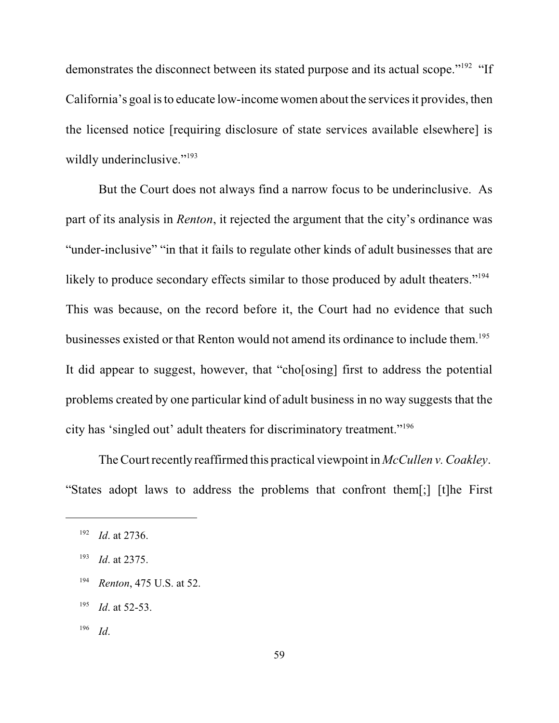demonstrates the disconnect between its stated purpose and its actual scope."<sup>192</sup> "If California's goal is to educate low-income women about the services it provides, then the licensed notice [requiring disclosure of state services available elsewhere] is wildly underinclusive."<sup>193</sup>

But the Court does not always find a narrow focus to be underinclusive. As part of its analysis in *Renton*, it rejected the argument that the city's ordinance was "under-inclusive" "in that it fails to regulate other kinds of adult businesses that are likely to produce secondary effects similar to those produced by adult theaters."<sup>194</sup> This was because, on the record before it, the Court had no evidence that such businesses existed or that Renton would not amend its ordinance to include them. 195 It did appear to suggest, however, that "cho[osing] first to address the potential problems created by one particular kind of adult business in no way suggests that the city has 'singled out' adult theaters for discriminatory treatment."<sup>196</sup>

TheCourt recently reaffirmed this practical viewpoint in *McCullen v. Coakley*. "States adopt laws to address the problems that confront them[;] [t]he First

 *Id*. 196

<sup>&</sup>lt;sup>192</sup> *Id.* at 2736.

<sup>&</sup>lt;sup>193</sup> *Id.* at 2375.

<sup>&</sup>lt;sup>194</sup> *Renton*, 475 U.S. at 52.

 $195$  *Id.* at 52-53.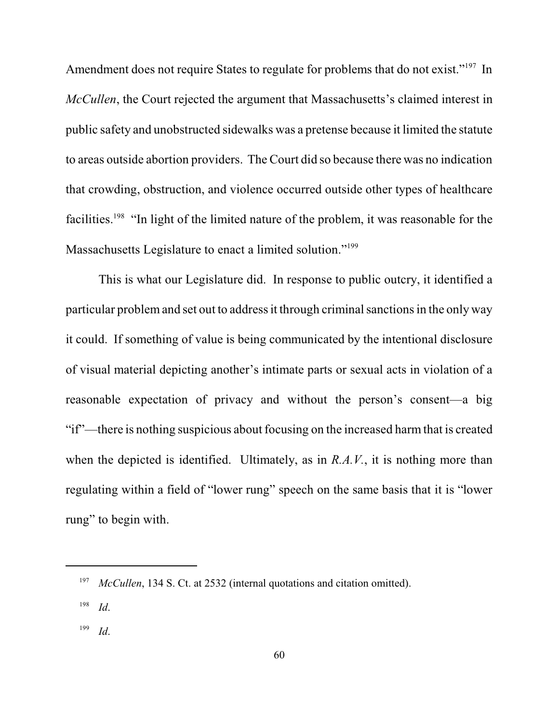Amendment does not require States to regulate for problems that do not exist."<sup>197</sup> In *McCullen*, the Court rejected the argument that Massachusetts's claimed interest in public safety and unobstructed sidewalks was a pretense because it limited the statute to areas outside abortion providers. The Court did so because there was no indication that crowding, obstruction, and violence occurred outside other types of healthcare facilities.<sup>198</sup> "In light of the limited nature of the problem, it was reasonable for the Massachusetts Legislature to enact a limited solution."<sup>199</sup>

This is what our Legislature did. In response to public outcry, it identified a particular problem and set out to address it through criminal sanctions in the only way it could. If something of value is being communicated by the intentional disclosure of visual material depicting another's intimate parts or sexual acts in violation of a reasonable expectation of privacy and without the person's consent—a big "if"—there is nothing suspicious about focusing on the increased harmthat is created when the depicted is identified. Ultimately, as in *R.A.V.*, it is nothing more than regulating within a field of "lower rung" speech on the same basis that it is "lower rung" to begin with.

 *Id*. 199

<sup>&</sup>lt;sup>197</sup> *McCullen*, 134 S. Ct. at 2532 (internal quotations and citation omitted).

*Id*. 198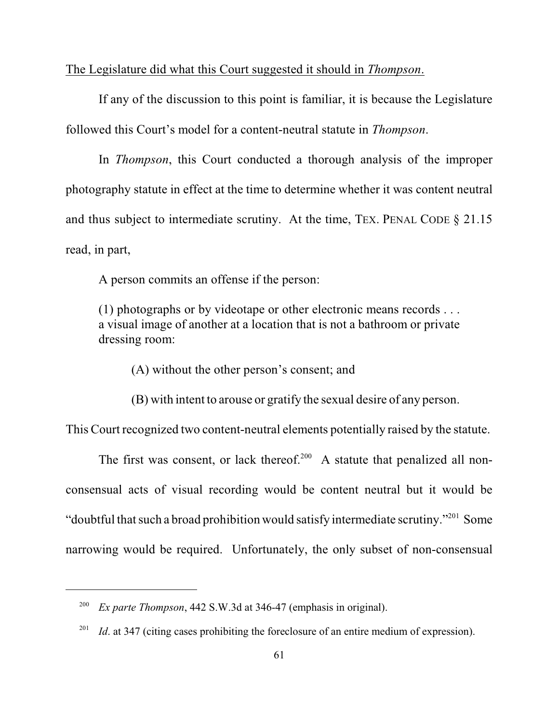The Legislature did what this Court suggested it should in *Thompson*.

If any of the discussion to this point is familiar, it is because the Legislature followed this Court's model for a content-neutral statute in *Thompson*.

In *Thompson*, this Court conducted a thorough analysis of the improper photography statute in effect at the time to determine whether it was content neutral and thus subject to intermediate scrutiny. At the time, TEX. PENAL CODE § 21.15 read, in part,

A person commits an offense if the person:

(1) photographs or by videotape or other electronic means records . . . a visual image of another at a location that is not a bathroom or private dressing room:

(A) without the other person's consent; and

(B) with intent to arouse or gratify the sexual desire of any person.

This Court recognized two content-neutral elements potentially raised by the statute.

The first was consent, or lack thereof.<sup>200</sup> A statute that penalized all nonconsensual acts of visual recording would be content neutral but it would be "doubtful that such a broad prohibition would satisfy intermediate scrutiny."<sup>201</sup> Some narrowing would be required. Unfortunately, the only subset of non-consensual

<sup>&</sup>lt;sup>200</sup> *Ex parte Thompson*, 442 S.W.3d at 346-47 (emphasis in original).

<sup>&</sup>lt;sup>201</sup> *Id.* at 347 (citing cases prohibiting the foreclosure of an entire medium of expression).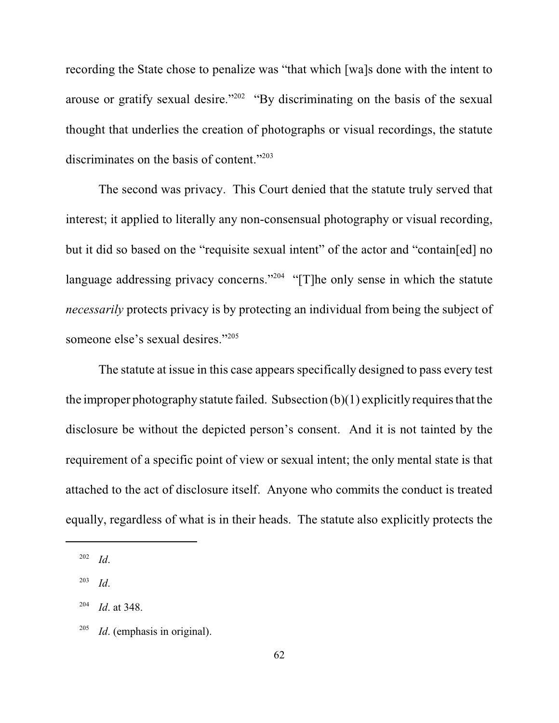recording the State chose to penalize was "that which [wa]s done with the intent to arouse or gratify sexual desire."<sup> $202$ </sup> "By discriminating on the basis of the sexual thought that underlies the creation of photographs or visual recordings, the statute discriminates on the basis of content."<sup>203</sup>

The second was privacy. This Court denied that the statute truly served that interest; it applied to literally any non-consensual photography or visual recording, but it did so based on the "requisite sexual intent" of the actor and "contain[ed] no language addressing privacy concerns."<sup>204</sup> "[T]he only sense in which the statute *necessarily* protects privacy is by protecting an individual from being the subject of someone else's sexual desires."<sup>205</sup>

The statute at issue in this case appears specifically designed to pass every test the improper photography statute failed. Subsection  $(b)(1)$  explicitly requires that the disclosure be without the depicted person's consent. And it is not tainted by the requirement of a specific point of view or sexual intent; the only mental state is that attached to the act of disclosure itself. Anyone who commits the conduct is treated equally, regardless of what is in their heads. The statute also explicitly protects the

*Id*. 202

*Id*. 203

<sup>&</sup>lt;sup>204</sup> *Id.* at 348.

 $^{205}$  *Id.* (emphasis in original).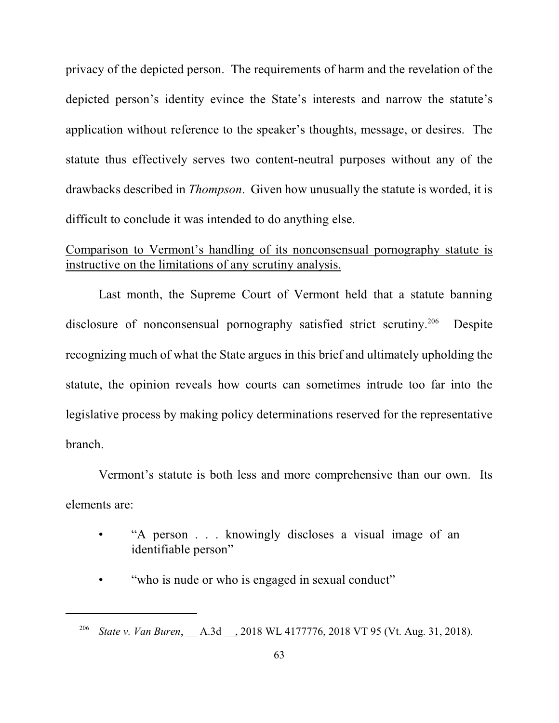privacy of the depicted person. The requirements of harm and the revelation of the depicted person's identity evince the State's interests and narrow the statute's application without reference to the speaker's thoughts, message, or desires. The statute thus effectively serves two content-neutral purposes without any of the drawbacks described in *Thompson*. Given how unusually the statute is worded, it is difficult to conclude it was intended to do anything else.

# Comparison to Vermont's handling of its nonconsensual pornography statute is instructive on the limitations of any scrutiny analysis.

Last month, the Supreme Court of Vermont held that a statute banning disclosure of nonconsensual pornography satisfied strict scrutiny.<sup>206</sup> Despite recognizing much of what the State argues in this brief and ultimately upholding the statute, the opinion reveals how courts can sometimes intrude too far into the legislative process by making policy determinations reserved for the representative branch.

Vermont's statute is both less and more comprehensive than our own. Its elements are:

- "A person . . . knowingly discloses a visual image of an identifiable person"
- "who is nude or who is engaged in sexual conduct"

<sup>&</sup>lt;sup>206</sup> State v. Van Buren, A.3d , 2018 WL 4177776, 2018 VT 95 (Vt. Aug. 31, 2018).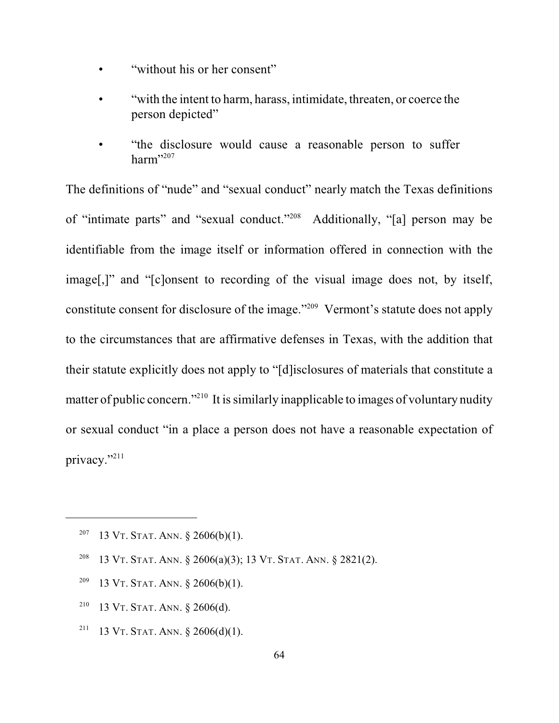- "without his or her consent"
- "with the intent to harm, harass, intimidate, threaten, or coerce the person depicted"
- "the disclosure would cause a reasonable person to suffer harm" 207

The definitions of "nude" and "sexual conduct" nearly match the Texas definitions of "intimate parts" and "sexual conduct."<sup>208</sup> Additionally, "[a] person may be identifiable from the image itself or information offered in connection with the image[,]" and "[c]onsent to recording of the visual image does not, by itself, constitute consent for disclosure of the image."<sup>209</sup> Vermont's statute does not apply to the circumstances that are affirmative defenses in Texas, with the addition that their statute explicitly does not apply to "[d]isclosures of materials that constitute a matter of public concern."<sup> $210$ </sup> It is similarly inapplicable to images of voluntary nudity or sexual conduct "in a place a person does not have a reasonable expectation of privacy."<sup>211</sup>

- <sup>207</sup> 13 VT. STAT. ANN.  $\S$  2606(b)(1).
- <sup>208</sup> 13 VT. STAT. ANN.  $\S$  2606(a)(3); 13 VT. STAT. ANN.  $\S$  2821(2).
- <sup>209</sup> 13 VT. STAT. ANN.  $\frac{$2606(b)(1)}{209}$ .
- <sup>210</sup> 13 VT. STAT. ANN. § 2606(d).
- <sup>211</sup> 13 VT. STAT. ANN. § 2606(d)(1).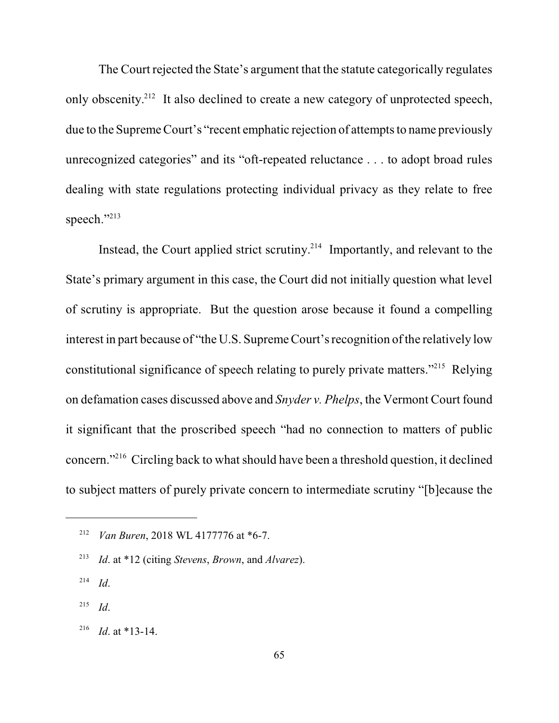The Court rejected the State's argument that the statute categorically regulates only obscenity.<sup>212</sup> It also declined to create a new category of unprotected speech, due to the Supreme Court's "recent emphatic rejection of attempts to name previously unrecognized categories" and its "oft-repeated reluctance . . . to adopt broad rules dealing with state regulations protecting individual privacy as they relate to free speech."213

Instead, the Court applied strict scrutiny. $2^{14}$  Importantly, and relevant to the State's primary argument in this case, the Court did not initially question what level of scrutiny is appropriate. But the question arose because it found a compelling interest in part because of "the U.S. Supreme Court's recognition of the relatively low constitutional significance of speech relating to purely private matters."<sup>215</sup> Relying on defamation cases discussed above and *Snyder v. Phelps*, the Vermont Court found it significant that the proscribed speech "had no connection to matters of public concern."<sup> $216$ </sup> Circling back to what should have been a threshold question, it declined to subject matters of purely private concern to intermediate scrutiny "[b]ecause the

- *Id*. 214
- *Id*. 215
- <sup>216</sup> *Id.* at \*13-14.

<sup>&</sup>lt;sup>212</sup> *Van Buren*, 2018 WL 4177776 at \*6-7.

*Id*. at \*12 (citing *Stevens*, *Brown*, and *Alvarez*). <sup>213</sup>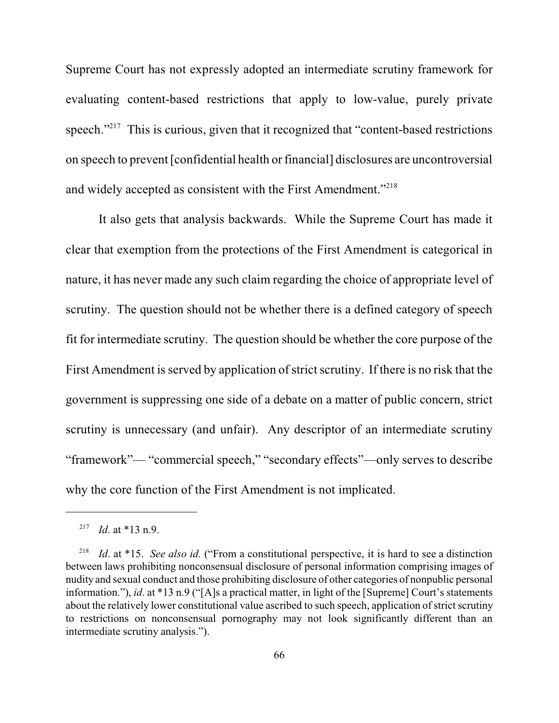Supreme Court has not expressly adopted an intermediate scrutiny framework for evaluating content-based restrictions that apply to low-value, purely private speech. $"^{217}$  This is curious, given that it recognized that "content-based restrictions" on speech to prevent [confidential health orfinancial] disclosures are uncontroversial and widely accepted as consistent with the First Amendment."<sup>218</sup>

It also gets that analysis backwards. While the Supreme Court has made it clear that exemption from the protections of the First Amendment is categorical in nature, it has never made any such claim regarding the choice of appropriate level of scrutiny. The question should not be whether there is a defined category of speech fit for intermediate scrutiny. The question should be whether the core purpose of the First Amendment is served by application of strict scrutiny. If there is no risk that the government is suppressing one side of a debate on a matter of public concern, strict scrutiny is unnecessary (and unfair). Any descriptor of an intermediate scrutiny "framework"— "commercial speech," "secondary effects"—only serves to describe why the core function of the First Amendment is not implicated.

<sup>&</sup>lt;sup>217</sup> *Id.* at \*13 n.9.

<sup>&</sup>lt;sup>218</sup> *Id.* at \*15. *See also id.* ("From a constitutional perspective, it is hard to see a distinction between laws prohibiting nonconsensual disclosure of personal information comprising images of nudity and sexual conduct and those prohibiting disclosure of other categories of nonpublic personal information."), *id*. at \*13 n.9 ("[A]s a practical matter, in light of the [Supreme] Court's statements about the relatively lower constitutional value ascribed to such speech, application of strict scrutiny to restrictions on nonconsensual pornography may not look significantly different than an intermediate scrutiny analysis.").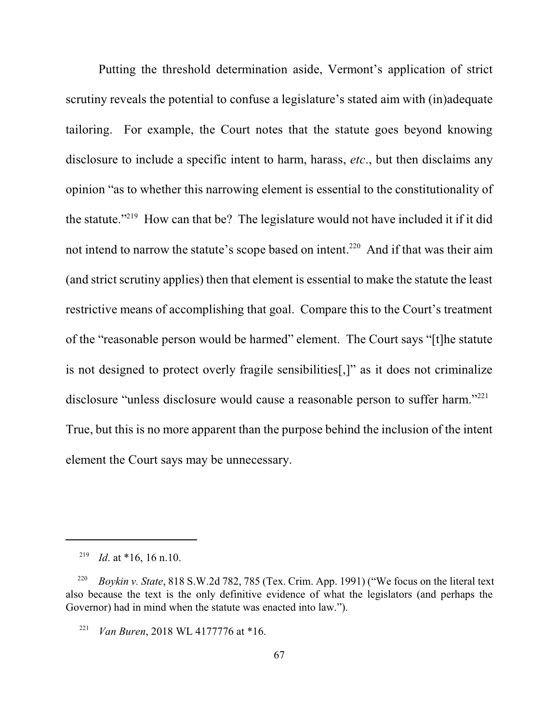Putting the threshold determination aside, Vermont's application of strict scrutiny reveals the potential to confuse a legislature's stated aim with (in)adequate tailoring. For example, the Court notes that the statute goes beyond knowing disclosure to include a specific intent to harm, harass, *etc*., but then disclaims any opinion "as to whether this narrowing element is essential to the constitutionality of the statute."<sup>219</sup> How can that be? The legislature would not have included it if it did not intend to narrow the statute's scope based on intent.<sup>220</sup> And if that was their aim (and strict scrutiny applies) then that element is essential to make the statute the least restrictive means of accomplishing that goal. Compare this to the Court's treatment of the "reasonable person would be harmed" element. The Court says "[t]he statute is not designed to protect overly fragile sensibilities[,]" as it does not criminalize disclosure "unless disclosure would cause a reasonable person to suffer harm."<sup>221</sup> True, but this is no more apparent than the purpose behind the inclusion of the intent element the Court says may be unnecessary.

<sup>&</sup>lt;sup>219</sup> *Id.* at \*16, 16 n.10.

<sup>&</sup>lt;sup>220</sup> *Boykin v. State*, 818 S.W.2d 782, 785 (Tex. Crim. App. 1991) ("We focus on the literal text also because the text is the only definitive evidence of what the legislators (and perhaps the Governor) had in mind when the statute was enacted into law.").

<sup>&</sup>lt;sup>221</sup> *Van Buren*, 2018 WL 4177776 at \*16.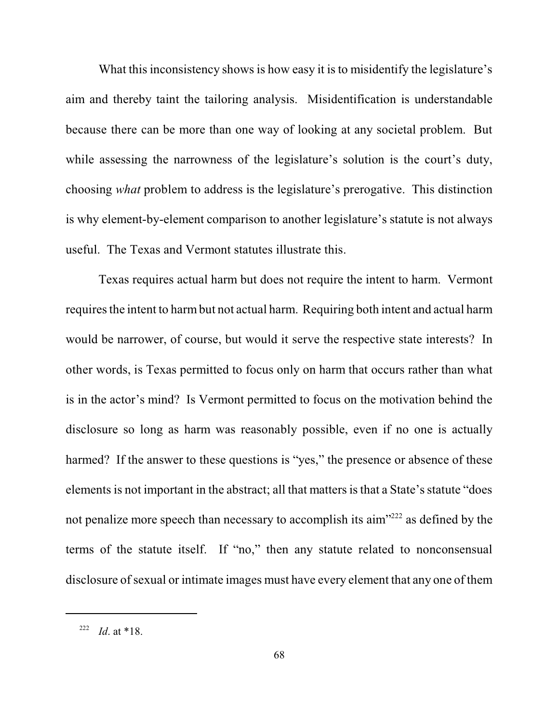What this inconsistency shows is how easy it is to misidentify the legislature's aim and thereby taint the tailoring analysis. Misidentification is understandable because there can be more than one way of looking at any societal problem. But while assessing the narrowness of the legislature's solution is the court's duty, choosing *what* problem to address is the legislature's prerogative. This distinction is why element-by-element comparison to another legislature's statute is not always useful. The Texas and Vermont statutes illustrate this.

Texas requires actual harm but does not require the intent to harm. Vermont requires the intent to harm but not actual harm. Requiring both intent and actual harm would be narrower, of course, but would it serve the respective state interests? In other words, is Texas permitted to focus only on harm that occurs rather than what is in the actor's mind? Is Vermont permitted to focus on the motivation behind the disclosure so long as harm was reasonably possible, even if no one is actually harmed? If the answer to these questions is "yes," the presence or absence of these elements is not important in the abstract; all that mattersisthat a State's statute "does not penalize more speech than necessary to accomplish its aim $"^{222}$  as defined by the terms of the statute itself. If "no," then any statute related to nonconsensual disclosure of sexual or intimate images must have every element that any one of them

<sup>&</sup>lt;sup>222</sup> *Id.* at \*18.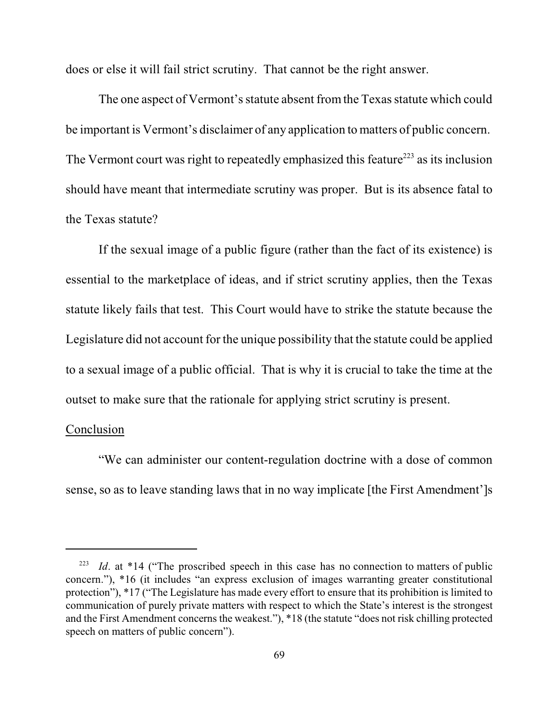does or else it will fail strict scrutiny. That cannot be the right answer.

The one aspect of Vermont's statute absent from the Texas statute which could be important is Vermont's disclaimer of any application to matters of public concern. The Vermont court was right to repeatedly emphasized this feature<sup>223</sup> as its inclusion should have meant that intermediate scrutiny was proper. But is its absence fatal to the Texas statute?

If the sexual image of a public figure (rather than the fact of its existence) is essential to the marketplace of ideas, and if strict scrutiny applies, then the Texas statute likely fails that test. This Court would have to strike the statute because the Legislature did not account for the unique possibility that the statute could be applied to a sexual image of a public official. That is why it is crucial to take the time at the outset to make sure that the rationale for applying strict scrutiny is present.

#### Conclusion

"We can administer our content-regulation doctrine with a dose of common sense, so as to leave standing laws that in no way implicate [the First Amendment']s

<sup>&</sup>lt;sup>223</sup> *Id.* at \*14 ("The proscribed speech in this case has no connection to matters of public concern."), \*16 (it includes "an express exclusion of images warranting greater constitutional protection"), \*17 ("The Legislature has made every effort to ensure that its prohibition is limited to communication of purely private matters with respect to which the State's interest is the strongest and the First Amendment concerns the weakest."), \*18 (the statute "does not risk chilling protected speech on matters of public concern").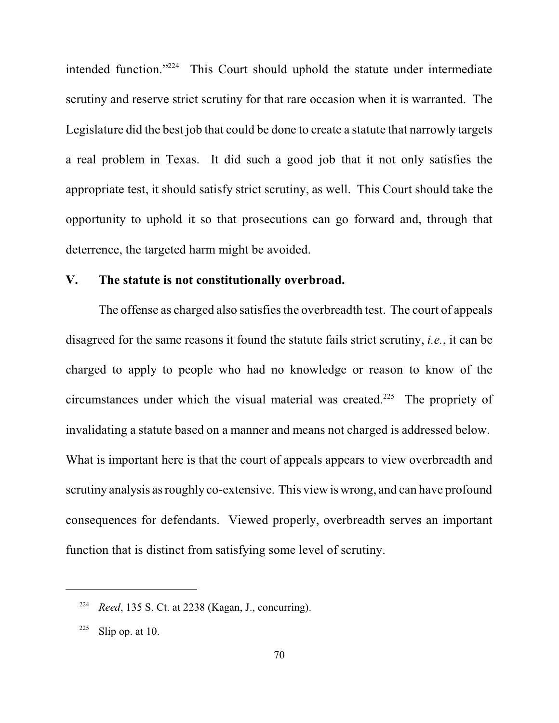intended function." $224$  This Court should uphold the statute under intermediate scrutiny and reserve strict scrutiny for that rare occasion when it is warranted. The Legislature did the best job that could be done to create a statute that narrowly targets a real problem in Texas. It did such a good job that it not only satisfies the appropriate test, it should satisfy strict scrutiny, as well. This Court should take the opportunity to uphold it so that prosecutions can go forward and, through that deterrence, the targeted harm might be avoided.

#### **V. The statute is not constitutionally overbroad.**

The offense as charged also satisfies the overbreadth test. The court of appeals disagreed for the same reasons it found the statute fails strict scrutiny, *i.e.*, it can be charged to apply to people who had no knowledge or reason to know of the circumstances under which the visual material was created.<sup> $225$ </sup> The propriety of invalidating a statute based on a manner and means not charged is addressed below. What is important here is that the court of appeals appears to view overbreadth and scrutiny analysis as roughly co-extensive. This view is wrong, and can have profound consequences for defendants. Viewed properly, overbreadth serves an important function that is distinct from satisfying some level of scrutiny.

<sup>&</sup>lt;sup>224</sup> *Reed*, 135 S. Ct. at 2238 (Kagan, J., concurring).

 $225$  Slip op. at 10.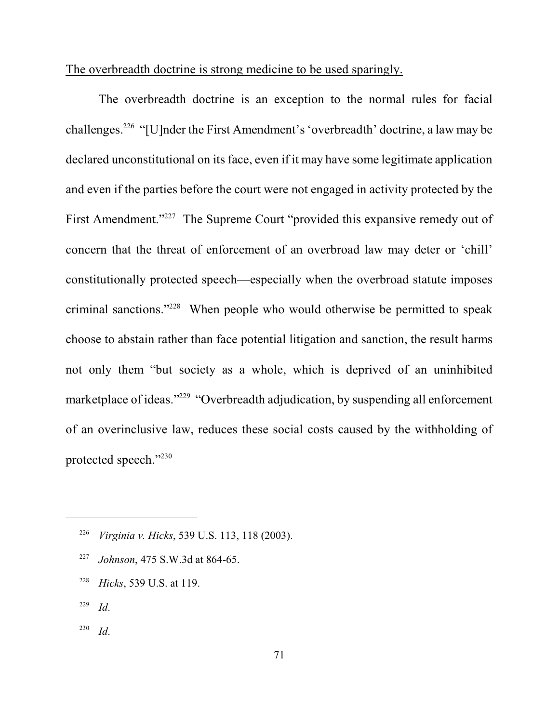### The overbreadth doctrine is strong medicine to be used sparingly.

The overbreadth doctrine is an exception to the normal rules for facial challenges.<sup>226</sup> "[U]nder the First Amendment's 'overbreadth' doctrine, a law may be declared unconstitutional on its face, even if it may have some legitimate application and even if the parties before the court were not engaged in activity protected by the First Amendment."<sup>227</sup> The Supreme Court "provided this expansive remedy out of concern that the threat of enforcement of an overbroad law may deter or 'chill' constitutionally protected speech—especially when the overbroad statute imposes criminal sanctions."<sup>228</sup> When people who would otherwise be permitted to speak choose to abstain rather than face potential litigation and sanction, the result harms not only them "but society as a whole, which is deprived of an uninhibited marketplace of ideas."<sup>229</sup> "Overbreadth adjudication, by suspending all enforcement of an overinclusive law, reduces these social costs caused by the withholding of protected speech."<sup>230</sup>

- <sup>227</sup> *Johnson*, 475 S.W.3d at 864-65.
- <sup>228</sup> *Hicks*, 539 U.S. at 119.
- *Id*. 229
- *Id*. 230

<sup>&</sup>lt;sup>226</sup> Virginia v. Hicks, 539 U.S. 113, 118 (2003).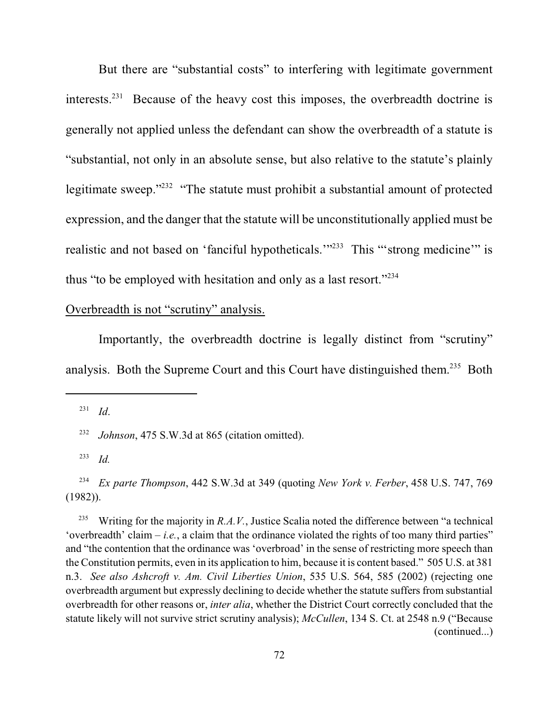But there are "substantial costs" to interfering with legitimate government interests. $^{231}$  Because of the heavy cost this imposes, the overbreadth doctrine is generally not applied unless the defendant can show the overbreadth of a statute is "substantial, not only in an absolute sense, but also relative to the statute's plainly legitimate sweep." $232$  "The statute must prohibit a substantial amount of protected expression, and the danger that the statute will be unconstitutionally applied must be realistic and not based on 'fanciful hypotheticals.'"<sup>233</sup> This "'strong medicine'" is thus "to be employed with hesitation and only as a last resort."<sup>234</sup>

#### Overbreadth is not "scrutiny" analysis.

Importantly, the overbreadth doctrine is legally distinct from "scrutiny" analysis. Both the Supreme Court and this Court have distinguished them.<sup>235</sup> Both

 *Id*. 231

<sup>232</sup> *Johnson*, 475 S.W.3d at 865 (citation omitted).

 $^{233}$  *Id.* 

 *Ex parte Thompson*, 442 S.W.3d at 349 (quoting *New York v. Ferber*, 458 U.S. 747, 769 234 (1982)).

Writing for the majority in *R.A.V.*, Justice Scalia noted the difference between "a technical 235 'overbreadth' claim – *i.e.*, a claim that the ordinance violated the rights of too many third parties" and "the contention that the ordinance was 'overbroad' in the sense of restricting more speech than the Constitution permits, even in its application to him, because it is content based." 505 U.S. at 381 n.3. *See also Ashcroft v. Am. Civil Liberties Union*, 535 U.S. 564, 585 (2002) (rejecting one overbreadth argument but expressly declining to decide whether the statute suffers from substantial overbreadth for other reasons or, *inter alia*, whether the District Court correctly concluded that the statute likely will not survive strict scrutiny analysis); *McCullen*, 134 S. Ct. at 2548 n.9 ("Because (continued...)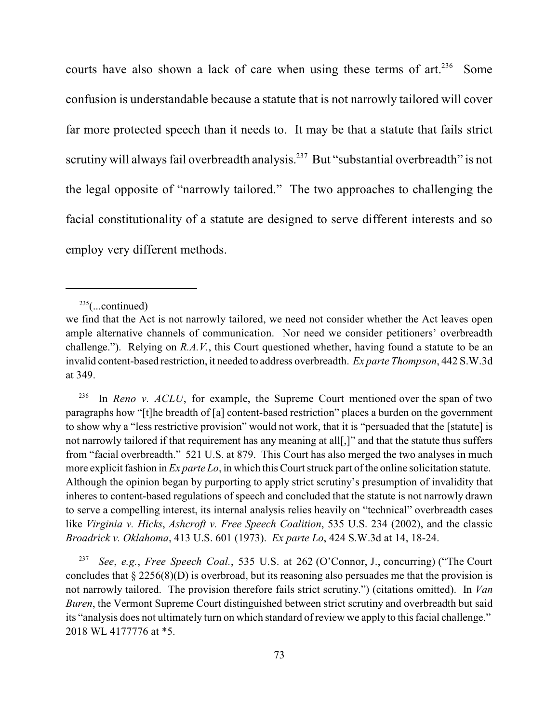courts have also shown a lack of care when using these terms of  $art.^{236}$  Some confusion is understandable because a statute that is not narrowly tailored will cover far more protected speech than it needs to. It may be that a statute that fails strict scrutiny will always fail overbreadth analysis.<sup>237</sup> But "substantial overbreadth" is not the legal opposite of "narrowly tailored." The two approaches to challenging the facial constitutionality of a statute are designed to serve different interests and so employ very different methods.

 In *Reno v. ACLU*, for example, the Supreme Court mentioned over the span of two 236 paragraphs how "[t]he breadth of [a] content-based restriction" places a burden on the government to show why a "less restrictive provision" would not work, that it is "persuaded that the [statute] is not narrowly tailored if that requirement has any meaning at all[,]" and that the statute thus suffers from "facial overbreadth." 521 U.S. at 879. This Court has also merged the two analyses in much more explicit fashion in *Ex parte Lo*, in which this Court struck part of the online solicitation statute. Although the opinion began by purporting to apply strict scrutiny's presumption of invalidity that inheres to content-based regulations of speech and concluded that the statute is not narrowly drawn to serve a compelling interest, its internal analysis relies heavily on "technical" overbreadth cases like *Virginia v. Hicks*, *Ashcroft v. Free Speech Coalition*, 535 U.S. 234 (2002), and the classic *Broadrick v. Oklahoma*, 413 U.S. 601 (1973). *Ex parte Lo*, 424 S.W.3d at 14, 18-24.

*See*, *e.g.*, *Free Speech Coal.*, 535 U.S. at 262 (O'Connor, J., concurring) ("The Court concludes that § 2256(8)(D) is overbroad, but its reasoning also persuades me that the provision is not narrowly tailored. The provision therefore fails strict scrutiny.") (citations omitted). In *Van Buren*, the Vermont Supreme Court distinguished between strict scrutiny and overbreadth but said its "analysis does not ultimately turn on which standard of review we apply to this facial challenge." 2018 WL 4177776 at \*5.

 $235$ (...continued)

we find that the Act is not narrowly tailored, we need not consider whether the Act leaves open ample alternative channels of communication. Nor need we consider petitioners' overbreadth challenge."). Relying on *R.A.V.*, this Court questioned whether, having found a statute to be an invalid content-based restriction, it needed to address overbreadth. *Ex parte Thompson*, 442 S.W.3d at 349.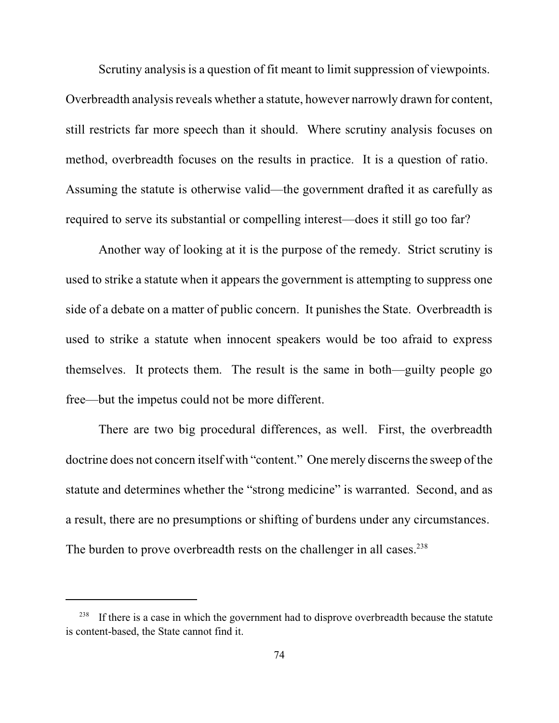Scrutiny analysis is a question of fit meant to limit suppression of viewpoints. Overbreadth analysis reveals whether a statute, however narrowly drawn for content, still restricts far more speech than it should. Where scrutiny analysis focuses on method, overbreadth focuses on the results in practice. It is a question of ratio. Assuming the statute is otherwise valid—the government drafted it as carefully as required to serve its substantial or compelling interest—does it still go too far?

Another way of looking at it is the purpose of the remedy. Strict scrutiny is used to strike a statute when it appears the government is attempting to suppress one side of a debate on a matter of public concern. It punishes the State. Overbreadth is used to strike a statute when innocent speakers would be too afraid to express themselves. It protects them. The result is the same in both—guilty people go free—but the impetus could not be more different.

There are two big procedural differences, as well. First, the overbreadth doctrine does not concern itself with "content." One merely discerns the sweep of the statute and determines whether the "strong medicine" is warranted. Second, and as a result, there are no presumptions or shifting of burdens under any circumstances. The burden to prove overbreadth rests on the challenger in all cases.<sup>238</sup>

If there is a case in which the government had to disprove overbreadth because the statute is content-based, the State cannot find it.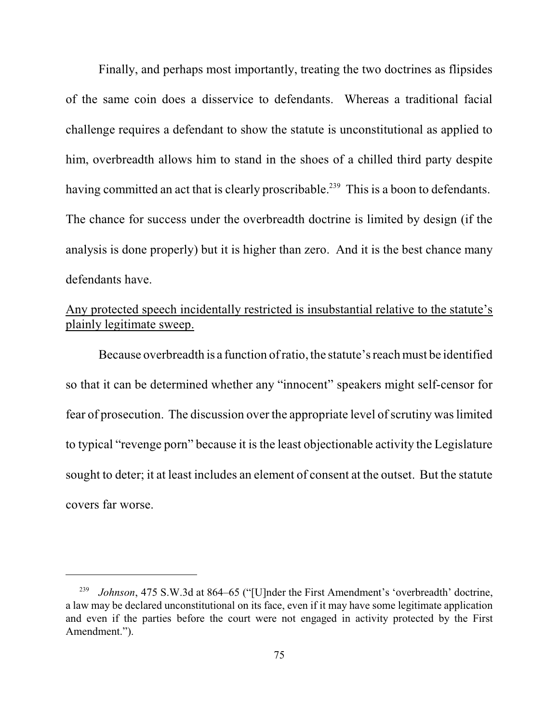Finally, and perhaps most importantly, treating the two doctrines as flipsides of the same coin does a disservice to defendants. Whereas a traditional facial challenge requires a defendant to show the statute is unconstitutional as applied to him, overbreadth allows him to stand in the shoes of a chilled third party despite having committed an act that is clearly proscribable.<sup>239</sup> This is a boon to defendants. The chance for success under the overbreadth doctrine is limited by design (if the analysis is done properly) but it is higher than zero. And it is the best chance many defendants have.

# Any protected speech incidentally restricted is insubstantial relative to the statute's plainly legitimate sweep.

Because overbreadth is a function ofratio, the statute's reach must be identified so that it can be determined whether any "innocent" speakers might self-censor for fear of prosecution. The discussion over the appropriate level of scrutiny was limited to typical "revenge porn" because it is the least objectionable activity the Legislature sought to deter; it at least includes an element of consent at the outset. But the statute covers far worse.

*Johnson*, 475 S.W.3d at 864–65 ("[U]nder the First Amendment's 'overbreadth' doctrine, a law may be declared unconstitutional on its face, even if it may have some legitimate application and even if the parties before the court were not engaged in activity protected by the First Amendment.").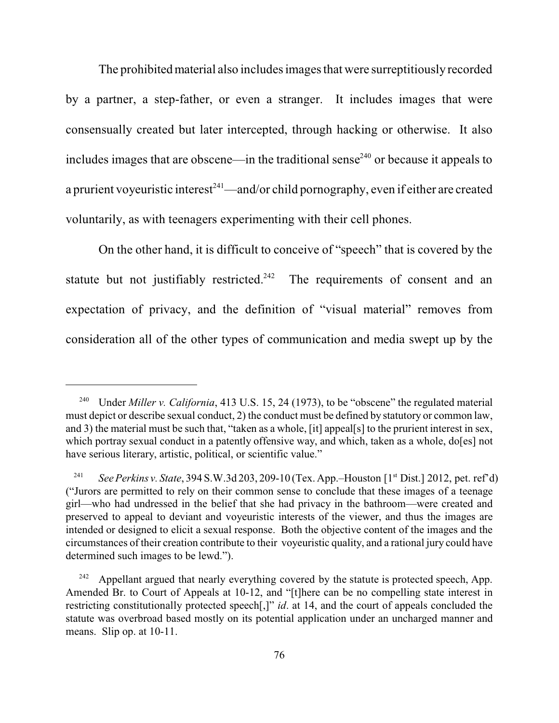The prohibited material also includes images that were surreptitiously recorded by a partner, a step-father, or even a stranger. It includes images that were consensually created but later intercepted, through hacking or otherwise. It also includes images that are obscene—in the traditional sense<sup> $240$ </sup> or because it appeals to a prurient voyeuristic interest $^{241}$ —and/or child pornography, even if either are created voluntarily, as with teenagers experimenting with their cell phones.

On the other hand, it is difficult to conceive of "speech" that is covered by the statute but not justifiably restricted.<sup>242</sup> The requirements of consent and an expectation of privacy, and the definition of "visual material" removes from consideration all of the other types of communication and media swept up by the

<sup>&</sup>lt;sup>240</sup> Under *Miller v. California*, 413 U.S. 15, 24 (1973), to be "obscene" the regulated material must depict or describe sexual conduct, 2) the conduct must be defined by statutory or common law, and 3) the material must be such that, "taken as a whole, [it] appeal[s] to the prurient interest in sex, which portray sexual conduct in a patently offensive way, and which, taken as a whole, do[es] not have serious literary, artistic, political, or scientific value."

<sup>&</sup>lt;sup>241</sup> See Perkins v. State, 394 S.W.3d 203, 209-10 (Tex. App.–Houston [1<sup>st</sup> Dist.] 2012, pet. ref'd) ("Jurors are permitted to rely on their common sense to conclude that these images of a teenage girl—who had undressed in the belief that she had privacy in the bathroom—were created and preserved to appeal to deviant and voyeuristic interests of the viewer, and thus the images are intended or designed to elicit a sexual response. Both the objective content of the images and the circumstances of their creation contribute to their voyeuristic quality, and a rational jury could have determined such images to be lewd.").

 $242$  Appellant argued that nearly everything covered by the statute is protected speech, App. Amended Br. to Court of Appeals at 10-12, and "[t]here can be no compelling state interest in restricting constitutionally protected speech[,]" *id*. at 14, and the court of appeals concluded the statute was overbroad based mostly on its potential application under an uncharged manner and means. Slip op. at 10-11.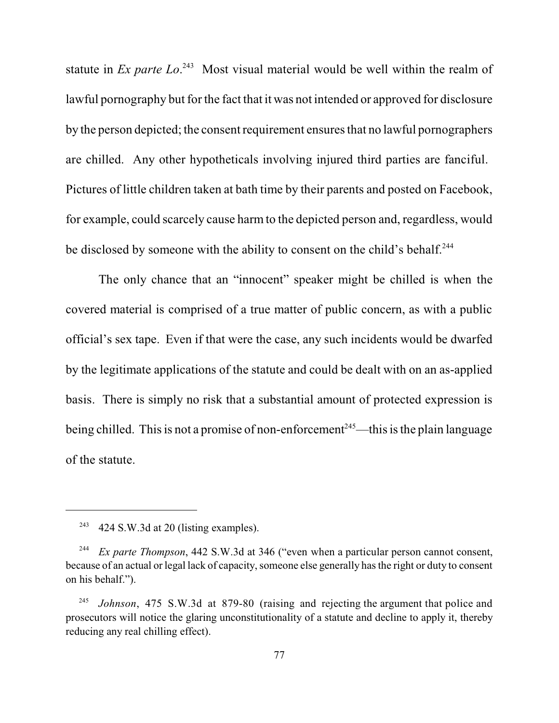statute in *Ex parte Lo.*<sup>243</sup> Most visual material would be well within the realm of lawful pornography but for the fact that it was not intended or approved for disclosure by the person depicted; the consent requirement ensuresthat no lawful pornographers are chilled. Any other hypotheticals involving injured third parties are fanciful. Pictures of little children taken at bath time by their parents and posted on Facebook, for example, could scarcely cause harm to the depicted person and, regardless, would be disclosed by someone with the ability to consent on the child's behalf.<sup>244</sup>

The only chance that an "innocent" speaker might be chilled is when the covered material is comprised of a true matter of public concern, as with a public official's sex tape. Even if that were the case, any such incidents would be dwarfed by the legitimate applications of the statute and could be dealt with on an as-applied basis. There is simply no risk that a substantial amount of protected expression is being chilled. This is not a promise of non-enforcement<sup>245</sup>—this is the plain language of the statute.

 $424$  S.W.3d at 20 (listing examples).

<sup>&</sup>lt;sup>244</sup> *Ex parte Thompson*, 442 S.W.3d at 346 ("even when a particular person cannot consent, because of an actual or legal lack of capacity, someone else generally has the right or duty to consent on his behalf.").

*Johnson*, 475 S.W.3d at 879-80 (raising and rejecting the argument that police and 245 prosecutors will notice the glaring unconstitutionality of a statute and decline to apply it, thereby reducing any real chilling effect).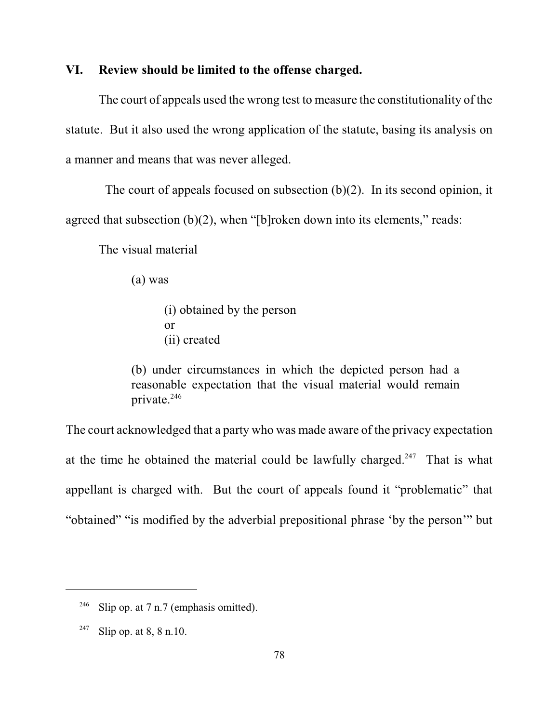### **VI. Review should be limited to the offense charged.**

The court of appeals used the wrong test to measure the constitutionality of the statute. But it also used the wrong application of the statute, basing its analysis on a manner and means that was never alleged.

The court of appeals focused on subsection (b)(2). In its second opinion, it agreed that subsection (b)(2), when "[b]roken down into its elements," reads:

The visual material

(a) was

(i) obtained by the person or (ii) created

(b) under circumstances in which the depicted person had a reasonable expectation that the visual material would remain private.<sup>246</sup>

The court acknowledged that a party who was made aware of the privacy expectation at the time he obtained the material could be lawfully charged.<sup>247</sup> That is what appellant is charged with. But the court of appeals found it "problematic" that "obtained" "is modified by the adverbial prepositional phrase 'by the person'" but

<sup>&</sup>lt;sup>246</sup> Slip op. at 7 n.7 (emphasis omitted).

<sup>&</sup>lt;sup>247</sup> Slip op. at 8, 8 n.10.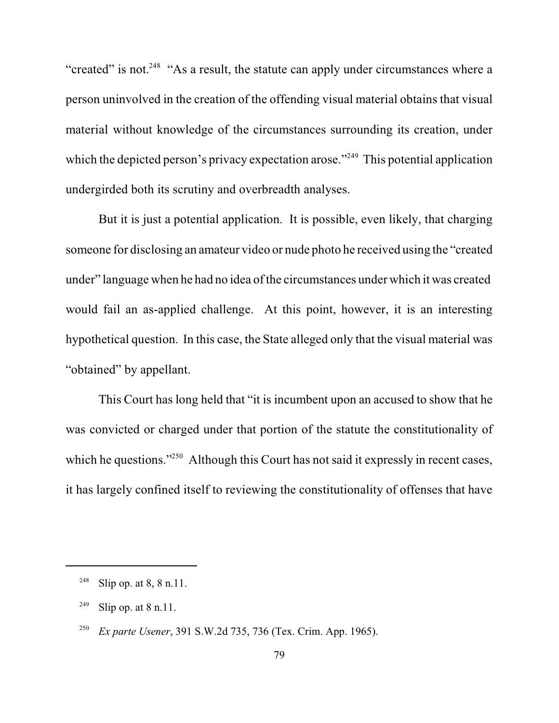"created" is not.<sup>248</sup> "As a result, the statute can apply under circumstances where a person uninvolved in the creation of the offending visual material obtains that visual material without knowledge of the circumstances surrounding its creation, under which the depicted person's privacy expectation arose."<sup>249</sup> This potential application undergirded both its scrutiny and overbreadth analyses.

But it is just a potential application. It is possible, even likely, that charging someone for disclosing an amateur video or nude photo he received using the "created under" language when he had no idea of the circumstances under which it was created would fail an as-applied challenge. At this point, however, it is an interesting hypothetical question. In this case, the State alleged only that the visual material was "obtained" by appellant.

This Court has long held that "it is incumbent upon an accused to show that he was convicted or charged under that portion of the statute the constitutionality of which he questions." $250$  Although this Court has not said it expressly in recent cases, it has largely confined itself to reviewing the constitutionality of offenses that have

<sup>249</sup> Slip op. at  $8$  n.11.

<sup>&</sup>lt;sup>248</sup> Slip op. at 8, 8 n.11.

<sup>&</sup>lt;sup>250</sup> *Ex parte Usener*, 391 S.W.2d 735, 736 (Tex. Crim. App. 1965).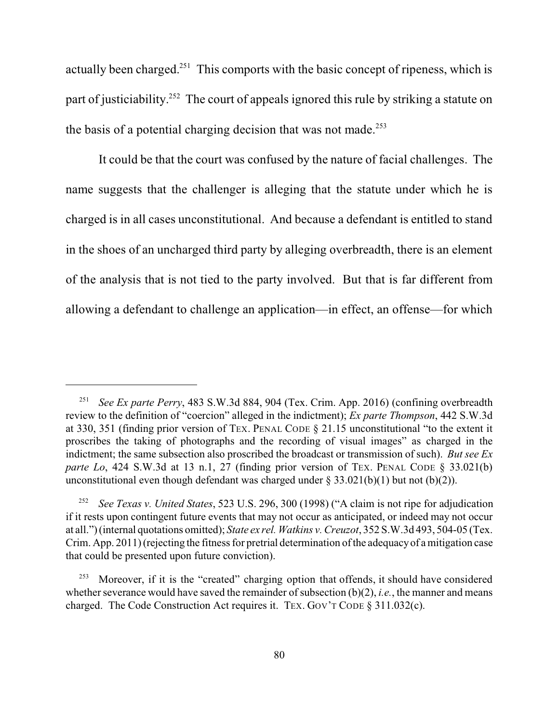actually been charged.<sup>251</sup> This comports with the basic concept of ripeness, which is part of justiciability.<sup>252</sup> The court of appeals ignored this rule by striking a statute on the basis of a potential charging decision that was not made.<sup>253</sup>

It could be that the court was confused by the nature of facial challenges. The name suggests that the challenger is alleging that the statute under which he is charged is in all cases unconstitutional. And because a defendant is entitled to stand in the shoes of an uncharged third party by alleging overbreadth, there is an element of the analysis that is not tied to the party involved. But that is far different from allowing a defendant to challenge an application—in effect, an offense—for which

<sup>&</sup>lt;sup>251</sup> See Ex parte Perry, 483 S.W.3d 884, 904 (Tex. Crim. App. 2016) (confining overbreadth review to the definition of "coercion" alleged in the indictment); *Ex parte Thompson*, 442 S.W.3d at 330, 351 (finding prior version of TEX. PENAL CODE § 21.15 unconstitutional "to the extent it proscribes the taking of photographs and the recording of visual images" as charged in the indictment; the same subsection also proscribed the broadcast or transmission of such). *But see Ex parte Lo*, 424 S.W.3d at 13 n.1, 27 (finding prior version of TEX. PENAL CODE § 33.021(b) unconstitutional even though defendant was charged under  $\S 33.021(b)(1)$  but not (b)(2)).

<sup>&</sup>lt;sup>252</sup> See Texas v. United States, 523 U.S. 296, 300 (1998) ("A claim is not ripe for adjudication if it rests upon contingent future events that may not occur as anticipated, or indeed may not occur at all.") (internal quotations omitted); *State ex rel. Watkins v. Creuzot*, 352 S.W.3d 493, 504-05 (Tex. Crim. App. 2011) (rejecting the fitness for pretrial determination of the adequacyof a mitigation case that could be presented upon future conviction).

<sup>&</sup>lt;sup>253</sup> Moreover, if it is the "created" charging option that offends, it should have considered whether severance would have saved the remainder of subsection  $(b)(2)$ , *i.e.*, the manner and means charged. The Code Construction Act requires it. TEX. GOV'T CODE § 311.032(c).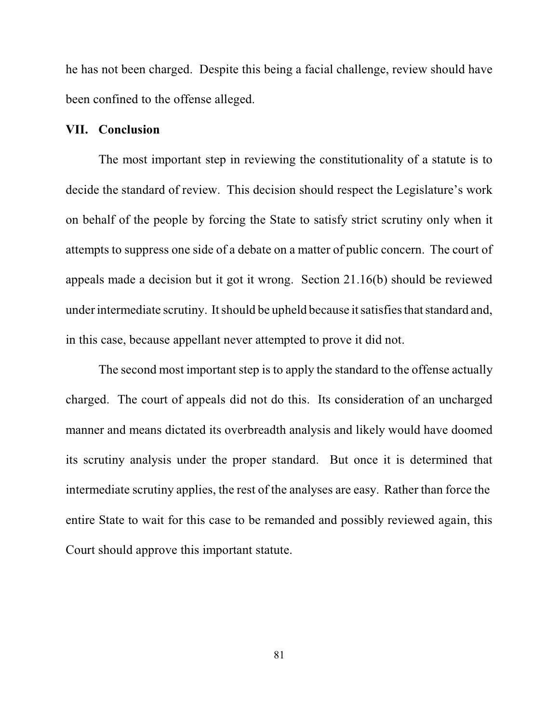he has not been charged. Despite this being a facial challenge, review should have been confined to the offense alleged.

#### **VII. Conclusion**

The most important step in reviewing the constitutionality of a statute is to decide the standard of review. This decision should respect the Legislature's work on behalf of the people by forcing the State to satisfy strict scrutiny only when it attempts to suppress one side of a debate on a matter of public concern. The court of appeals made a decision but it got it wrong. Section 21.16(b) should be reviewed under intermediate scrutiny. It should be upheld because it satisfies that standard and, in this case, because appellant never attempted to prove it did not.

The second most important step is to apply the standard to the offense actually charged. The court of appeals did not do this. Its consideration of an uncharged manner and means dictated its overbreadth analysis and likely would have doomed its scrutiny analysis under the proper standard. But once it is determined that intermediate scrutiny applies, the rest of the analyses are easy. Rather than force the entire State to wait for this case to be remanded and possibly reviewed again, this Court should approve this important statute.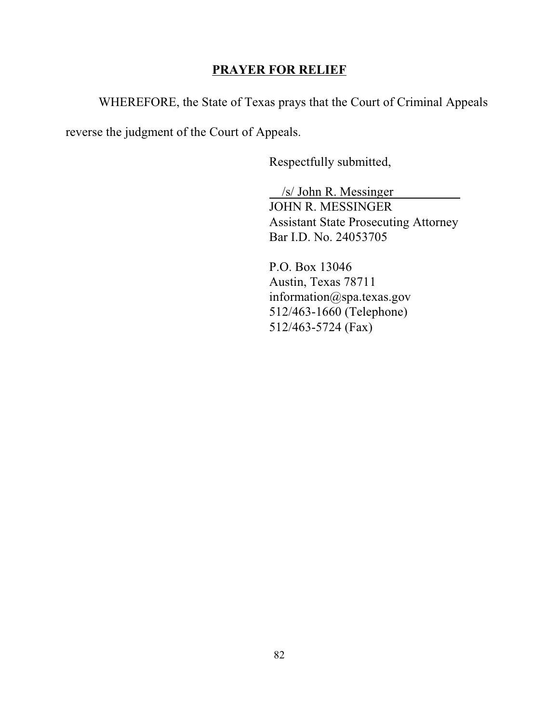# **PRAYER FOR RELIEF**

WHEREFORE, the State of Texas prays that the Court of Criminal Appeals

reverse the judgment of the Court of Appeals.

Respectfully submitted,

 /s/ John R. Messinger JOHN R. MESSINGER Assistant State Prosecuting Attorney Bar I.D. No. 24053705

 P.O. Box 13046 Austin, Texas 78711 information@spa.texas.gov 512/463-1660 (Telephone) 512/463-5724 (Fax)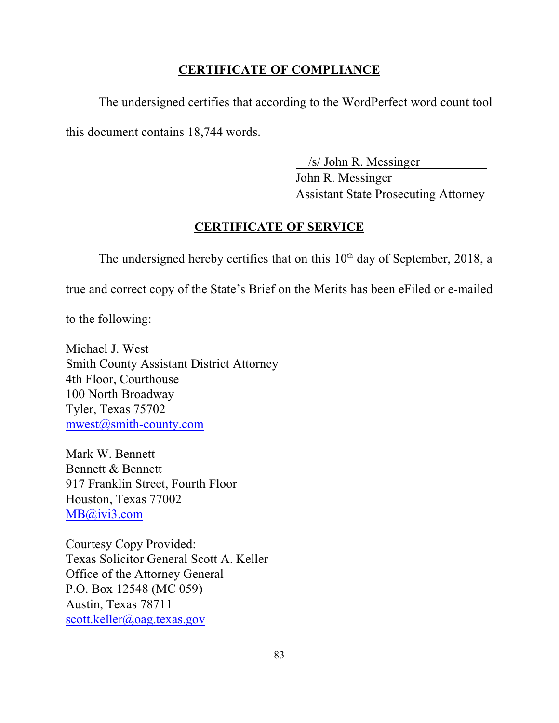# **CERTIFICATE OF COMPLIANCE**

The undersigned certifies that according to the WordPerfect word count tool this document contains 18,744 words.

/s/ John R. Messinger

John R. Messinger Assistant State Prosecuting Attorney

## **CERTIFICATE OF SERVICE**

The undersigned hereby certifies that on this  $10<sup>th</sup>$  day of September, 2018, a

true and correct copy of the State's Brief on the Merits has been eFiled or e-mailed

to the following:

Michael J. West Smith County Assistant District Attorney 4th Floor, Courthouse 100 North Broadway Tyler, Texas 75702 [mwest@smith-county.com](mailto:mwest@smith-county.com)

Mark W. Bennett Bennett & Bennett 917 Franklin Street, Fourth Floor Houston, Texas 77002 [MB@ivi3.com](mailto:MB@ivi3.com)

Courtesy Copy Provided: Texas Solicitor General Scott A. Keller Office of the Attorney General P.O. Box 12548 (MC 059) Austin, Texas 78711 [scott.keller@oag.texas.gov](mailto:scott.keller@oag.texas.gov)